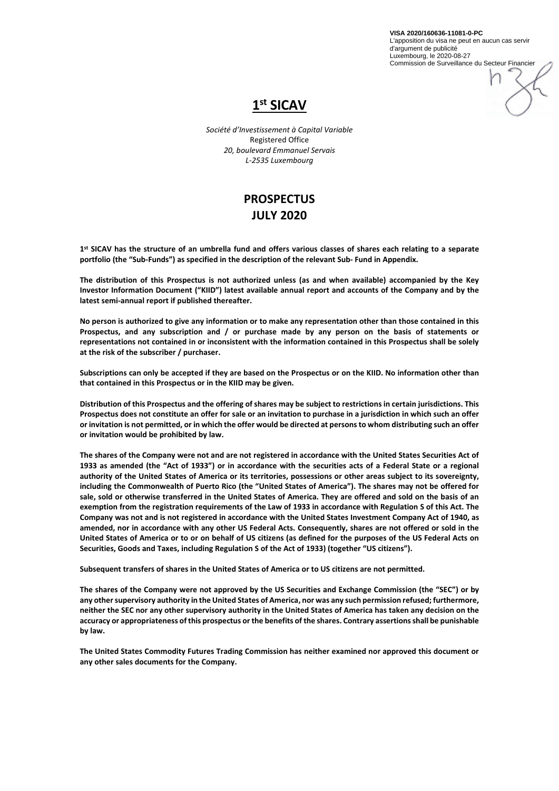**VISA 2020/160636-11081-0-PC** L'apposition du visa ne peut en aucun cas servir d'argument de publicité Luxembourg, le 2020-08-27 Commission de Surveillance du Secteur Financier





*Société d'Investissement à Capital Variable* Registered Office *20, boulevard Emmanuel Servais L-2535 Luxembourg*

# **PROSPECTUS JULY 2020**

**1st SICAV has the structure of an umbrella fund and offers various classes of shares each relating to a separate portfolio (the "Sub-Funds") as specified in the description of the relevant Sub- Fund in Appendix.**

**The distribution of this Prospectus is not authorized unless (as and when available) accompanied by the Key Investor Information Document ("KIID") latest available annual report and accounts of the Company and by the latest semi-annual report if published thereafter.**

**No person is authorized to give any information or to make any representation other than those contained in this Prospectus, and any subscription and / or purchase made by any person on the basis of statements or representations not contained in or inconsistent with the information contained in this Prospectus shall be solely at the risk of the subscriber / purchaser.**

**Subscriptions can only be accepted if they are based on the Prospectus or on the KIID. No information other than that contained in this Prospectus or in the KIID may be given.**

**Distribution of this Prospectus and the offering of shares may be subject to restrictions in certain jurisdictions. This Prospectus does not constitute an offer for sale or an invitation to purchase in a jurisdiction in which such an offer or invitation is not permitted, or in which the offer would be directed at persons to whom distributing such an offer or invitation would be prohibited by law.**

**The shares of the Company were not and are not registered in accordance with the United States Securities Act of 1933 as amended (the "Act of 1933") or in accordance with the securities acts of a Federal State or a regional authority of the United States of America or its territories, possessions or other areas subject to its sovereignty, including the Commonwealth of Puerto Rico (the "United States of America"). The shares may not be offered for sale, sold or otherwise transferred in the United States of America. They are offered and sold on the basis of an exemption from the registration requirements of the Law of 1933 in accordance with Regulation S of this Act. The Company was not and is not registered in accordance with the United States Investment Company Act of 1940, as amended, nor in accordance with any other US Federal Acts. Consequently, shares are not offered or sold in the United States of America or to or on behalf of US citizens (as defined for the purposes of the US Federal Acts on Securities, Goods and Taxes, including Regulation S of the Act of 1933) (together "US citizens").**

**Subsequent transfers of shares in the United States of America or to US citizens are not permitted.**

**The shares of the Company were not approved by the US Securities and Exchange Commission (the "SEC") or by any other supervisory authority in the United States of America, nor was any such permission refused; furthermore, neither the SEC nor any other supervisory authority in the United States of America has taken any decision on the accuracy or appropriateness of this prospectus or the benefits of the shares. Contrary assertions shall be punishable by law.**

**The United States Commodity Futures Trading Commission has neither examined nor approved this document or any other sales documents for the Company.**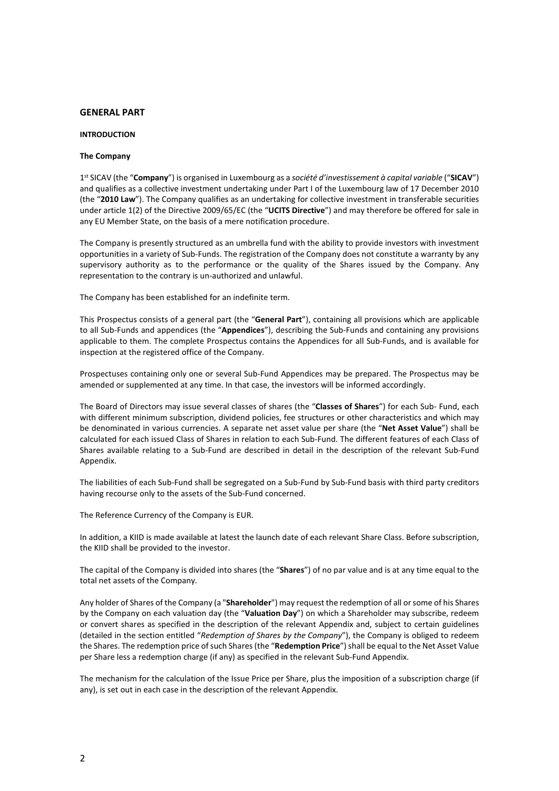# **GENERAL PART**

#### **INTRODUCTION**

#### **The Company**

1st SICAV (the "**Company**") is organised in Luxembourg as a *société d'investissement à capital variable* ("**SICAV**") and qualifies as a collective investment undertaking under Part I of the Luxembourg law of 17 December 2010 (the "**2010 Law**"). The Company qualifies as an undertaking for collective investment in transferable securities under article 1(2) of the Directive 2009/65/EC (the "**UCITS Directive**") and may therefore be offered for sale in any EU Member State, on the basis of a mere notification procedure.

The Company is presently structured as an umbrella fund with the ability to provide investors with investment opportunities in a variety of Sub-Funds. The registration of the Company does not constitute a warranty by any supervisory authority as to the performance or the quality of the Shares issued by the Company. Any representation to the contrary is un-authorized and unlawful.

The Company has been established for an indefinite term.

This Prospectus consists of a general part (the "**General Part**"), containing all provisions which are applicable to all Sub-Funds and appendices (the "**Appendices**"), describing the Sub-Funds and containing any provisions applicable to them. The complete Prospectus contains the Appendices for all Sub-Funds, and is available for inspection at the registered office of the Company.

Prospectuses containing only one or several Sub-Fund Appendices may be prepared. The Prospectus may be amended or supplemented at any time. In that case, the investors will be informed accordingly.

The Board of Directors may issue several classes of shares (the "**Classes of Shares**") for each Sub- Fund, each with different minimum subscription, dividend policies, fee structures or other characteristics and which may be denominated in various currencies. A separate net asset value per share (the "**Net Asset Value**") shall be calculated for each issued Class of Shares in relation to each Sub-Fund. The different features of each Class of Shares available relating to a Sub-Fund are described in detail in the description of the relevant Sub-Fund Appendix.

The liabilities of each Sub-Fund shall be segregated on a Sub-Fund by Sub-Fund basis with third party creditors having recourse only to the assets of the Sub-Fund concerned.

The Reference Currency of the Company is EUR.

In addition, a KIID is made available at latest the launch date of each relevant Share Class. Before subscription, the KIID shall be provided to the investor.

The capital of the Company is divided into shares (the "**Shares**") of no par value and is at any time equal to the total net assets of the Company.

Any holder of Shares of the Company (a "**Shareholder**") may request the redemption of all orsome of his Shares by the Company on each valuation day (the "**Valuation Day**") on which a Shareholder may subscribe, redeem or convert shares as specified in the description of the relevant Appendix and, subject to certain guidelines (detailed in the section entitled "*Redemption of Shares by the Company*"), the Company is obliged to redeem the Shares. The redemption price of such Shares (the "**Redemption Price**") shall be equal to the Net Asset Value per Share less a redemption charge (if any) as specified in the relevant Sub-Fund Appendix.

The mechanism for the calculation of the Issue Price per Share, plus the imposition of a subscription charge (if any), is set out in each case in the description of the relevant Appendix.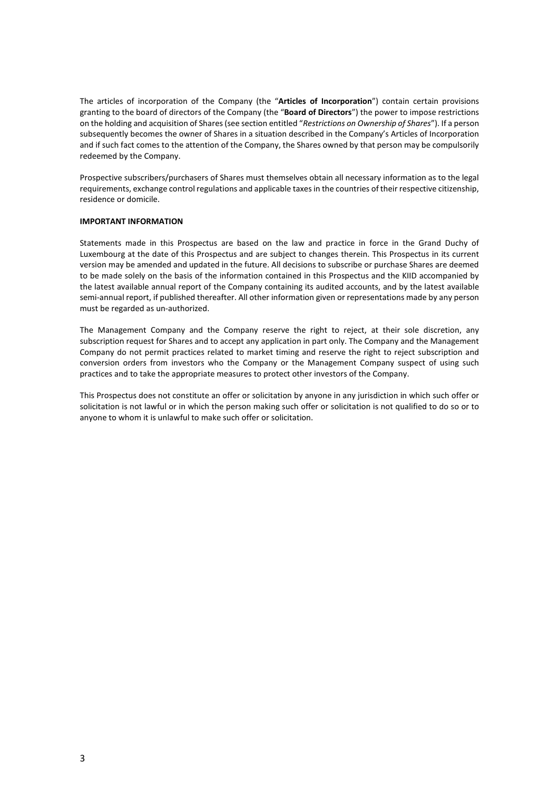The articles of incorporation of the Company (the "**Articles of Incorporation**") contain certain provisions granting to the board of directors of the Company (the "**Board of Directors**") the power to impose restrictions on the holding and acquisition of Shares (see section entitled "*Restrictions on Ownership of Shares*"). If a person subsequently becomes the owner of Shares in a situation described in the Company's Articles of Incorporation and if such fact comes to the attention of the Company, the Shares owned by that person may be compulsorily redeemed by the Company.

Prospective subscribers/purchasers of Shares must themselves obtain all necessary information as to the legal requirements, exchange control regulations and applicable taxes in the countries of their respective citizenship, residence or domicile.

# **IMPORTANT INFORMATION**

Statements made in this Prospectus are based on the law and practice in force in the Grand Duchy of Luxembourg at the date of this Prospectus and are subject to changes therein. This Prospectus in its current version may be amended and updated in the future. All decisions to subscribe or purchase Shares are deemed to be made solely on the basis of the information contained in this Prospectus and the KIID accompanied by the latest available annual report of the Company containing its audited accounts, and by the latest available semi-annual report, if published thereafter. All other information given or representations made by any person must be regarded as un-authorized.

The Management Company and the Company reserve the right to reject, at their sole discretion, any subscription request for Shares and to accept any application in part only. The Company and the Management Company do not permit practices related to market timing and reserve the right to reject subscription and conversion orders from investors who the Company or the Management Company suspect of using such practices and to take the appropriate measures to protect other investors of the Company.

This Prospectus does not constitute an offer or solicitation by anyone in any jurisdiction in which such offer or solicitation is not lawful or in which the person making such offer or solicitation is not qualified to do so or to anyone to whom it is unlawful to make such offer or solicitation.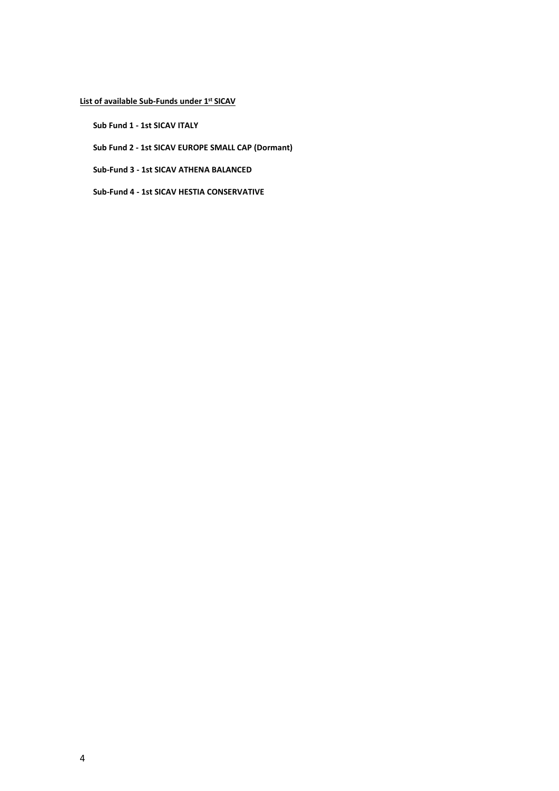# **List of available Sub-Funds under 1st SICAV**

**Sub Fund 1 - 1st SICAV ITALY**

**Sub Fund 2 - 1st SICAV EUROPE SMALL CAP (Dormant)**

**Sub-Fund 3 - 1st SICAV ATHENA BALANCED**

**Sub-Fund 4 - 1st SICAV HESTIA CONSERVATIVE**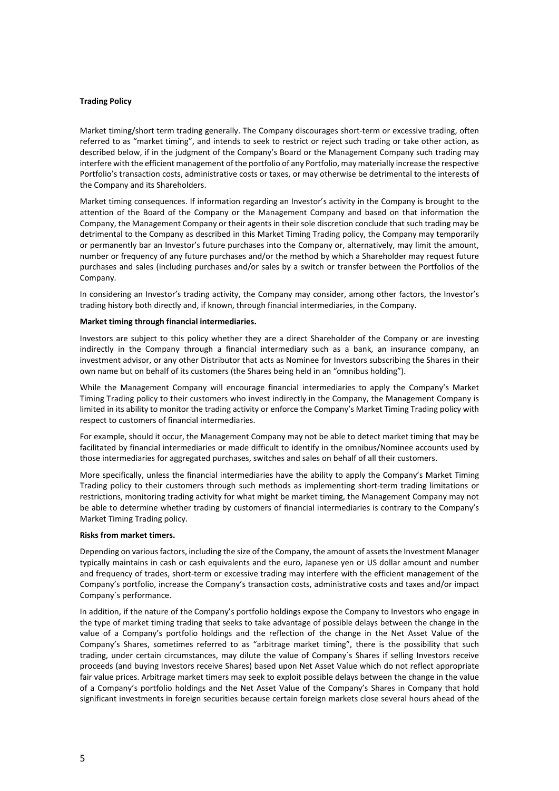# **Trading Policy**

Market timing/short term trading generally. The Company discourages short-term or excessive trading, often referred to as "market timing", and intends to seek to restrict or reject such trading or take other action, as described below, if in the judgment of the Company's Board or the Management Company such trading may interfere with the efficient management of the portfolio of any Portfolio, may materially increase the respective Portfolio's transaction costs, administrative costs or taxes, or may otherwise be detrimental to the interests of the Company and its Shareholders.

Market timing consequences. If information regarding an Investor's activity in the Company is brought to the attention of the Board of the Company or the Management Company and based on that information the Company, the Management Company or their agents in their sole discretion conclude that such trading may be detrimental to the Company as described in this Market Timing Trading policy, the Company may temporarily or permanently bar an Investor's future purchases into the Company or, alternatively, may limit the amount, number or frequency of any future purchases and/or the method by which a Shareholder may request future purchases and sales (including purchases and/or sales by a switch or transfer between the Portfolios of the Company.

In considering an Investor's trading activity, the Company may consider, among other factors, the Investor's trading history both directly and, if known, through financial intermediaries, in the Company.

#### **Market timing through financial intermediaries.**

Investors are subject to this policy whether they are a direct Shareholder of the Company or are investing indirectly in the Company through a financial intermediary such as a bank, an insurance company, an investment advisor, or any other Distributor that acts as Nominee for Investors subscribing the Shares in their own name but on behalf of its customers (the Shares being held in an "omnibus holding").

While the Management Company will encourage financial intermediaries to apply the Company's Market Timing Trading policy to their customers who invest indirectly in the Company, the Management Company is limited in its ability to monitor the trading activity or enforce the Company's Market Timing Trading policy with respect to customers of financial intermediaries.

For example, should it occur, the Management Company may not be able to detect market timing that may be facilitated by financial intermediaries or made difficult to identify in the omnibus/Nominee accounts used by those intermediaries for aggregated purchases, switches and sales on behalf of all their customers.

More specifically, unless the financial intermediaries have the ability to apply the Company's Market Timing Trading policy to their customers through such methods as implementing short-term trading limitations or restrictions, monitoring trading activity for what might be market timing, the Management Company may not be able to determine whether trading by customers of financial intermediaries is contrary to the Company's Market Timing Trading policy.

# **Risks from market timers.**

Depending on various factors, including the size of the Company, the amount of assets the Investment Manager typically maintains in cash or cash equivalents and the euro, Japanese yen or US dollar amount and number and frequency of trades, short-term or excessive trading may interfere with the efficient management of the Company's portfolio, increase the Company's transaction costs, administrative costs and taxes and/or impact Company`s performance.

In addition, if the nature of the Company's portfolio holdings expose the Company to Investors who engage in the type of market timing trading that seeks to take advantage of possible delays between the change in the value of a Company's portfolio holdings and the reflection of the change in the Net Asset Value of the Company's Shares, sometimes referred to as "arbitrage market timing", there is the possibility that such trading, under certain circumstances, may dilute the value of Company`s Shares if selling Investors receive proceeds (and buying Investors receive Shares) based upon Net Asset Value which do not reflect appropriate fair value prices. Arbitrage market timers may seek to exploit possible delays between the change in the value of a Company's portfolio holdings and the Net Asset Value of the Company's Shares in Company that hold significant investments in foreign securities because certain foreign markets close several hours ahead of the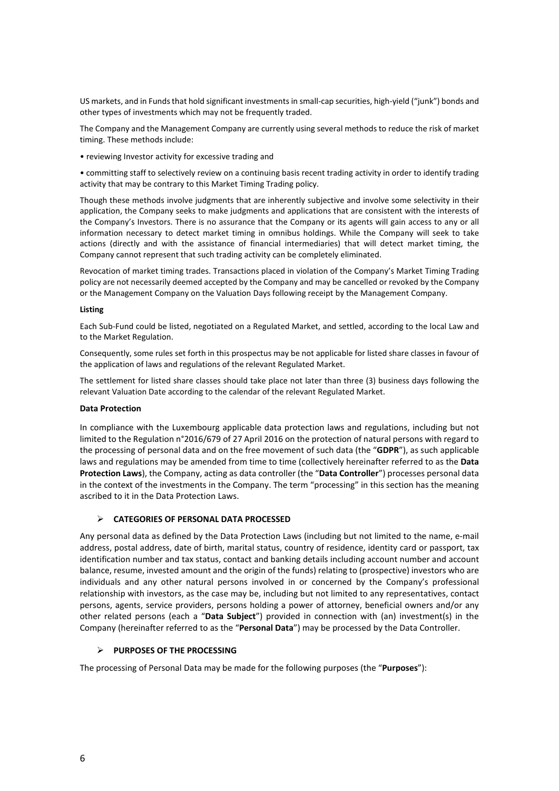US markets, and in Funds that hold significant investments in small-cap securities, high-yield ("junk") bonds and other types of investments which may not be frequently traded.

The Company and the Management Company are currently using several methods to reduce the risk of market timing. These methods include:

• reviewing Investor activity for excessive trading and

• committing staff to selectively review on a continuing basis recent trading activity in order to identify trading activity that may be contrary to this Market Timing Trading policy.

Though these methods involve judgments that are inherently subjective and involve some selectivity in their application, the Company seeks to make judgments and applications that are consistent with the interests of the Company's Investors. There is no assurance that the Company or its agents will gain access to any or all information necessary to detect market timing in omnibus holdings. While the Company will seek to take actions (directly and with the assistance of financial intermediaries) that will detect market timing, the Company cannot represent that such trading activity can be completely eliminated.

Revocation of market timing trades. Transactions placed in violation of the Company's Market Timing Trading policy are not necessarily deemed accepted by the Company and may be cancelled or revoked by the Company or the Management Company on the Valuation Days following receipt by the Management Company.

# **Listing**

Each Sub-Fund could be listed, negotiated on a Regulated Market, and settled, according to the local Law and to the Market Regulation.

Consequently, some rules set forth in this prospectus may be not applicable for listed share classes in favour of the application of laws and regulations of the relevant Regulated Market.

The settlement for listed share classes should take place not later than three (3) business days following the relevant Valuation Date according to the calendar of the relevant Regulated Market.

# **Data Protection**

In compliance with the Luxembourg applicable data protection laws and regulations, including but not limited to the Regulation n°2016/679 of 27 April 2016 on the protection of natural persons with regard to the processing of personal data and on the free movement of such data (the "**GDPR**"), as such applicable laws and regulations may be amended from time to time (collectively hereinafter referred to as the **Data Protection Laws**), the Company, acting as data controller (the "**Data Controller**") processes personal data in the context of the investments in the Company. The term "processing" in this section has the meaning ascribed to it in the Data Protection Laws.

# **CATEGORIES OF PERSONAL DATA PROCESSED**

Any personal data as defined by the Data Protection Laws (including but not limited to the name, e-mail address, postal address, date of birth, marital status, country of residence, identity card or passport, tax identification number and tax status, contact and banking details including account number and account balance, resume, invested amount and the origin of the funds) relating to (prospective) investors who are individuals and any other natural persons involved in or concerned by the Company's professional relationship with investors, as the case may be, including but not limited to any representatives, contact persons, agents, service providers, persons holding a power of attorney, beneficial owners and/or any other related persons (each a "**Data Subject**") provided in connection with (an) investment(s) in the Company (hereinafter referred to as the "**Personal Data**") may be processed by the Data Controller.

# **PURPOSES OF THE PROCESSING**

The processing of Personal Data may be made for the following purposes (the "**Purposes**"):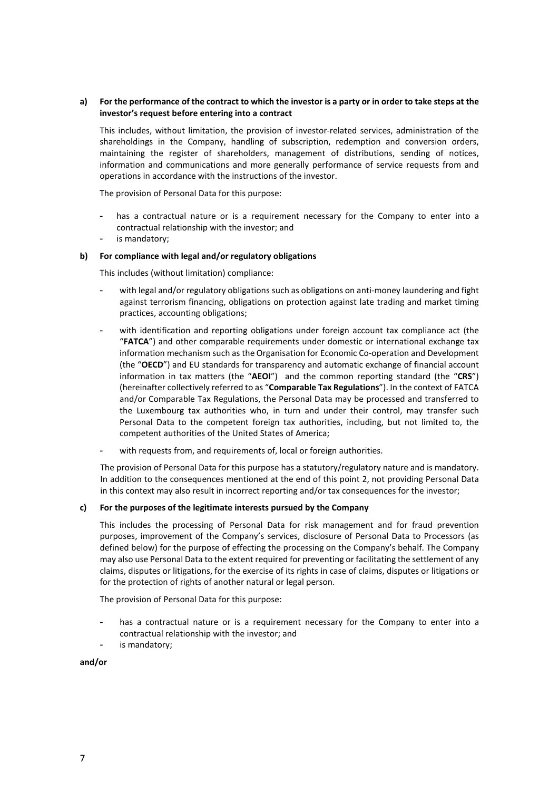# **a) For the performance of the contract to which the investor is a party or in order to take steps at the investor's request before entering into a contract**

This includes, without limitation, the provision of investor-related services, administration of the shareholdings in the Company, handling of subscription, redemption and conversion orders, maintaining the register of shareholders, management of distributions, sending of notices, information and communications and more generally performance of service requests from and operations in accordance with the instructions of the investor.

The provision of Personal Data for this purpose:

- has a contractual nature or is a requirement necessary for the Company to enter into a contractual relationship with the investor; and
- is mandatory;

# **b) For compliance with legal and/or regulatory obligations**

This includes (without limitation) compliance:

- with legal and/or regulatory obligations such as obligations on anti-money laundering and fight against terrorism financing, obligations on protection against late trading and market timing practices, accounting obligations;
- with identification and reporting obligations under foreign account tax compliance act (the "**FATCA**") and other comparable requirements under domestic or international exchange tax information mechanism such as the Organisation for Economic Co-operation and Development (the "**OECD**") and EU standards for transparency and automatic exchange of financial account information in tax matters (the "**AEOI**") and the common reporting standard (the "**CRS**") (hereinafter collectively referred to as "**Comparable Tax Regulations**"). In the context of FATCA and/or Comparable Tax Regulations, the Personal Data may be processed and transferred to the Luxembourg tax authorities who, in turn and under their control, may transfer such Personal Data to the competent foreign tax authorities, including, but not limited to, the competent authorities of the United States of America;
- with requests from, and requirements of, local or foreign authorities.

The provision of Personal Data for this purpose has a statutory/regulatory nature and is mandatory. In addition to the consequences mentioned at the end of this point 2, not providing Personal Data in this context may also result in incorrect reporting and/or tax consequences for the investor;

# **c) For the purposes of the legitimate interests pursued by the Company**

This includes the processing of Personal Data for risk management and for fraud prevention purposes, improvement of the Company's services, disclosure of Personal Data to Processors (as defined below) for the purpose of effecting the processing on the Company's behalf. The Company may also use Personal Data to the extent required for preventing or facilitating the settlement of any claims, disputes or litigations, for the exercise of its rights in case of claims, disputes or litigations or for the protection of rights of another natural or legal person.

The provision of Personal Data for this purpose:

- has a contractual nature or is a requirement necessary for the Company to enter into a contractual relationship with the investor; and
- is mandatory;

**and/or**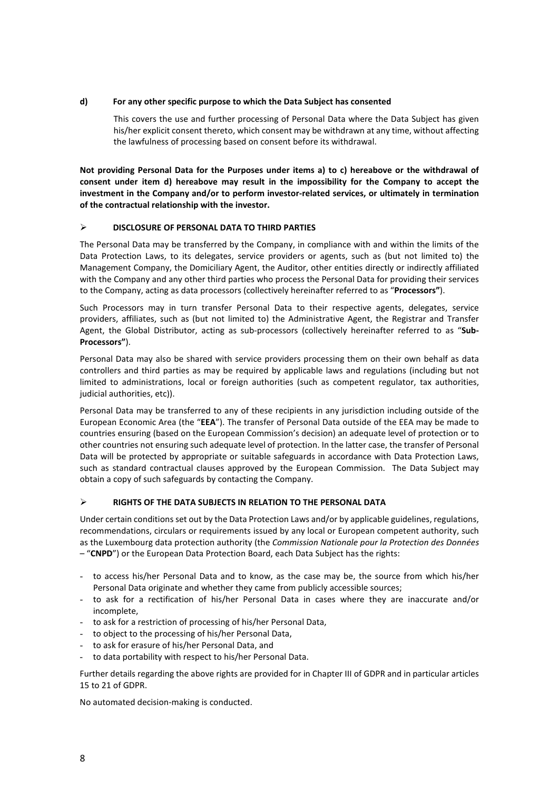# **d) For any other specific purpose to which the Data Subject has consented**

This covers the use and further processing of Personal Data where the Data Subject has given his/her explicit consent thereto, which consent may be withdrawn at any time, without affecting the lawfulness of processing based on consent before its withdrawal.

**Not providing Personal Data for the Purposes under items a) to c) hereabove or the withdrawal of consent under item d) hereabove may result in the impossibility for the Company to accept the investment in the Company and/or to perform investor-related services, or ultimately in termination of the contractual relationship with the investor.** 

# **DISCLOSURE OF PERSONAL DATA TO THIRD PARTIES**

The Personal Data may be transferred by the Company, in compliance with and within the limits of the Data Protection Laws, to its delegates, service providers or agents, such as (but not limited to) the Management Company, the Domiciliary Agent, the Auditor, other entities directly or indirectly affiliated with the Company and any other third parties who process the Personal Data for providing their services to the Company, acting as data processors (collectively hereinafter referred to as "**Processors"**).

Such Processors may in turn transfer Personal Data to their respective agents, delegates, service providers, affiliates, such as (but not limited to) the Administrative Agent, the Registrar and Transfer Agent, the Global Distributor, acting as sub-processors (collectively hereinafter referred to as "**Sub-Processors"**).

Personal Data may also be shared with service providers processing them on their own behalf as data controllers and third parties as may be required by applicable laws and regulations (including but not limited to administrations, local or foreign authorities (such as competent regulator, tax authorities, judicial authorities, etc)).

Personal Data may be transferred to any of these recipients in any jurisdiction including outside of the European Economic Area (the "**EEA**"). The transfer of Personal Data outside of the EEA may be made to countries ensuring (based on the European Commission's decision) an adequate level of protection or to other countries not ensuring such adequate level of protection. In the latter case, the transfer of Personal Data will be protected by appropriate or suitable safeguards in accordance with Data Protection Laws, such as standard contractual clauses approved by the European Commission. The Data Subject may obtain a copy of such safeguards by contacting the Company.

# **RIGHTS OF THE DATA SUBJECTS IN RELATION TO THE PERSONAL DATA**

Under certain conditions set out by the Data Protection Laws and/or by applicable guidelines, regulations, recommendations, circulars or requirements issued by any local or European competent authority, such as the Luxembourg data protection authority (the *Commission Nationale pour la Protection des Données* – "**CNPD**") or the European Data Protection Board, each Data Subject has the rights:

- to access his/her Personal Data and to know, as the case may be, the source from which his/her Personal Data originate and whether they came from publicly accessible sources;
- to ask for a rectification of his/her Personal Data in cases where they are inaccurate and/or incomplete,
- to ask for a restriction of processing of his/her Personal Data,
- to object to the processing of his/her Personal Data,
- to ask for erasure of his/her Personal Data, and
- to data portability with respect to his/her Personal Data.

Further details regarding the above rights are provided for in Chapter III of GDPR and in particular articles 15 to 21 of GDPR.

No automated decision-making is conducted.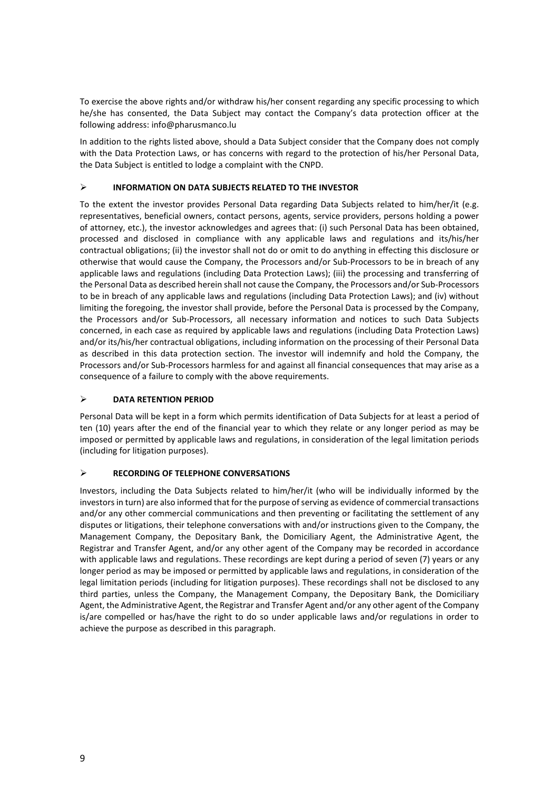To exercise the above rights and/or withdraw his/her consent regarding any specific processing to which he/she has consented, the Data Subject may contact the Company's data protection officer at the following address: info@pharusmanco.lu

In addition to the rights listed above, should a Data Subject consider that the Company does not comply with the Data Protection Laws, or has concerns with regard to the protection of his/her Personal Data, the Data Subject is entitled to lodge a complaint with the CNPD.

# **INFORMATION ON DATA SUBJECTS RELATED TO THE INVESTOR**

To the extent the investor provides Personal Data regarding Data Subjects related to him/her/it (e.g. representatives, beneficial owners, contact persons, agents, service providers, persons holding a power of attorney, etc.), the investor acknowledges and agrees that: (i) such Personal Data has been obtained, processed and disclosed in compliance with any applicable laws and regulations and its/his/her contractual obligations; (ii) the investor shall not do or omit to do anything in effecting this disclosure or otherwise that would cause the Company, the Processors and/or Sub-Processors to be in breach of any applicable laws and regulations (including Data Protection Laws); (iii) the processing and transferring of the Personal Data as described herein shall not cause the Company, the Processors and/or Sub-Processors to be in breach of any applicable laws and regulations (including Data Protection Laws); and (iv) without limiting the foregoing, the investor shall provide, before the Personal Data is processed by the Company, the Processors and/or Sub-Processors, all necessary information and notices to such Data Subjects concerned, in each case as required by applicable laws and regulations (including Data Protection Laws) and/or its/his/her contractual obligations, including information on the processing of their Personal Data as described in this data protection section. The investor will indemnify and hold the Company, the Processors and/or Sub-Processors harmless for and against all financial consequences that may arise as a consequence of a failure to comply with the above requirements.

# **DATA RETENTION PERIOD**

Personal Data will be kept in a form which permits identification of Data Subjects for at least a period of ten (10) years after the end of the financial year to which they relate or any longer period as may be imposed or permitted by applicable laws and regulations, in consideration of the legal limitation periods (including for litigation purposes).

# **RECORDING OF TELEPHONE CONVERSATIONS**

Investors, including the Data Subjects related to him/her/it (who will be individually informed by the investors in turn) are also informed that for the purpose of serving as evidence of commercial transactions and/or any other commercial communications and then preventing or facilitating the settlement of any disputes or litigations, their telephone conversations with and/or instructions given to the Company, the Management Company, the Depositary Bank, the Domiciliary Agent, the Administrative Agent, the Registrar and Transfer Agent, and/or any other agent of the Company may be recorded in accordance with applicable laws and regulations. These recordings are kept during a period of seven (7) years or any longer period as may be imposed or permitted by applicable laws and regulations, in consideration of the legal limitation periods (including for litigation purposes). These recordings shall not be disclosed to any third parties, unless the Company, the Management Company, the Depositary Bank, the Domiciliary Agent, the Administrative Agent, the Registrar and Transfer Agent and/or any other agent of the Company is/are compelled or has/have the right to do so under applicable laws and/or regulations in order to achieve the purpose as described in this paragraph.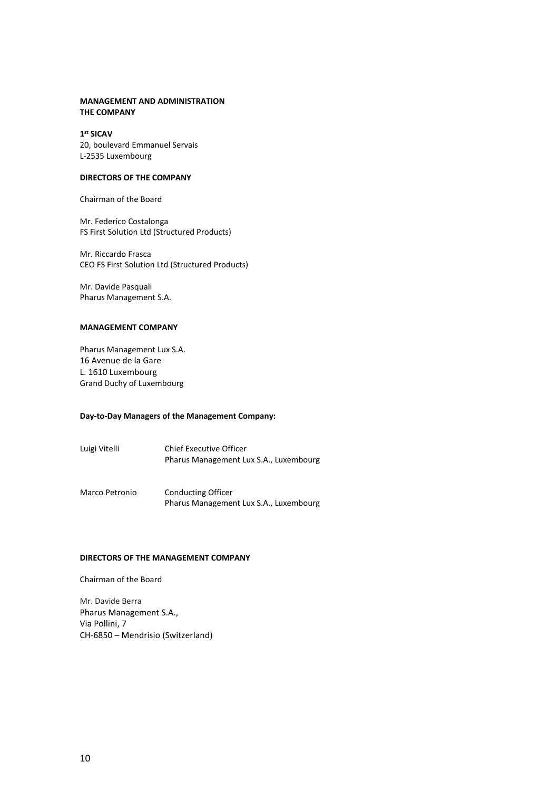# **MANAGEMENT AND ADMINISTRATION THE COMPANY**

# **1st SICAV**

20, boulevard Emmanuel Servais L-2535 Luxembourg

# **DIRECTORS OF THE COMPANY**

Chairman of the Board

Mr. Federico Costalonga FS First Solution Ltd (Structured Products)

Mr. Riccardo Frasca CEO FS First Solution Ltd (Structured Products)

Mr. Davide Pasquali Pharus Management S.A.

# **MANAGEMENT COMPANY**

Pharus Management Lux S.A. 16 Avenue de la Gare L. 1610 Luxembourg Grand Duchy of Luxembourg

# **Day-to-Day Managers of the Management Company:**

- Luigi Vitelli Chief Executive Officer Pharus Management Lux S.A., Luxembourg
- Marco Petronio Conducting Officer Pharus Management Lux S.A., Luxembourg

# **DIRECTORS OF THE MANAGEMENT COMPANY**

Chairman of the Board

Mr. Davide Berra Pharus Management S.A., Via Pollini, 7 CH-6850 – Mendrisio (Switzerland)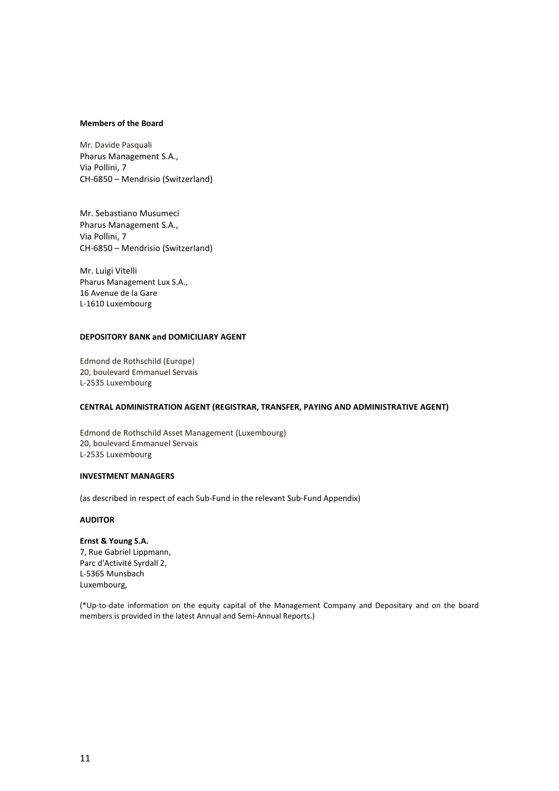#### **Members of the Board**

Mr. Davide Pasquali Pharus Management S.A., Via Pollini, 7 CH-6850 – Mendrisio (Switzerland)

Mr. Sebastiano Musumeci Pharus Management S.A., Via Pollini, 7 CH-6850 – Mendrisio (Switzerland)

Mr. Luigi Vitelli Pharus Management Lux S.A., 16 Avenue de la Gare L-1610 Luxembourg

# **DEPOSITORY BANK and DOMICILIARY AGENT**

Edmond de Rothschild (Europe) 20, boulevard Emmanuel Servais L-2535 Luxembourg

# **CENTRAL ADMINISTRATION AGENT (REGISTRAR, TRANSFER, PAYING AND ADMINISTRATIVE AGENT)**

Edmond de Rothschild Asset Management (Luxembourg) 20, boulevard Emmanuel Servais L-2535 Luxembourg

#### **INVESTMENT MANAGERS**

(as described in respect of each Sub-Fund in the relevant Sub-Fund Appendix)

# **AUDITOR**

**Ernst & Young S.A.** 7, Rue Gabriel Lippmann, Parc d'Activité Syrdall 2, L-5365 Munsbach Luxembourg,

(\*Up-to-date information on the equity capital of the Management Company and Depositary and on the board members is provided in the latest Annual and Semi-Annual Reports.)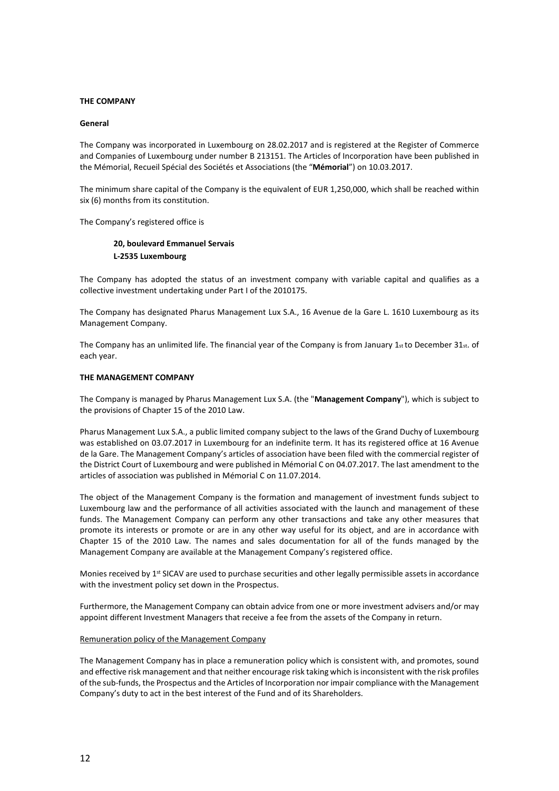#### **THE COMPANY**

#### **General**

The Company was incorporated in Luxembourg on 28.02.2017 and is registered at the Register of Commerce and Companies of Luxembourg under number B 213151. The Articles of Incorporation have been published in the Mémorial, Recueil Spécial des Sociétés et Associations (the "**Mémorial**") on 10.03.2017.

The minimum share capital of the Company is the equivalent of EUR 1,250,000, which shall be reached within six (6) months from its constitution.

The Company's registered office is

# **20, boulevard Emmanuel Servais L-2535 Luxembourg**

The Company has adopted the status of an investment company with variable capital and qualifies as a collective investment undertaking under Part I of the 2010175.

The Company has designated Pharus Management Lux S.A., 16 Avenue de la Gare L. 1610 Luxembourg as its Management Company.

The Company has an unlimited life. The financial year of the Company is from January 1 $st$  to December 31 $st$ . of each year.

# **THE MANAGEMENT COMPANY**

The Company is managed by Pharus Management Lux S.A. (the "**Management Company**"), which is subject to the provisions of Chapter 15 of the 2010 Law.

Pharus Management Lux S.A., a public limited company subject to the laws of the Grand Duchy of Luxembourg was established on 03.07.2017 in Luxembourg for an indefinite term. It has its registered office at 16 Avenue de la Gare. The Management Company's articles of association have been filed with the commercial register of the District Court of Luxembourg and were published in Mémorial C on 04.07.2017. The last amendment to the articles of association was published in Mémorial C on 11.07.2014.

The object of the Management Company is the formation and management of investment funds subject to Luxembourg law and the performance of all activities associated with the launch and management of these funds. The Management Company can perform any other transactions and take any other measures that promote its interests or promote or are in any other way useful for its object, and are in accordance with Chapter 15 of the 2010 Law. The names and sales documentation for all of the funds managed by the Management Company are available at the Management Company's registered office.

Monies received by 1<sup>st</sup> SICAV are used to purchase securities and other legally permissible assets in accordance with the investment policy set down in the Prospectus.

Furthermore, the Management Company can obtain advice from one or more investment advisers and/or may appoint different Investment Managers that receive a fee from the assets of the Company in return.

# Remuneration policy of the Management Company

The Management Company has in place a remuneration policy which is consistent with, and promotes, sound and effective risk management and that neither encourage risk taking which is inconsistent with the risk profiles of the sub-funds, the Prospectus and the Articles of Incorporation nor impair compliance with the Management Company's duty to act in the best interest of the Fund and of its Shareholders.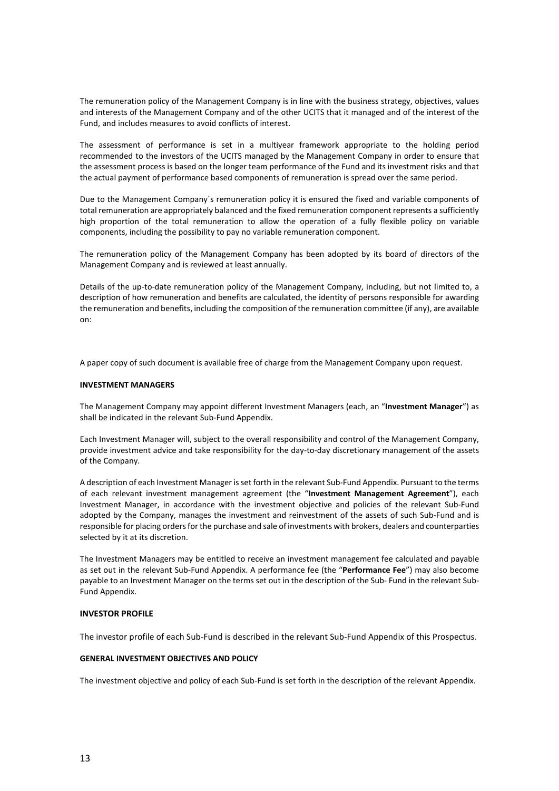The remuneration policy of the Management Company is in line with the business strategy, objectives, values and interests of the Management Company and of the other UCITS that it managed and of the interest of the Fund, and includes measures to avoid conflicts of interest.

The assessment of performance is set in a multiyear framework appropriate to the holding period recommended to the investors of the UCITS managed by the Management Company in order to ensure that the assessment process is based on the longer team performance of the Fund and its investment risks and that the actual payment of performance based components of remuneration is spread over the same period.

Due to the Management Company`s remuneration policy it is ensured the fixed and variable components of total remuneration are appropriately balanced and the fixed remuneration component represents a sufficiently high proportion of the total remuneration to allow the operation of a fully flexible policy on variable components, including the possibility to pay no variable remuneration component.

The remuneration policy of the Management Company has been adopted by its board of directors of the Management Company and is reviewed at least annually.

Details of the up-to-date remuneration policy of the Management Company, including, but not limited to, a description of how remuneration and benefits are calculated, the identity of persons responsible for awarding the remuneration and benefits, including the composition of the remuneration committee (if any), are available on:

A paper copy of such document is available free of charge from the Management Company upon request.

# **INVESTMENT MANAGERS**

The Management Company may appoint different Investment Managers (each, an "**Investment Manager**") as shall be indicated in the relevant Sub-Fund Appendix.

Each Investment Manager will, subject to the overall responsibility and control of the Management Company, provide investment advice and take responsibility for the day-to-day discretionary management of the assets of the Company.

A description of each Investment Manager is set forth in the relevant Sub-Fund Appendix. Pursuant to the terms of each relevant investment management agreement (the "**Investment Management Agreement**"), each Investment Manager, in accordance with the investment objective and policies of the relevant Sub-Fund adopted by the Company, manages the investment and reinvestment of the assets of such Sub-Fund and is responsible for placing orders for the purchase and sale of investments with brokers, dealers and counterparties selected by it at its discretion.

The Investment Managers may be entitled to receive an investment management fee calculated and payable as set out in the relevant Sub-Fund Appendix. A performance fee (the "**Performance Fee**") may also become payable to an Investment Manager on the terms set out in the description of the Sub- Fund in the relevant Sub-Fund Appendix.

# **INVESTOR PROFILE**

The investor profile of each Sub-Fund is described in the relevant Sub-Fund Appendix of this Prospectus.

# **GENERAL INVESTMENT OBJECTIVES AND POLICY**

The investment objective and policy of each Sub-Fund is set forth in the description of the relevant Appendix.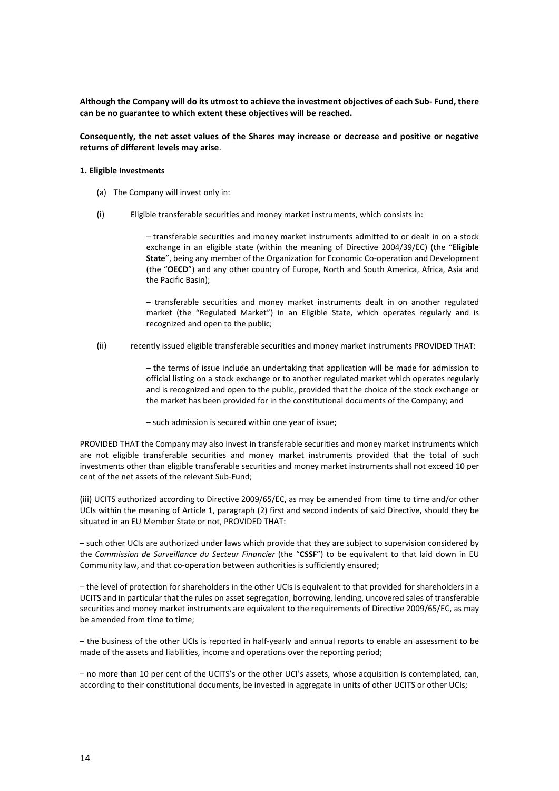**Although the Company will do its utmost to achieve the investment objectives of each Sub- Fund, there can be no guarantee to which extent these objectives will be reached.**

**Consequently, the net asset values of the Shares may increase or decrease and positive or negative returns of different levels may arise**.

#### **1. Eligible investments**

- (a) The Company will invest only in:
- (i) Eligible transferable securities and money market instruments, which consists in:

– transferable securities and money market instruments admitted to or dealt in on a stock exchange in an eligible state (within the meaning of Directive 2004/39/EC) (the "**Eligible State**", being any member of the Organization for Economic Co-operation and Development (the "**OECD**") and any other country of Europe, North and South America, Africa, Asia and the Pacific Basin);

– transferable securities and money market instruments dealt in on another regulated market (the "Regulated Market") in an Eligible State, which operates regularly and is recognized and open to the public;

(ii) recently issued eligible transferable securities and money market instruments PROVIDED THAT:

– the terms of issue include an undertaking that application will be made for admission to official listing on a stock exchange or to another regulated market which operates regularly and is recognized and open to the public, provided that the choice of the stock exchange or the market has been provided for in the constitutional documents of the Company; and

– such admission is secured within one year of issue;

PROVIDED THAT the Company may also invest in transferable securities and money market instruments which are not eligible transferable securities and money market instruments provided that the total of such investments other than eligible transferable securities and money market instruments shall not exceed 10 per cent of the net assets of the relevant Sub-Fund;

(iii) UCITS authorized according to Directive 2009/65/EC, as may be amended from time to time and/or other UCIs within the meaning of Article 1, paragraph (2) first and second indents of said Directive, should they be situated in an EU Member State or not, PROVIDED THAT:

– such other UCIs are authorized under laws which provide that they are subject to supervision considered by the *Commission de Surveillance du Secteur Financier* (the "**CSSF**") to be equivalent to that laid down in EU Community law, and that co-operation between authorities is sufficiently ensured;

– the level of protection for shareholders in the other UCIs is equivalent to that provided for shareholders in a UCITS and in particular that the rules on asset segregation, borrowing, lending, uncovered sales of transferable securities and money market instruments are equivalent to the requirements of Directive 2009/65/EC, as may be amended from time to time;

– the business of the other UCIs is reported in half-yearly and annual reports to enable an assessment to be made of the assets and liabilities, income and operations over the reporting period;

– no more than 10 per cent of the UCITS's or the other UCI's assets, whose acquisition is contemplated, can, according to their constitutional documents, be invested in aggregate in units of other UCITS or other UCIs;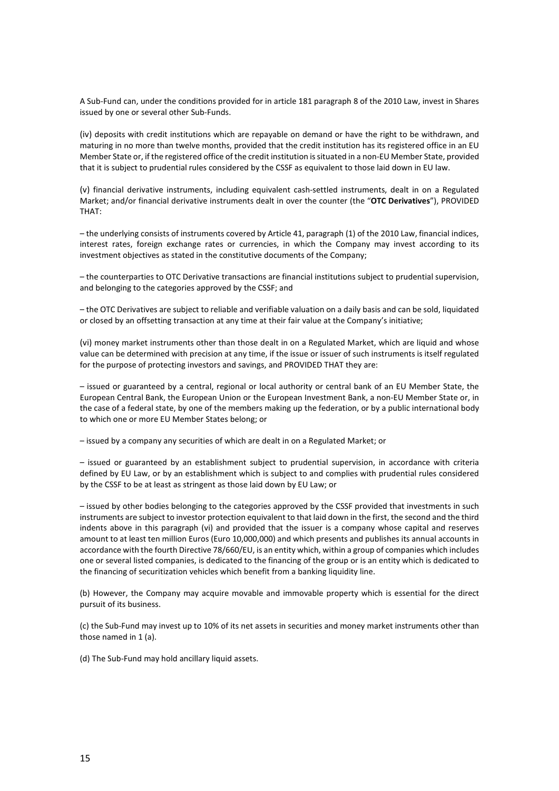A Sub-Fund can, under the conditions provided for in article 181 paragraph 8 of the 2010 Law, invest in Shares issued by one or several other Sub-Funds.

(iv) deposits with credit institutions which are repayable on demand or have the right to be withdrawn, and maturing in no more than twelve months, provided that the credit institution has its registered office in an EU Member State or, if the registered office of the credit institution is situated in a non-EU Member State, provided that it is subject to prudential rules considered by the CSSF as equivalent to those laid down in EU law.

(v) financial derivative instruments, including equivalent cash-settled instruments, dealt in on a Regulated Market; and/or financial derivative instruments dealt in over the counter (the "**OTC Derivatives**"), PROVIDED THAT:

– the underlying consists of instruments covered by Article 41, paragraph (1) of the 2010 Law, financial indices, interest rates, foreign exchange rates or currencies, in which the Company may invest according to its investment objectives as stated in the constitutive documents of the Company;

– the counterparties to OTC Derivative transactions are financial institutions subject to prudential supervision, and belonging to the categories approved by the CSSF; and

– the OTC Derivatives are subject to reliable and verifiable valuation on a daily basis and can be sold, liquidated or closed by an offsetting transaction at any time at their fair value at the Company's initiative;

(vi) money market instruments other than those dealt in on a Regulated Market, which are liquid and whose value can be determined with precision at any time, if the issue or issuer of such instruments is itself regulated for the purpose of protecting investors and savings, and PROVIDED THAT they are:

– issued or guaranteed by a central, regional or local authority or central bank of an EU Member State, the European Central Bank, the European Union or the European Investment Bank, a non-EU Member State or, in the case of a federal state, by one of the members making up the federation, or by a public international body to which one or more EU Member States belong; or

– issued by a company any securities of which are dealt in on a Regulated Market; or

– issued or guaranteed by an establishment subject to prudential supervision, in accordance with criteria defined by EU Law, or by an establishment which is subject to and complies with prudential rules considered by the CSSF to be at least as stringent as those laid down by EU Law; or

– issued by other bodies belonging to the categories approved by the CSSF provided that investments in such instruments are subject to investor protection equivalent to that laid down in the first, the second and the third indents above in this paragraph (vi) and provided that the issuer is a company whose capital and reserves amount to at least ten million Euros (Euro 10,000,000) and which presents and publishes its annual accounts in accordance with the fourth Directive 78/660/EU, is an entity which, within a group of companies which includes one or several listed companies, is dedicated to the financing of the group or is an entity which is dedicated to the financing of securitization vehicles which benefit from a banking liquidity line.

(b) However, the Company may acquire movable and immovable property which is essential for the direct pursuit of its business.

(c) the Sub-Fund may invest up to 10% of its net assets in securities and money market instruments other than those named in 1 (a).

(d) The Sub-Fund may hold ancillary liquid assets.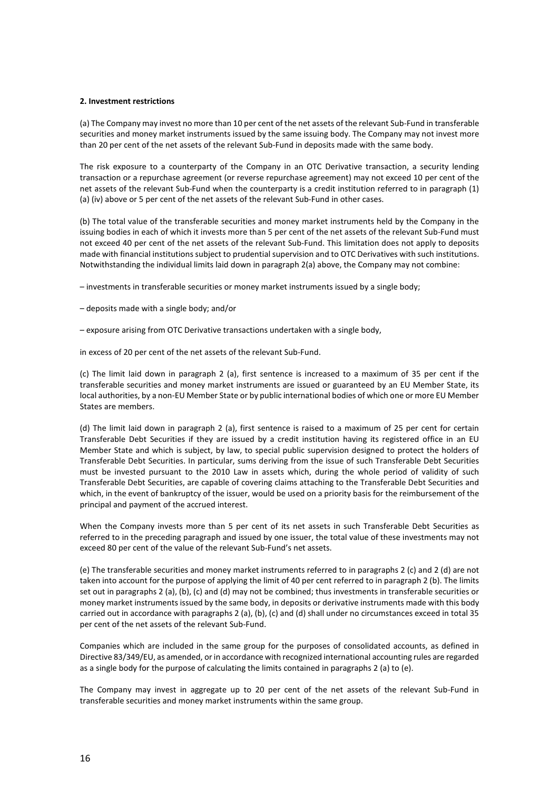#### **2. Investment restrictions**

(a) The Company may invest no more than 10 per cent of the net assets of the relevant Sub-Fund in transferable securities and money market instruments issued by the same issuing body. The Company may not invest more than 20 per cent of the net assets of the relevant Sub-Fund in deposits made with the same body.

The risk exposure to a counterparty of the Company in an OTC Derivative transaction, a security lending transaction or a repurchase agreement (or reverse repurchase agreement) may not exceed 10 per cent of the net assets of the relevant Sub-Fund when the counterparty is a credit institution referred to in paragraph (1) (a) (iv) above or 5 per cent of the net assets of the relevant Sub-Fund in other cases.

(b) The total value of the transferable securities and money market instruments held by the Company in the issuing bodies in each of which it invests more than 5 per cent of the net assets of the relevant Sub-Fund must not exceed 40 per cent of the net assets of the relevant Sub-Fund. This limitation does not apply to deposits made with financial institutions subject to prudential supervision and to OTC Derivatives with such institutions. Notwithstanding the individual limits laid down in paragraph 2(a) above, the Company may not combine:

– investments in transferable securities or money market instruments issued by a single body;

- deposits made with a single body; and/or
- exposure arising from OTC Derivative transactions undertaken with a single body,

in excess of 20 per cent of the net assets of the relevant Sub-Fund.

(c) The limit laid down in paragraph 2 (a), first sentence is increased to a maximum of 35 per cent if the transferable securities and money market instruments are issued or guaranteed by an EU Member State, its local authorities, by a non-EU Member State or by public international bodies of which one or more EU Member States are members.

(d) The limit laid down in paragraph 2 (a), first sentence is raised to a maximum of 25 per cent for certain Transferable Debt Securities if they are issued by a credit institution having its registered office in an EU Member State and which is subject, by law, to special public supervision designed to protect the holders of Transferable Debt Securities. In particular, sums deriving from the issue of such Transferable Debt Securities must be invested pursuant to the 2010 Law in assets which, during the whole period of validity of such Transferable Debt Securities, are capable of covering claims attaching to the Transferable Debt Securities and which, in the event of bankruptcy of the issuer, would be used on a priority basis for the reimbursement of the principal and payment of the accrued interest.

When the Company invests more than 5 per cent of its net assets in such Transferable Debt Securities as referred to in the preceding paragraph and issued by one issuer, the total value of these investments may not exceed 80 per cent of the value of the relevant Sub-Fund's net assets.

(e) The transferable securities and money market instruments referred to in paragraphs 2 (c) and 2 (d) are not taken into account for the purpose of applying the limit of 40 per cent referred to in paragraph 2 (b). The limits set out in paragraphs 2 (a), (b), (c) and (d) may not be combined; thus investments in transferable securities or money market instruments issued by the same body, in deposits or derivative instruments made with this body carried out in accordance with paragraphs 2 (a), (b), (c) and (d) shall under no circumstances exceed in total 35 per cent of the net assets of the relevant Sub-Fund.

Companies which are included in the same group for the purposes of consolidated accounts, as defined in Directive 83/349/EU, as amended, or in accordance with recognized international accounting rules are regarded as a single body for the purpose of calculating the limits contained in paragraphs 2 (a) to (e).

The Company may invest in aggregate up to 20 per cent of the net assets of the relevant Sub-Fund in transferable securities and money market instruments within the same group.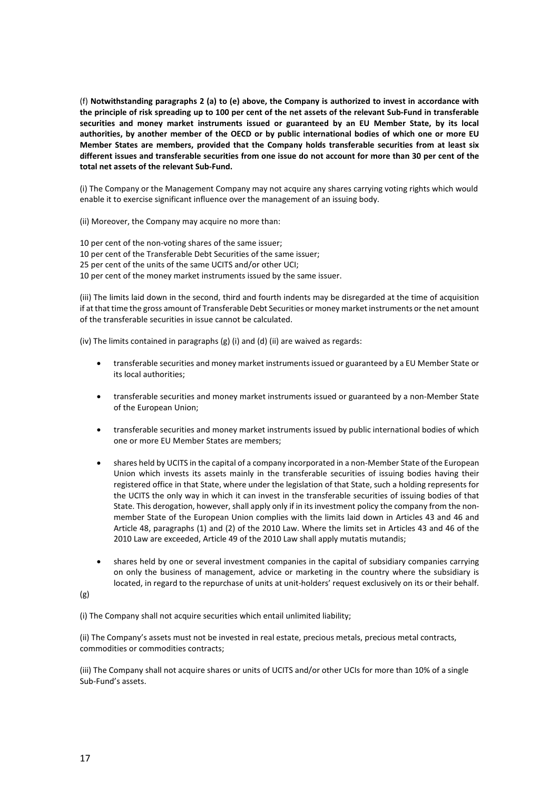(f) **Notwithstanding paragraphs 2 (a) to (e) above, the Company is authorized to invest in accordance with the principle of risk spreading up to 100 per cent of the net assets of the relevant Sub-Fund in transferable securities and money market instruments issued or guaranteed by an EU Member State, by its local authorities, by another member of the OECD or by public international bodies of which one or more EU Member States are members, provided that the Company holds transferable securities from at least six different issues and transferable securities from one issue do not account for more than 30 per cent of the total net assets of the relevant Sub-Fund.**

(i) The Company or the Management Company may not acquire any shares carrying voting rights which would enable it to exercise significant influence over the management of an issuing body.

(ii) Moreover, the Company may acquire no more than:

10 per cent of the non-voting shares of the same issuer;

10 per cent of the Transferable Debt Securities of the same issuer;

25 per cent of the units of the same UCITS and/or other UCI;

10 per cent of the money market instruments issued by the same issuer.

(iii) The limits laid down in the second, third and fourth indents may be disregarded at the time of acquisition if at that time the gross amount of Transferable Debt Securities or money market instruments or the net amount of the transferable securities in issue cannot be calculated.

(iv) The limits contained in paragraphs (g) (i) and (d) (ii) are waived as regards:

- transferable securities and money market instruments issued or guaranteed by a EU Member State or its local authorities;
- transferable securities and money market instruments issued or guaranteed by a non-Member State of the European Union;
- transferable securities and money market instruments issued by public international bodies of which one or more EU Member States are members;
- shares held by UCITS in the capital of a company incorporated in a non-Member State of the European Union which invests its assets mainly in the transferable securities of issuing bodies having their registered office in that State, where under the legislation of that State, such a holding represents for the UCITS the only way in which it can invest in the transferable securities of issuing bodies of that State. This derogation, however, shall apply only if in its investment policy the company from the nonmember State of the European Union complies with the limits laid down in Articles 43 and 46 and Article 48, paragraphs (1) and (2) of the 2010 Law. Where the limits set in Articles 43 and 46 of the 2010 Law are exceeded, Article 49 of the 2010 Law shall apply mutatis mutandis;
- shares held by one or several investment companies in the capital of subsidiary companies carrying on only the business of management, advice or marketing in the country where the subsidiary is located, in regard to the repurchase of units at unit-holders' request exclusively on its or their behalf.

(g)

(i) The Company shall not acquire securities which entail unlimited liability;

(ii) The Company's assets must not be invested in real estate, precious metals, precious metal contracts, commodities or commodities contracts;

(iii) The Company shall not acquire shares or units of UCITS and/or other UCIs for more than 10% of a single Sub-Fund's assets.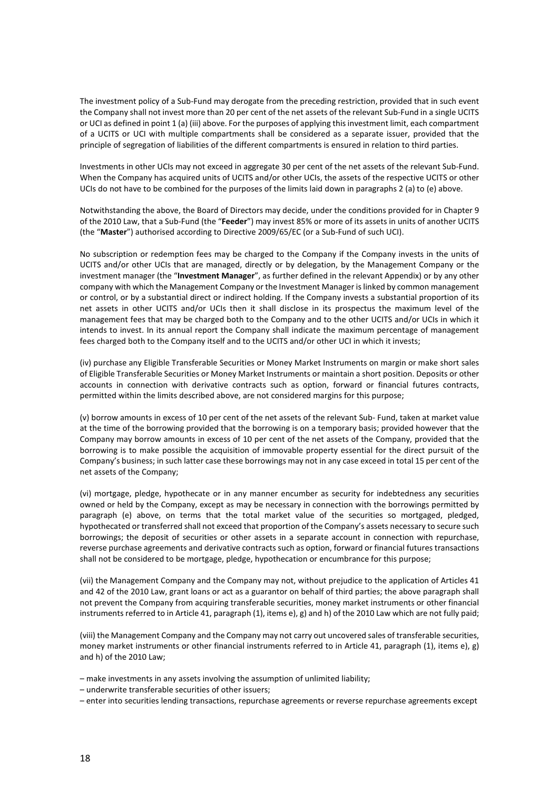The investment policy of a Sub-Fund may derogate from the preceding restriction, provided that in such event the Company shall not invest more than 20 per cent of the net assets of the relevant Sub-Fund in a single UCITS or UCI as defined in point 1 (a) (iii) above. For the purposes of applying this investment limit, each compartment of a UCITS or UCI with multiple compartments shall be considered as a separate issuer, provided that the principle of segregation of liabilities of the different compartments is ensured in relation to third parties.

Investments in other UCIs may not exceed in aggregate 30 per cent of the net assets of the relevant Sub-Fund. When the Company has acquired units of UCITS and/or other UCIs, the assets of the respective UCITS or other UCIs do not have to be combined for the purposes of the limits laid down in paragraphs 2 (a) to (e) above.

Notwithstanding the above, the Board of Directors may decide, under the conditions provided for in Chapter 9 of the 2010 Law, that a Sub-Fund (the "**Feeder**") may invest 85% or more of its assets in units of another UCITS (the "**Master**") authorised according to Directive 2009/65/EC (or a Sub-Fund of such UCI).

No subscription or redemption fees may be charged to the Company if the Company invests in the units of UCITS and/or other UCIs that are managed, directly or by delegation, by the Management Company or the investment manager (the "**Investment Manager**", as further defined in the relevant Appendix) or by any other company with which the Management Company or the Investment Manager is linked by common management or control, or by a substantial direct or indirect holding. If the Company invests a substantial proportion of its net assets in other UCITS and/or UCIs then it shall disclose in its prospectus the maximum level of the management fees that may be charged both to the Company and to the other UCITS and/or UCIs in which it intends to invest. In its annual report the Company shall indicate the maximum percentage of management fees charged both to the Company itself and to the UCITS and/or other UCI in which it invests;

(iv) purchase any Eligible Transferable Securities or Money Market Instruments on margin or make short sales of Eligible Transferable Securities or Money Market Instruments or maintain a short position. Deposits or other accounts in connection with derivative contracts such as option, forward or financial futures contracts, permitted within the limits described above, are not considered margins for this purpose;

(v) borrow amounts in excess of 10 per cent of the net assets of the relevant Sub- Fund, taken at market value at the time of the borrowing provided that the borrowing is on a temporary basis; provided however that the Company may borrow amounts in excess of 10 per cent of the net assets of the Company, provided that the borrowing is to make possible the acquisition of immovable property essential for the direct pursuit of the Company's business; in such latter case these borrowings may not in any case exceed in total 15 per cent of the net assets of the Company;

(vi) mortgage, pledge, hypothecate or in any manner encumber as security for indebtedness any securities owned or held by the Company, except as may be necessary in connection with the borrowings permitted by paragraph (e) above, on terms that the total market value of the securities so mortgaged, pledged, hypothecated or transferred shall not exceed that proportion of the Company's assets necessary to secure such borrowings; the deposit of securities or other assets in a separate account in connection with repurchase, reverse purchase agreements and derivative contracts such as option, forward or financial futures transactions shall not be considered to be mortgage, pledge, hypothecation or encumbrance for this purpose;

(vii) the Management Company and the Company may not, without prejudice to the application of Articles 41 and 42 of the 2010 Law, grant loans or act as a guarantor on behalf of third parties; the above paragraph shall not prevent the Company from acquiring transferable securities, money market instruments or other financial instruments referred to in Article 41, paragraph (1), items e), g) and h) of the 2010 Law which are not fully paid;

(viii) the Management Company and the Company may not carry out uncovered sales of transferable securities, money market instruments or other financial instruments referred to in Article 41, paragraph (1), items e), g) and h) of the 2010 Law;

- make investments in any assets involving the assumption of unlimited liability;
- underwrite transferable securities of other issuers;
- enter into securities lending transactions, repurchase agreements or reverse repurchase agreements except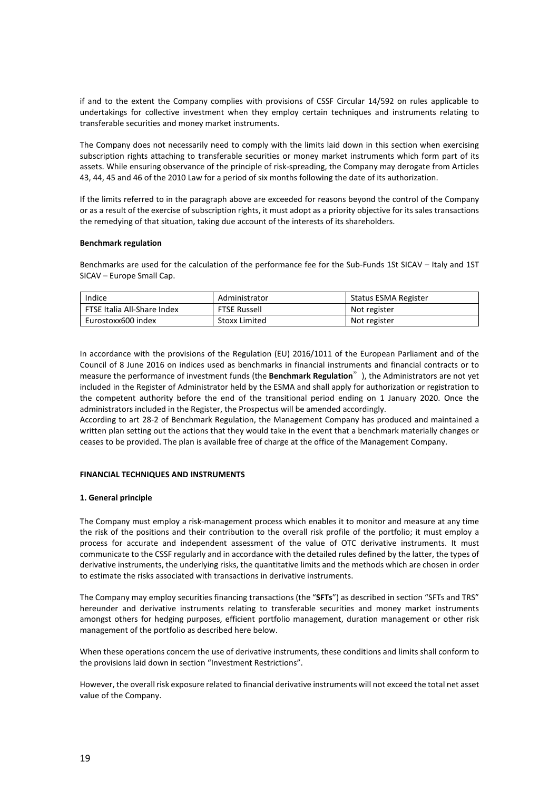if and to the extent the Company complies with provisions of CSSF Circular 14/592 on rules applicable to undertakings for collective investment when they employ certain techniques and instruments relating to transferable securities and money market instruments.

The Company does not necessarily need to comply with the limits laid down in this section when exercising subscription rights attaching to transferable securities or money market instruments which form part of its assets. While ensuring observance of the principle of risk-spreading, the Company may derogate from Articles 43, 44, 45 and 46 of the 2010 Law for a period of six months following the date of its authorization.

If the limits referred to in the paragraph above are exceeded for reasons beyond the control of the Company or as a result of the exercise of subscription rights, it must adopt as a priority objective for its sales transactions the remedying of that situation, taking due account of the interests of its shareholders.

# **Benchmark regulation**

Benchmarks are used for the calculation of the performance fee for the Sub-Funds 1St SICAV – Italy and 1ST SICAV – Europe Small Cap.

| Indice                      | Administrator | Status ESMA Register |
|-----------------------------|---------------|----------------------|
| FTSE Italia All-Share Index | FTSE Russell  | Not register         |
| Eurostoxx600 index          | Stoxx Limited | Not register         |

In accordance with the provisions of the Regulation (EU) 2016/1011 of the European Parliament and of the Council of 8 June 2016 on indices used as benchmarks in financial instruments and financial contracts or to measure the performance of investment funds (the **Benchmark Regulation**"), the Administrators are not yet included in the Register of Administrator held by the ESMA and shall apply for authorization or registration to the competent authority before the end of the transitional period ending on 1 January 2020. Once the administrators included in the Register, the Prospectus will be amended accordingly.

According to art 28-2 of Benchmark Regulation, the Management Company has produced and maintained a written plan setting out the actions that they would take in the event that a benchmark materially changes or ceases to be provided. The plan is available free of charge at the office of the Management Company.

# **FINANCIAL TECHNIQUES AND INSTRUMENTS**

# **1. General principle**

The Company must employ a risk-management process which enables it to monitor and measure at any time the risk of the positions and their contribution to the overall risk profile of the portfolio; it must employ a process for accurate and independent assessment of the value of OTC derivative instruments. It must communicate to the CSSF regularly and in accordance with the detailed rules defined by the latter, the types of derivative instruments, the underlying risks, the quantitative limits and the methods which are chosen in order to estimate the risks associated with transactions in derivative instruments.

The Company may employ securities financing transactions (the "**SFTs**") as described in section "SFTs and TRS" hereunder and derivative instruments relating to transferable securities and money market instruments amongst others for hedging purposes, efficient portfolio management, duration management or other risk management of the portfolio as described here below.

When these operations concern the use of derivative instruments, these conditions and limits shall conform to the provisions laid down in section "Investment Restrictions".

However, the overall risk exposure related to financial derivative instruments will not exceed the total net asset value of the Company.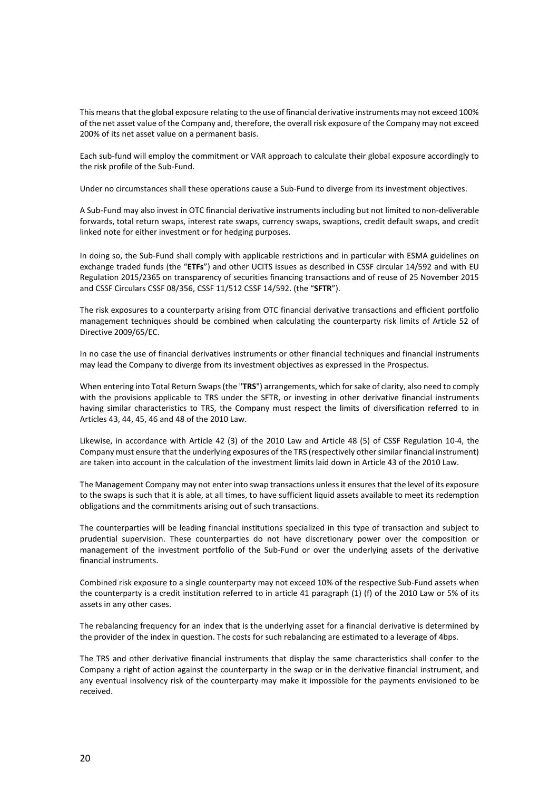This means that the global exposure relating to the use of financial derivative instruments may not exceed 100% of the net asset value of the Company and, therefore, the overall risk exposure of the Company may not exceed 200% of its net asset value on a permanent basis.

Each sub-fund will employ the commitment or VAR approach to calculate their global exposure accordingly to the risk profile of the Sub-Fund.

Under no circumstances shall these operations cause a Sub-Fund to diverge from its investment objectives.

A Sub-Fund may also invest in OTC financial derivative instruments including but not limited to non-deliverable forwards, total return swaps, interest rate swaps, currency swaps, swaptions, credit default swaps, and credit linked note for either investment or for hedging purposes.

In doing so, the Sub-Fund shall comply with applicable restrictions and in particular with ESMA guidelines on exchange traded funds (the "**ETFs**") and other UCITS issues as described in CSSF circular 14/592 and with EU Regulation 2015/2365 on transparency of securities financing transactions and of reuse of 25 November 2015 and CSSF Circulars CSSF 08/356, CSSF 11/512 CSSF 14/592. (the "**SFTR**").

The risk exposures to a counterparty arising from OTC financial derivative transactions and efficient portfolio management techniques should be combined when calculating the counterparty risk limits of Article 52 of Directive 2009/65/EC.

In no case the use of financial derivatives instruments or other financial techniques and financial instruments may lead the Company to diverge from its investment objectives as expressed in the Prospectus.

When entering into Total Return Swaps (the "**TRS**") arrangements, which for sake of clarity, also need to comply with the provisions applicable to TRS under the SFTR, or investing in other derivative financial instruments having similar characteristics to TRS, the Company must respect the limits of diversification referred to in Articles 43, 44, 45, 46 and 48 of the 2010 Law.

Likewise, in accordance with Article 42 (3) of the 2010 Law and Article 48 (5) of CSSF Regulation 10-4, the Company must ensure that the underlying exposures of the TRS (respectively other similar financial instrument) are taken into account in the calculation of the investment limits laid down in Article 43 of the 2010 Law.

The Management Company may not enter into swap transactions unless it ensures that the level of its exposure to the swaps is such that it is able, at all times, to have sufficient liquid assets available to meet its redemption obligations and the commitments arising out of such transactions.

The counterparties will be leading financial institutions specialized in this type of transaction and subject to prudential supervision. These counterparties do not have discretionary power over the composition or management of the investment portfolio of the Sub-Fund or over the underlying assets of the derivative financial instruments.

Combined risk exposure to a single counterparty may not exceed 10% of the respective Sub-Fund assets when the counterparty is a credit institution referred to in article 41 paragraph (1) (f) of the 2010 Law or 5% of its assets in any other cases.

The rebalancing frequency for an index that is the underlying asset for a financial derivative is determined by the provider of the index in question. The costs for such rebalancing are estimated to a leverage of 4bps.

The TRS and other derivative financial instruments that display the same characteristics shall confer to the Company a right of action against the counterparty in the swap or in the derivative financial instrument, and any eventual insolvency risk of the counterparty may make it impossible for the payments envisioned to be received.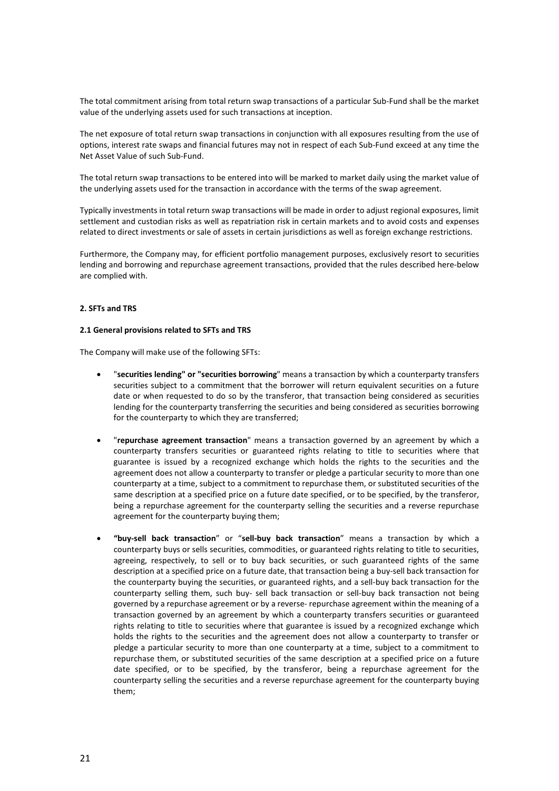The total commitment arising from total return swap transactions of a particular Sub-Fund shall be the market value of the underlying assets used for such transactions at inception.

The net exposure of total return swap transactions in conjunction with all exposures resulting from the use of options, interest rate swaps and financial futures may not in respect of each Sub-Fund exceed at any time the Net Asset Value of such Sub-Fund.

The total return swap transactions to be entered into will be marked to market daily using the market value of the underlying assets used for the transaction in accordance with the terms of the swap agreement.

Typically investments in total return swap transactions will be made in order to adjust regional exposures, limit settlement and custodian risks as well as repatriation risk in certain markets and to avoid costs and expenses related to direct investments or sale of assets in certain jurisdictions as well as foreign exchange restrictions.

Furthermore, the Company may, for efficient portfolio management purposes, exclusively resort to securities lending and borrowing and repurchase agreement transactions, provided that the rules described here-below are complied with.

# **2. SFTs and TRS**

# **2.1 General provisions related to SFTs and TRS**

The Company will make use of the following SFTs:

- "**securities lending" or "securities borrowing**" means a transaction by which a counterparty transfers securities subject to a commitment that the borrower will return equivalent securities on a future date or when requested to do so by the transferor, that transaction being considered as securities lending for the counterparty transferring the securities and being considered as securities borrowing for the counterparty to which they are transferred;
- "**repurchase agreement transaction**" means a transaction governed by an agreement by which a counterparty transfers securities or guaranteed rights relating to title to securities where that guarantee is issued by a recognized exchange which holds the rights to the securities and the agreement does not allow a counterparty to transfer or pledge a particular security to more than one counterparty at a time, subject to a commitment to repurchase them, or substituted securities of the same description at a specified price on a future date specified, or to be specified, by the transferor, being a repurchase agreement for the counterparty selling the securities and a reverse repurchase agreement for the counterparty buying them;
- **"buy-sell back transaction**" or "**sell-buy back transaction**" means a transaction by which a counterparty buys or sells securities, commodities, or guaranteed rights relating to title to securities, agreeing, respectively, to sell or to buy back securities, or such guaranteed rights of the same description at a specified price on a future date, that transaction being a buy-sell back transaction for the counterparty buying the securities, or guaranteed rights, and a sell-buy back transaction for the counterparty selling them, such buy- sell back transaction or sell-buy back transaction not being governed by a repurchase agreement or by a reverse- repurchase agreement within the meaning of a transaction governed by an agreement by which a counterparty transfers securities or guaranteed rights relating to title to securities where that guarantee is issued by a recognized exchange which holds the rights to the securities and the agreement does not allow a counterparty to transfer or pledge a particular security to more than one counterparty at a time, subject to a commitment to repurchase them, or substituted securities of the same description at a specified price on a future date specified, or to be specified, by the transferor, being a repurchase agreement for the counterparty selling the securities and a reverse repurchase agreement for the counterparty buying them;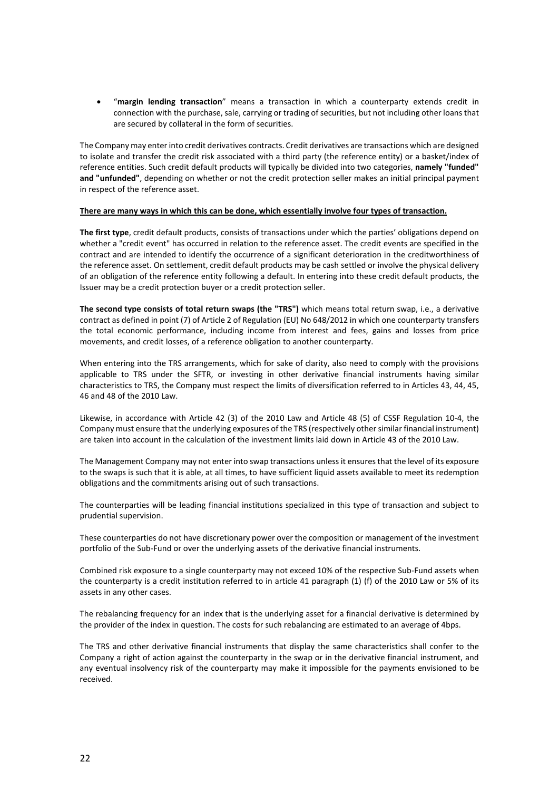• "**margin lending transaction**" means a transaction in which a counterparty extends credit in connection with the purchase, sale, carrying or trading of securities, but not including other loans that are secured by collateral in the form of securities.

The Company may enter into credit derivatives contracts. Credit derivatives are transactions which are designed to isolate and transfer the credit risk associated with a third party (the reference entity) or a basket/index of reference entities. Such credit default products will typically be divided into two categories, **namely "funded" and "unfunded"**, depending on whether or not the credit protection seller makes an initial principal payment in respect of the reference asset.

# **There are many ways in which this can be done, which essentially involve four types of transaction.**

**The first type**, credit default products, consists of transactions under which the parties' obligations depend on whether a "credit event" has occurred in relation to the reference asset. The credit events are specified in the contract and are intended to identify the occurrence of a significant deterioration in the creditworthiness of the reference asset. On settlement, credit default products may be cash settled or involve the physical delivery of an obligation of the reference entity following a default. In entering into these credit default products, the Issuer may be a credit protection buyer or a credit protection seller.

**The second type consists of total return swaps (the "TRS")** which means total return swap, i.e., a derivative contract as defined in point (7) of Article 2 of Regulation (EU) No 648/2012 in which one counterparty transfers the total economic performance, including income from interest and fees, gains and losses from price movements, and credit losses, of a reference obligation to another counterparty.

When entering into the TRS arrangements, which for sake of clarity, also need to comply with the provisions applicable to TRS under the SFTR, or investing in other derivative financial instruments having similar characteristics to TRS, the Company must respect the limits of diversification referred to in Articles 43, 44, 45, 46 and 48 of the 2010 Law.

Likewise, in accordance with Article 42 (3) of the 2010 Law and Article 48 (5) of CSSF Regulation 10-4, the Company must ensure that the underlying exposures of the TRS (respectively other similar financial instrument) are taken into account in the calculation of the investment limits laid down in Article 43 of the 2010 Law.

The Management Company may not enter into swap transactions unless it ensures that the level of its exposure to the swaps is such that it is able, at all times, to have sufficient liquid assets available to meet its redemption obligations and the commitments arising out of such transactions.

The counterparties will be leading financial institutions specialized in this type of transaction and subject to prudential supervision.

These counterparties do not have discretionary power over the composition or management of the investment portfolio of the Sub-Fund or over the underlying assets of the derivative financial instruments.

Combined risk exposure to a single counterparty may not exceed 10% of the respective Sub-Fund assets when the counterparty is a credit institution referred to in article 41 paragraph (1) (f) of the 2010 Law or 5% of its assets in any other cases.

The rebalancing frequency for an index that is the underlying asset for a financial derivative is determined by the provider of the index in question. The costs for such rebalancing are estimated to an average of 4bps.

The TRS and other derivative financial instruments that display the same characteristics shall confer to the Company a right of action against the counterparty in the swap or in the derivative financial instrument, and any eventual insolvency risk of the counterparty may make it impossible for the payments envisioned to be received.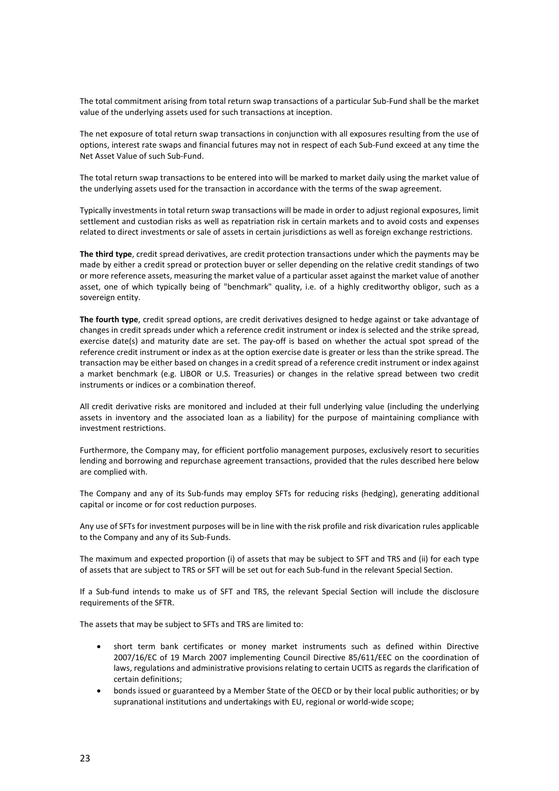The total commitment arising from total return swap transactions of a particular Sub-Fund shall be the market value of the underlying assets used for such transactions at inception.

The net exposure of total return swap transactions in conjunction with all exposures resulting from the use of options, interest rate swaps and financial futures may not in respect of each Sub-Fund exceed at any time the Net Asset Value of such Sub-Fund.

The total return swap transactions to be entered into will be marked to market daily using the market value of the underlying assets used for the transaction in accordance with the terms of the swap agreement.

Typically investments in total return swap transactions will be made in order to adjust regional exposures, limit settlement and custodian risks as well as repatriation risk in certain markets and to avoid costs and expenses related to direct investments or sale of assets in certain jurisdictions as well as foreign exchange restrictions.

**The third type**, credit spread derivatives, are credit protection transactions under which the payments may be made by either a credit spread or protection buyer or seller depending on the relative credit standings of two or more reference assets, measuring the market value of a particular asset against the market value of another asset, one of which typically being of "benchmark" quality, i.e. of a highly creditworthy obligor, such as a sovereign entity.

**The fourth type**, credit spread options, are credit derivatives designed to hedge against or take advantage of changes in credit spreads under which a reference credit instrument or index is selected and the strike spread, exercise date(s) and maturity date are set. The pay-off is based on whether the actual spot spread of the reference credit instrument or index as at the option exercise date is greater or less than the strike spread. The transaction may be either based on changes in a credit spread of a reference credit instrument or index against a market benchmark (e.g. LIBOR or U.S. Treasuries) or changes in the relative spread between two credit instruments or indices or a combination thereof.

All credit derivative risks are monitored and included at their full underlying value (including the underlying assets in inventory and the associated loan as a liability) for the purpose of maintaining compliance with investment restrictions.

Furthermore, the Company may, for efficient portfolio management purposes, exclusively resort to securities lending and borrowing and repurchase agreement transactions, provided that the rules described here below are complied with.

The Company and any of its Sub-funds may employ SFTs for reducing risks (hedging), generating additional capital or income or for cost reduction purposes.

Any use of SFTs for investment purposes will be in line with the risk profile and risk divarication rules applicable to the Company and any of its Sub-Funds.

The maximum and expected proportion (i) of assets that may be subject to SFT and TRS and (ii) for each type of assets that are subject to TRS or SFT will be set out for each Sub-fund in the relevant Special Section.

If a Sub-fund intends to make us of SFT and TRS, the relevant Special Section will include the disclosure requirements of the SFTR.

The assets that may be subject to SFTs and TRS are limited to:

- short term bank certificates or money market instruments such as defined within Directive 2007/16/EC of 19 March 2007 implementing Council Directive 85/611/EEC on the coordination of laws, regulations and administrative provisions relating to certain UCITS as regards the clarification of certain definitions;
- bonds issued or guaranteed by a Member State of the OECD or by their local public authorities; or by supranational institutions and undertakings with EU, regional or world-wide scope;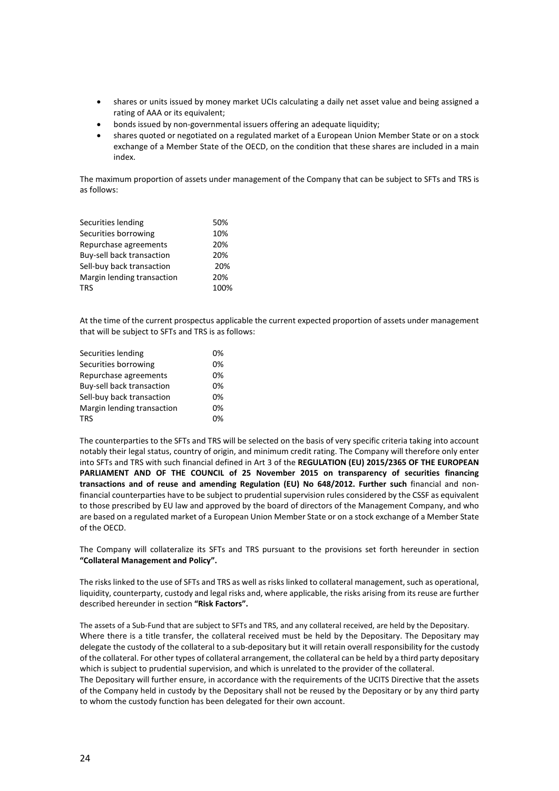- shares or units issued by money market UCIs calculating a daily net asset value and being assigned a rating of AAA or its equivalent;
- bonds issued by non-governmental issuers offering an adequate liquidity;
- shares quoted or negotiated on a regulated market of a European Union Member State or on a stock exchange of a Member State of the OECD, on the condition that these shares are included in a main index.

The maximum proportion of assets under management of the Company that can be subject to SFTs and TRS is as follows:

| Securities lending         | 50%  |
|----------------------------|------|
| Securities borrowing       | 10%  |
| Repurchase agreements      | 20%  |
| Buy-sell back transaction  | 20%  |
| Sell-buy back transaction  | 20%  |
| Margin lending transaction | 20%  |
| <b>TRS</b>                 | 100% |
|                            |      |

At the time of the current prospectus applicable the current expected proportion of assets under management that will be subject to SFTs and TRS is as follows:

| Securities lending         | በ% |
|----------------------------|----|
| Securities borrowing       | 0% |
| Repurchase agreements      | 0% |
| Buy-sell back transaction  | 0% |
| Sell-buy back transaction  | 0% |
| Margin lending transaction | 0% |
| <b>TRS</b>                 | በ% |

The counterparties to the SFTs and TRS will be selected on the basis of very specific criteria taking into account notably their legal status, country of origin, and minimum credit rating. The Company will therefore only enter into SFTs and TRS with such financial defined in Art 3 of the **REGULATION (EU) 2015/2365 OF THE EUROPEAN PARLIAMENT AND OF THE COUNCIL of 25 November 2015 on transparency of securities financing transactions and of reuse and amending Regulation (EU) No 648/2012. Further such** financial and nonfinancial counterparties have to be subject to prudential supervision rules considered by the CSSF as equivalent to those prescribed by EU law and approved by the board of directors of the Management Company, and who are based on a regulated market of a European Union Member State or on a stock exchange of a Member State of the OECD.

The Company will collateralize its SFTs and TRS pursuant to the provisions set forth hereunder in section **"Collateral Management and Policy".**

The risks linked to the use of SFTs and TRS as well as risks linked to collateral management, such as operational, liquidity, counterparty, custody and legal risks and, where applicable, the risks arising from its reuse are further described hereunder in section **"Risk Factors".**

The assets of a Sub-Fund that are subject to SFTs and TRS, and any collateral received, are held by the Depositary. Where there is a title transfer, the collateral received must be held by the Depositary. The Depositary may delegate the custody of the collateral to a sub-depositary but it will retain overall responsibility for the custody of the collateral. For other types of collateral arrangement, the collateral can be held by a third party depositary which is subject to prudential supervision, and which is unrelated to the provider of the collateral.

The Depositary will further ensure, in accordance with the requirements of the UCITS Directive that the assets of the Company held in custody by the Depositary shall not be reused by the Depositary or by any third party to whom the custody function has been delegated for their own account.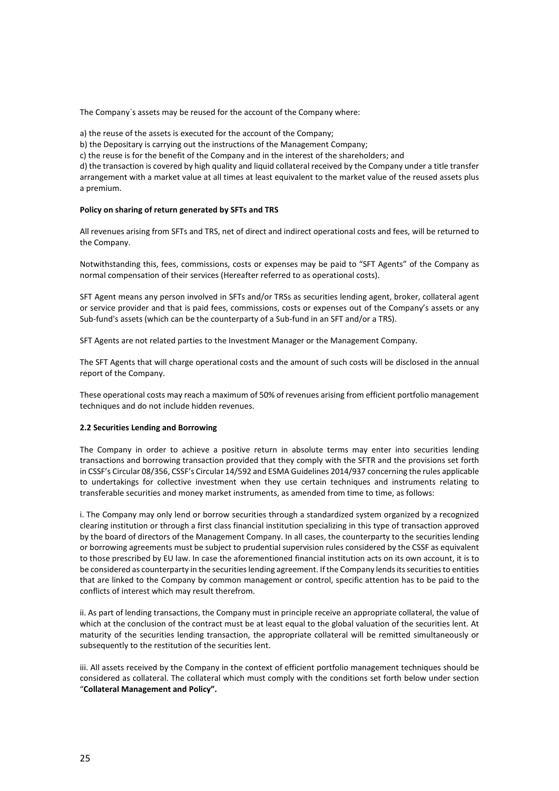The Company`s assets may be reused for the account of the Company where:

a) the reuse of the assets is executed for the account of the Company;

b) the Depositary is carrying out the instructions of the Management Company;

c) the reuse is for the benefit of the Company and in the interest of the shareholders; and

d) the transaction is covered by high quality and liquid collateral received by the Company under a title transfer arrangement with a market value at all times at least equivalent to the market value of the reused assets plus a premium.

# **Policy on sharing of return generated by SFTs and TRS**

All revenues arising from SFTs and TRS, net of direct and indirect operational costs and fees, will be returned to the Company.

Notwithstanding this, fees, commissions, costs or expenses may be paid to "SFT Agents" of the Company as normal compensation of their services (Hereafter referred to as operational costs).

SFT Agent means any person involved in SFTs and/or TRSs as securities lending agent, broker, collateral agent or service provider and that is paid fees, commissions, costs or expenses out of the Company's assets or any Sub-fund's assets (which can be the counterparty of a Sub-fund in an SFT and/or a TRS).

SFT Agents are not related parties to the Investment Manager or the Management Company.

The SFT Agents that will charge operational costs and the amount of such costs will be disclosed in the annual report of the Company.

These operational costs may reach a maximum of 50% of revenues arising from efficient portfolio management techniques and do not include hidden revenues.

# **2.2 Securities Lending and Borrowing**

The Company in order to achieve a positive return in absolute terms may enter into securities lending transactions and borrowing transaction provided that they comply with the SFTR and the provisions set forth in CSSF's Circular 08/356, CSSF's Circular 14/592 and ESMA Guidelines 2014/937 concerning the rules applicable to undertakings for collective investment when they use certain techniques and instruments relating to transferable securities and money market instruments, as amended from time to time, as follows:

i. The Company may only lend or borrow securities through a standardized system organized by a recognized clearing institution or through a first class financial institution specializing in this type of transaction approved by the board of directors of the Management Company. In all cases, the counterparty to the securities lending or borrowing agreements must be subject to prudential supervision rules considered by the CSSF as equivalent to those prescribed by EU law. In case the aforementioned financial institution acts on its own account, it is to be considered as counterparty in the securities lending agreement. If the Company lends its securities to entities that are linked to the Company by common management or control, specific attention has to be paid to the conflicts of interest which may result therefrom.

ii. As part of lending transactions, the Company must in principle receive an appropriate collateral, the value of which at the conclusion of the contract must be at least equal to the global valuation of the securities lent. At maturity of the securities lending transaction, the appropriate collateral will be remitted simultaneously or subsequently to the restitution of the securities lent.

iii. All assets received by the Company in the context of efficient portfolio management techniques should be considered as collateral. The collateral which must comply with the conditions set forth below under section "**Collateral Management and Policy".**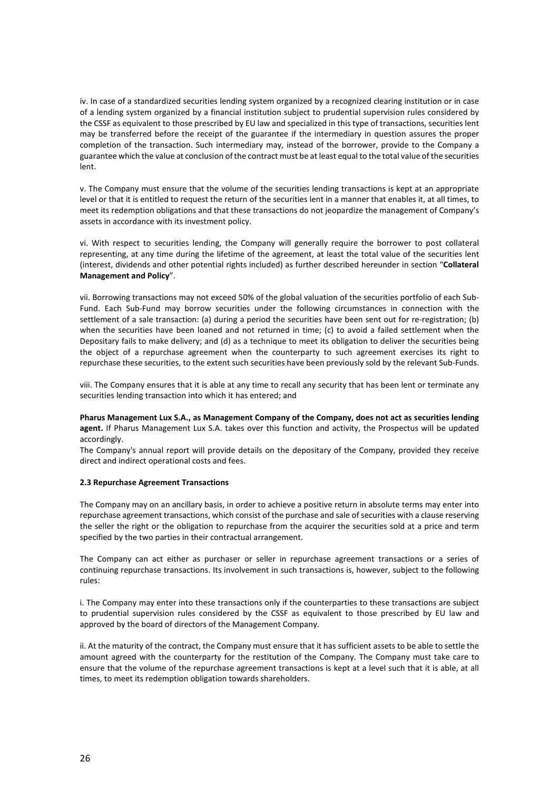iv. In case of a standardized securities lending system organized by a recognized clearing institution or in case of a lending system organized by a financial institution subject to prudential supervision rules considered by the CSSF as equivalent to those prescribed by EU law and specialized in this type of transactions, securities lent may be transferred before the receipt of the guarantee if the intermediary in question assures the proper completion of the transaction. Such intermediary may, instead of the borrower, provide to the Company a guarantee which the value at conclusion of the contract must be at least equal to the total value of the securities lent.

v. The Company must ensure that the volume of the securities lending transactions is kept at an appropriate level or that it is entitled to request the return of the securities lent in a manner that enables it, at all times, to meet its redemption obligations and that these transactions do not jeopardize the management of Company's assets in accordance with its investment policy.

vi. With respect to securities lending, the Company will generally require the borrower to post collateral representing, at any time during the lifetime of the agreement, at least the total value of the securities lent (interest, dividends and other potential rights included) as further described hereunder in section "**Collateral Management and Policy**".

vii. Borrowing transactions may not exceed 50% of the global valuation of the securities portfolio of each Sub-Fund. Each Sub-Fund may borrow securities under the following circumstances in connection with the settlement of a sale transaction: (a) during a period the securities have been sent out for re-registration; (b) when the securities have been loaned and not returned in time; (c) to avoid a failed settlement when the Depositary fails to make delivery; and (d) as a technique to meet its obligation to deliver the securities being the object of a repurchase agreement when the counterparty to such agreement exercises its right to repurchase these securities, to the extent such securities have been previously sold by the relevant Sub-Funds.

viii. The Company ensures that it is able at any time to recall any security that has been lent or terminate any securities lending transaction into which it has entered; and

**Pharus Management Lux S.A., as Management Company of the Company, does not act as securities lending agent.** If Pharus Management Lux S.A. takes over this function and activity, the Prospectus will be updated accordingly.

The Company's annual report will provide details on the depositary of the Company, provided they receive direct and indirect operational costs and fees.

# **2.3 Repurchase Agreement Transactions**

The Company may on an ancillary basis, in order to achieve a positive return in absolute terms may enter into repurchase agreement transactions, which consist of the purchase and sale of securities with a clause reserving the seller the right or the obligation to repurchase from the acquirer the securities sold at a price and term specified by the two parties in their contractual arrangement.

The Company can act either as purchaser or seller in repurchase agreement transactions or a series of continuing repurchase transactions. Its involvement in such transactions is, however, subject to the following rules:

i. The Company may enter into these transactions only if the counterparties to these transactions are subject to prudential supervision rules considered by the CSSF as equivalent to those prescribed by EU law and approved by the board of directors of the Management Company.

ii. At the maturity of the contract, the Company must ensure that it has sufficient assets to be able to settle the amount agreed with the counterparty for the restitution of the Company. The Company must take care to ensure that the volume of the repurchase agreement transactions is kept at a level such that it is able, at all times, to meet its redemption obligation towards shareholders.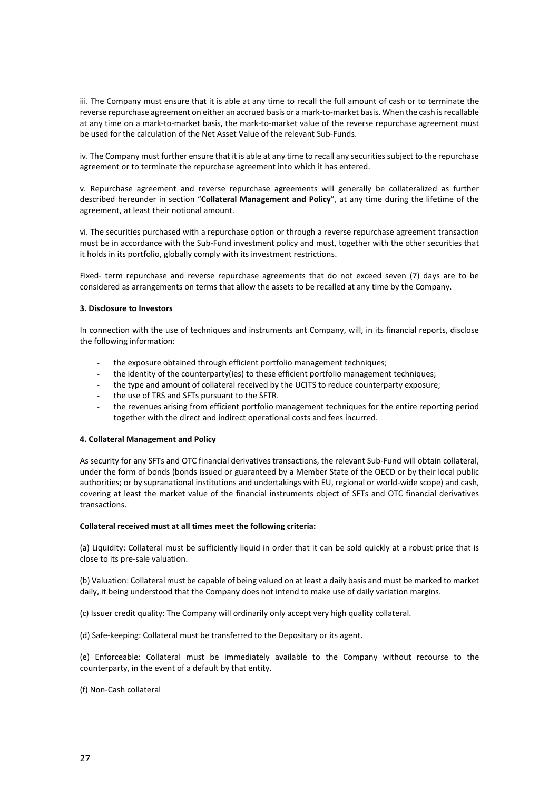iii. The Company must ensure that it is able at any time to recall the full amount of cash or to terminate the reverse repurchase agreement on either an accrued basis or a mark-to-market basis. When the cash is recallable at any time on a mark-to-market basis, the mark-to-market value of the reverse repurchase agreement must be used for the calculation of the Net Asset Value of the relevant Sub-Funds.

iv. The Company must further ensure that it is able at any time to recall any securities subject to the repurchase agreement or to terminate the repurchase agreement into which it has entered.

v. Repurchase agreement and reverse repurchase agreements will generally be collateralized as further described hereunder in section "**Collateral Management and Policy**", at any time during the lifetime of the agreement, at least their notional amount.

vi. The securities purchased with a repurchase option or through a reverse repurchase agreement transaction must be in accordance with the Sub-Fund investment policy and must, together with the other securities that it holds in its portfolio, globally comply with its investment restrictions.

Fixed- term repurchase and reverse repurchase agreements that do not exceed seven (7) days are to be considered as arrangements on terms that allow the assets to be recalled at any time by the Company.

# **3. Disclosure to Investors**

In connection with the use of techniques and instruments ant Company, will, in its financial reports, disclose the following information:

- the exposure obtained through efficient portfolio management techniques;
- the identity of the counterparty(ies) to these efficient portfolio management techniques;
- the type and amount of collateral received by the UCITS to reduce counterparty exposure;
- the use of TRS and SFTs pursuant to the SFTR.
- the revenues arising from efficient portfolio management techniques for the entire reporting period together with the direct and indirect operational costs and fees incurred.

# **4. Collateral Management and Policy**

As security for any SFTs and OTC financial derivatives transactions, the relevant Sub-Fund will obtain collateral, under the form of bonds (bonds issued or guaranteed by a Member State of the OECD or by their local public authorities; or by supranational institutions and undertakings with EU, regional or world-wide scope) and cash, covering at least the market value of the financial instruments object of SFTs and OTC financial derivatives transactions.

# **Collateral received must at all times meet the following criteria:**

(a) Liquidity: Collateral must be sufficiently liquid in order that it can be sold quickly at a robust price that is close to its pre-sale valuation.

(b) Valuation: Collateral must be capable of being valued on at least a daily basis and must be marked to market daily, it being understood that the Company does not intend to make use of daily variation margins.

(c) Issuer credit quality: The Company will ordinarily only accept very high quality collateral.

(d) Safe-keeping: Collateral must be transferred to the Depositary or its agent.

(e) Enforceable: Collateral must be immediately available to the Company without recourse to the counterparty, in the event of a default by that entity.

(f) Non-Cash collateral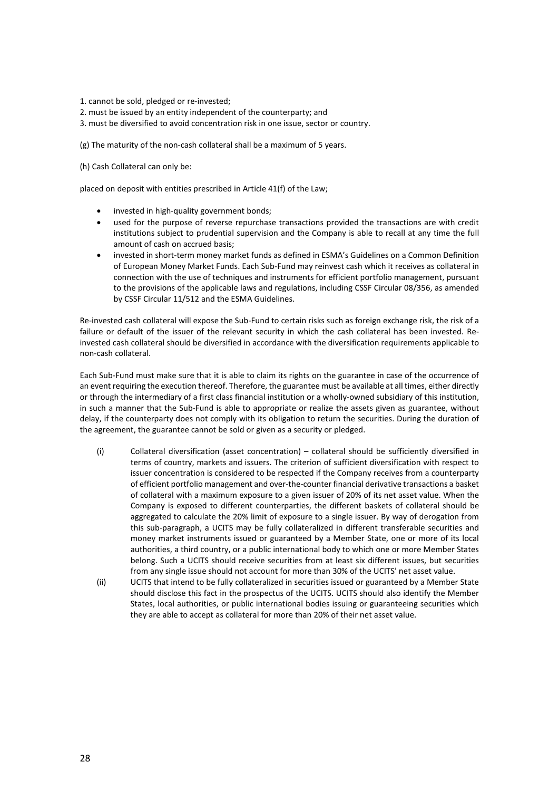1. cannot be sold, pledged or re-invested;

- 2. must be issued by an entity independent of the counterparty; and
- 3. must be diversified to avoid concentration risk in one issue, sector or country.

(g) The maturity of the non-cash collateral shall be a maximum of 5 years.

(h) Cash Collateral can only be:

placed on deposit with entities prescribed in Article 41(f) of the Law;

- invested in high-quality government bonds;
- used for the purpose of reverse repurchase transactions provided the transactions are with credit institutions subject to prudential supervision and the Company is able to recall at any time the full amount of cash on accrued basis;
- invested in short-term money market funds as defined in ESMA's Guidelines on a Common Definition of European Money Market Funds. Each Sub-Fund may reinvest cash which it receives as collateral in connection with the use of techniques and instruments for efficient portfolio management, pursuant to the provisions of the applicable laws and regulations, including CSSF Circular 08/356, as amended by CSSF Circular 11/512 and the ESMA Guidelines.

Re-invested cash collateral will expose the Sub-Fund to certain risks such as foreign exchange risk, the risk of a failure or default of the issuer of the relevant security in which the cash collateral has been invested. Reinvested cash collateral should be diversified in accordance with the diversification requirements applicable to non-cash collateral.

Each Sub-Fund must make sure that it is able to claim its rights on the guarantee in case of the occurrence of an event requiring the execution thereof. Therefore, the guarantee must be available at all times, either directly or through the intermediary of a first class financial institution or a wholly-owned subsidiary of this institution, in such a manner that the Sub-Fund is able to appropriate or realize the assets given as guarantee, without delay, if the counterparty does not comply with its obligation to return the securities. During the duration of the agreement, the guarantee cannot be sold or given as a security or pledged.

- (i) Collateral diversification (asset concentration) collateral should be sufficiently diversified in terms of country, markets and issuers. The criterion of sufficient diversification with respect to issuer concentration is considered to be respected if the Company receives from a counterparty of efficient portfolio management and over-the-counter financial derivative transactions a basket of collateral with a maximum exposure to a given issuer of 20% of its net asset value. When the Company is exposed to different counterparties, the different baskets of collateral should be aggregated to calculate the 20% limit of exposure to a single issuer. By way of derogation from this sub-paragraph, a UCITS may be fully collateralized in different transferable securities and money market instruments issued or guaranteed by a Member State, one or more of its local authorities, a third country, or a public international body to which one or more Member States belong. Such a UCITS should receive securities from at least six different issues, but securities from any single issue should not account for more than 30% of the UCITS' net asset value.
- (ii) UCITS that intend to be fully collateralized in securities issued or guaranteed by a Member State should disclose this fact in the prospectus of the UCITS. UCITS should also identify the Member States, local authorities, or public international bodies issuing or guaranteeing securities which they are able to accept as collateral for more than 20% of their net asset value.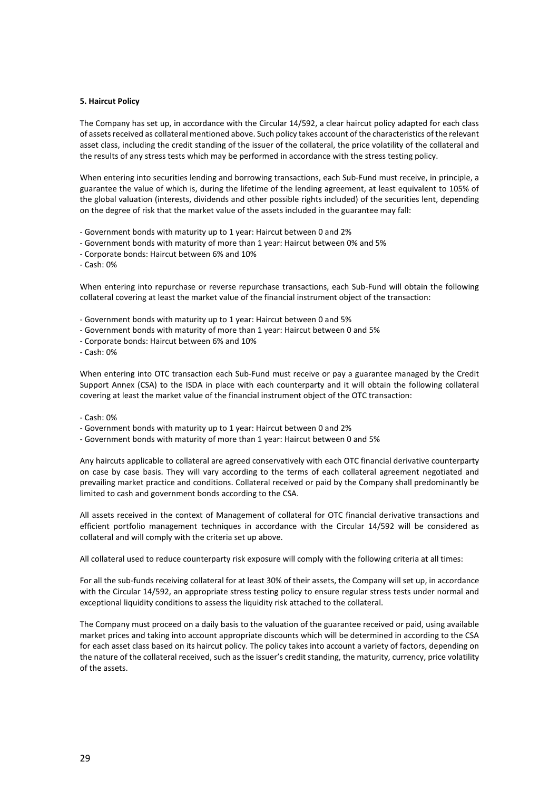#### **5. Haircut Policy**

The Company has set up, in accordance with the Circular 14/592, a clear haircut policy adapted for each class of assets received as collateral mentioned above. Such policy takes account of the characteristics of the relevant asset class, including the credit standing of the issuer of the collateral, the price volatility of the collateral and the results of any stress tests which may be performed in accordance with the stress testing policy.

When entering into securities lending and borrowing transactions, each Sub-Fund must receive, in principle, a guarantee the value of which is, during the lifetime of the lending agreement, at least equivalent to 105% of the global valuation (interests, dividends and other possible rights included) of the securities lent, depending on the degree of risk that the market value of the assets included in the guarantee may fall:

- Government bonds with maturity up to 1 year: Haircut between 0 and 2%
- Government bonds with maturity of more than 1 year: Haircut between 0% and 5%
- Corporate bonds: Haircut between 6% and 10%
- Cash: 0%

When entering into repurchase or reverse repurchase transactions, each Sub-Fund will obtain the following collateral covering at least the market value of the financial instrument object of the transaction:

- Government bonds with maturity up to 1 year: Haircut between 0 and 5%
- Government bonds with maturity of more than 1 year: Haircut between 0 and 5%
- Corporate bonds: Haircut between 6% and 10%

- Cash: 0%

When entering into OTC transaction each Sub-Fund must receive or pay a guarantee managed by the Credit Support Annex (CSA) to the ISDA in place with each counterparty and it will obtain the following collateral covering at least the market value of the financial instrument object of the OTC transaction:

#### - Cash: 0%

- Government bonds with maturity up to 1 year: Haircut between 0 and 2%
- Government bonds with maturity of more than 1 year: Haircut between 0 and 5%

Any haircuts applicable to collateral are agreed conservatively with each OTC financial derivative counterparty on case by case basis. They will vary according to the terms of each collateral agreement negotiated and prevailing market practice and conditions. Collateral received or paid by the Company shall predominantly be limited to cash and government bonds according to the CSA.

All assets received in the context of Management of collateral for OTC financial derivative transactions and efficient portfolio management techniques in accordance with the Circular 14/592 will be considered as collateral and will comply with the criteria set up above.

All collateral used to reduce counterparty risk exposure will comply with the following criteria at all times:

For all the sub-funds receiving collateral for at least 30% of their assets, the Company will set up, in accordance with the Circular 14/592, an appropriate stress testing policy to ensure regular stress tests under normal and exceptional liquidity conditions to assess the liquidity risk attached to the collateral.

The Company must proceed on a daily basis to the valuation of the guarantee received or paid, using available market prices and taking into account appropriate discounts which will be determined in according to the CSA for each asset class based on its haircut policy. The policy takes into account a variety of factors, depending on the nature of the collateral received, such as the issuer's credit standing, the maturity, currency, price volatility of the assets.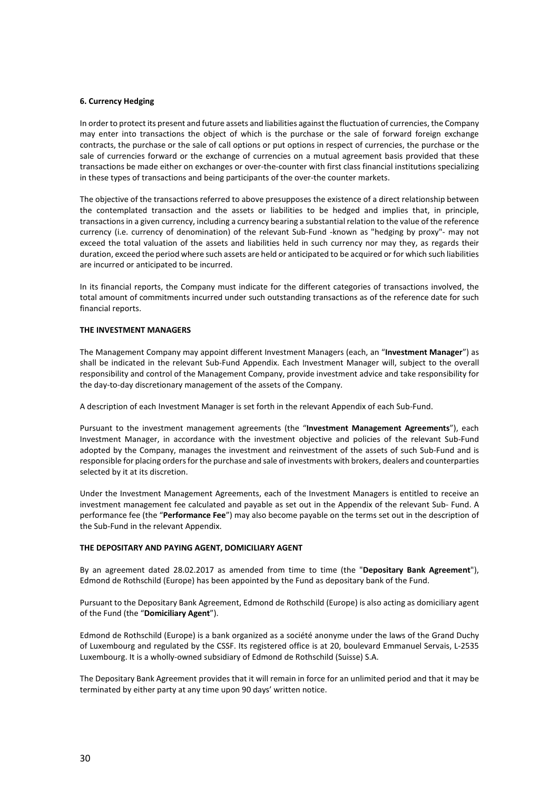# **6. Currency Hedging**

In order to protect its present and future assets and liabilities against the fluctuation of currencies, the Company may enter into transactions the object of which is the purchase or the sale of forward foreign exchange contracts, the purchase or the sale of call options or put options in respect of currencies, the purchase or the sale of currencies forward or the exchange of currencies on a mutual agreement basis provided that these transactions be made either on exchanges or over-the-counter with first class financial institutions specializing in these types of transactions and being participants of the over-the counter markets.

The objective of the transactions referred to above presupposes the existence of a direct relationship between the contemplated transaction and the assets or liabilities to be hedged and implies that, in principle, transactions in a given currency, including a currency bearing a substantial relation to the value of the reference currency (i.e. currency of denomination) of the relevant Sub-Fund -known as "hedging by proxy"- may not exceed the total valuation of the assets and liabilities held in such currency nor may they, as regards their duration, exceed the period where such assets are held or anticipated to be acquired or for which such liabilities are incurred or anticipated to be incurred.

In its financial reports, the Company must indicate for the different categories of transactions involved, the total amount of commitments incurred under such outstanding transactions as of the reference date for such financial reports.

# **THE INVESTMENT MANAGERS**

The Management Company may appoint different Investment Managers (each, an "**Investment Manager**") as shall be indicated in the relevant Sub-Fund Appendix. Each Investment Manager will, subject to the overall responsibility and control of the Management Company, provide investment advice and take responsibility for the day-to-day discretionary management of the assets of the Company.

A description of each Investment Manager is set forth in the relevant Appendix of each Sub-Fund.

Pursuant to the investment management agreements (the "**Investment Management Agreements**"), each Investment Manager, in accordance with the investment objective and policies of the relevant Sub-Fund adopted by the Company, manages the investment and reinvestment of the assets of such Sub-Fund and is responsible for placing orders for the purchase and sale of investments with brokers, dealers and counterparties selected by it at its discretion.

Under the Investment Management Agreements, each of the Investment Managers is entitled to receive an investment management fee calculated and payable as set out in the Appendix of the relevant Sub- Fund. A performance fee (the "**Performance Fee**") may also become payable on the terms set out in the description of the Sub-Fund in the relevant Appendix.

# **THE DEPOSITARY AND PAYING AGENT, DOMICILIARY AGENT**

By an agreement dated 28.02.2017 as amended from time to time (the "**Depositary Bank Agreement**"), Edmond de Rothschild (Europe) has been appointed by the Fund as depositary bank of the Fund.

Pursuant to the Depositary Bank Agreement, Edmond de Rothschild (Europe) is also acting as domiciliary agent of the Fund (the "**Domiciliary Agent**").

Edmond de Rothschild (Europe) is a bank organized as a société anonyme under the laws of the Grand Duchy of Luxembourg and regulated by the CSSF. Its registered office is at 20, boulevard Emmanuel Servais, L-2535 Luxembourg. It is a wholly-owned subsidiary of Edmond de Rothschild (Suisse) S.A.

The Depositary Bank Agreement provides that it will remain in force for an unlimited period and that it may be terminated by either party at any time upon 90 days' written notice.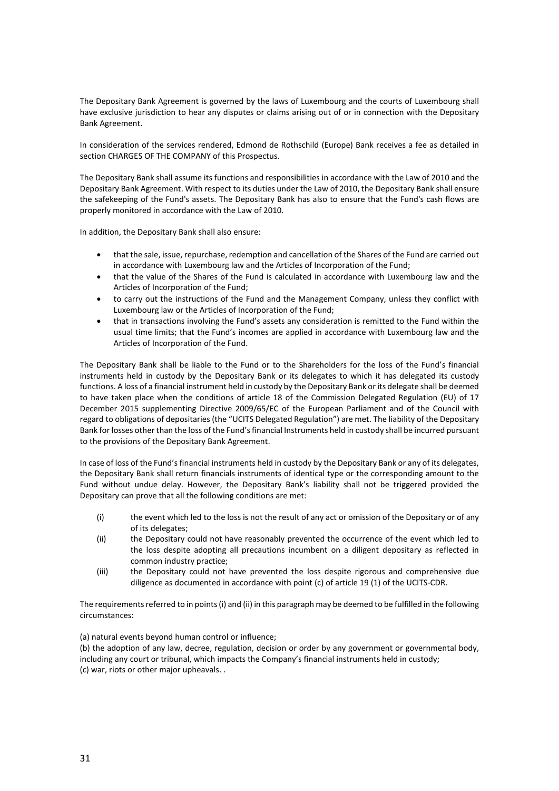The Depositary Bank Agreement is governed by the laws of Luxembourg and the courts of Luxembourg shall have exclusive jurisdiction to hear any disputes or claims arising out of or in connection with the Depositary Bank Agreement.

In consideration of the services rendered, Edmond de Rothschild (Europe) Bank receives a fee as detailed in section CHARGES OF THE COMPANY of this Prospectus.

The Depositary Bank shall assume its functions and responsibilities in accordance with the Law of 2010 and the Depositary Bank Agreement. With respect to its duties under the Law of 2010, the Depositary Bank shall ensure the safekeeping of the Fund's assets. The Depositary Bank has also to ensure that the Fund's cash flows are properly monitored in accordance with the Law of 2010.

In addition, the Depositary Bank shall also ensure:

- that the sale, issue, repurchase, redemption and cancellation of the Shares of the Fund are carried out in accordance with Luxembourg law and the Articles of Incorporation of the Fund;
- that the value of the Shares of the Fund is calculated in accordance with Luxembourg law and the Articles of Incorporation of the Fund;
- to carry out the instructions of the Fund and the Management Company, unless they conflict with Luxembourg law or the Articles of Incorporation of the Fund;
- that in transactions involving the Fund's assets any consideration is remitted to the Fund within the usual time limits; that the Fund's incomes are applied in accordance with Luxembourg law and the Articles of Incorporation of the Fund.

The Depositary Bank shall be liable to the Fund or to the Shareholders for the loss of the Fund's financial instruments held in custody by the Depositary Bank or its delegates to which it has delegated its custody functions. A loss of a financial instrument held in custody by the Depositary Bank or its delegate shall be deemed to have taken place when the conditions of article 18 of the Commission Delegated Regulation (EU) of 17 December 2015 supplementing Directive 2009/65/EC of the European Parliament and of the Council with regard to obligations of depositaries (the "UCITS Delegated Regulation") are met. The liability of the Depositary Bank for losses other than the loss of the Fund's financial Instruments held in custody shall be incurred pursuant to the provisions of the Depositary Bank Agreement.

In case of loss of the Fund's financial instruments held in custody by the Depositary Bank or any of its delegates, the Depositary Bank shall return financials instruments of identical type or the corresponding amount to the Fund without undue delay. However, the Depositary Bank's liability shall not be triggered provided the Depositary can prove that all the following conditions are met:

- (i) the event which led to the loss is not the result of any act or omission of the Depositary or of any of its delegates;
- (ii) the Depositary could not have reasonably prevented the occurrence of the event which led to the loss despite adopting all precautions incumbent on a diligent depositary as reflected in common industry practice;
- (iii) the Depositary could not have prevented the loss despite rigorous and comprehensive due diligence as documented in accordance with point (c) of article 19 (1) of the UCITS-CDR.

The requirements referred to in points (i) and (ii) in this paragraph may be deemed to be fulfilled in the following circumstances:

(a) natural events beyond human control or influence;

(b) the adoption of any law, decree, regulation, decision or order by any government or governmental body, including any court or tribunal, which impacts the Company's financial instruments held in custody; (c) war, riots or other major upheavals. .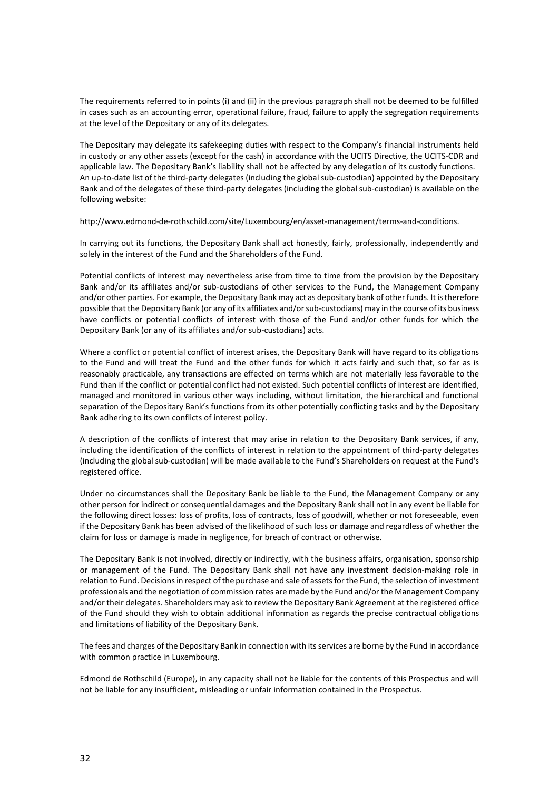The requirements referred to in points (i) and (ii) in the previous paragraph shall not be deemed to be fulfilled in cases such as an accounting error, operational failure, fraud, failure to apply the segregation requirements at the level of the Depositary or any of its delegates.

The Depositary may delegate its safekeeping duties with respect to the Company's financial instruments held in custody or any other assets (except for the cash) in accordance with the UCITS Directive, the UCITS-CDR and applicable law. The Depositary Bank's liability shall not be affected by any delegation of its custody functions. An up-to-date list of the third-party delegates (including the global sub-custodian) appointed by the Depositary Bank and of the delegates of these third-party delegates (including the global sub-custodian) is available on the following website:

[http://www.edmond-de-rothschild.com/site/Luxembourg/en/asset-management/terms-and-conditions.](http://www.edmond-de-rothschild.com/site/Luxembourg/en/asset-management/terms-and-conditions)

In carrying out its functions, the Depositary Bank shall act honestly, fairly, professionally, independently and solely in the interest of the Fund and the Shareholders of the Fund.

Potential conflicts of interest may nevertheless arise from time to time from the provision by the Depositary Bank and/or its affiliates and/or sub-custodians of other services to the Fund, the Management Company and/or other parties. For example, the Depositary Bank may act as depositary bank of other funds. It is therefore possible that the Depositary Bank (or any of its affiliates and/or sub-custodians) may in the course of its business have conflicts or potential conflicts of interest with those of the Fund and/or other funds for which the Depositary Bank (or any of its affiliates and/or sub-custodians) acts.

Where a conflict or potential conflict of interest arises, the Depositary Bank will have regard to its obligations to the Fund and will treat the Fund and the other funds for which it acts fairly and such that, so far as is reasonably practicable, any transactions are effected on terms which are not materially less favorable to the Fund than if the conflict or potential conflict had not existed. Such potential conflicts of interest are identified, managed and monitored in various other ways including, without limitation, the hierarchical and functional separation of the Depositary Bank's functions from its other potentially conflicting tasks and by the Depositary Bank adhering to its own conflicts of interest policy.

A description of the conflicts of interest that may arise in relation to the Depositary Bank services, if any, including the identification of the conflicts of interest in relation to the appointment of third-party delegates (including the global sub-custodian) will be made available to the Fund's Shareholders on request at the Fund's registered office.

Under no circumstances shall the Depositary Bank be liable to the Fund, the Management Company or any other person for indirect or consequential damages and the Depositary Bank shall not in any event be liable for the following direct losses: loss of profits, loss of contracts, loss of goodwill, whether or not foreseeable, even if the Depositary Bank has been advised of the likelihood of such loss or damage and regardless of whether the claim for loss or damage is made in negligence, for breach of contract or otherwise.

The Depositary Bank is not involved, directly or indirectly, with the business affairs, organisation, sponsorship or management of the Fund. The Depositary Bank shall not have any investment decision-making role in relation to Fund. Decisions in respect of the purchase and sale of assets for the Fund, the selection of investment professionals and the negotiation of commission rates are made by the Fund and/or the Management Company and/or their delegates. Shareholders may ask to review the Depositary Bank Agreement at the registered office of the Fund should they wish to obtain additional information as regards the precise contractual obligations and limitations of liability of the Depositary Bank.

The fees and charges of the Depositary Bank in connection with its services are borne by the Fund in accordance with common practice in Luxembourg.

Edmond de Rothschild (Europe), in any capacity shall not be liable for the contents of this Prospectus and will not be liable for any insufficient, misleading or unfair information contained in the Prospectus.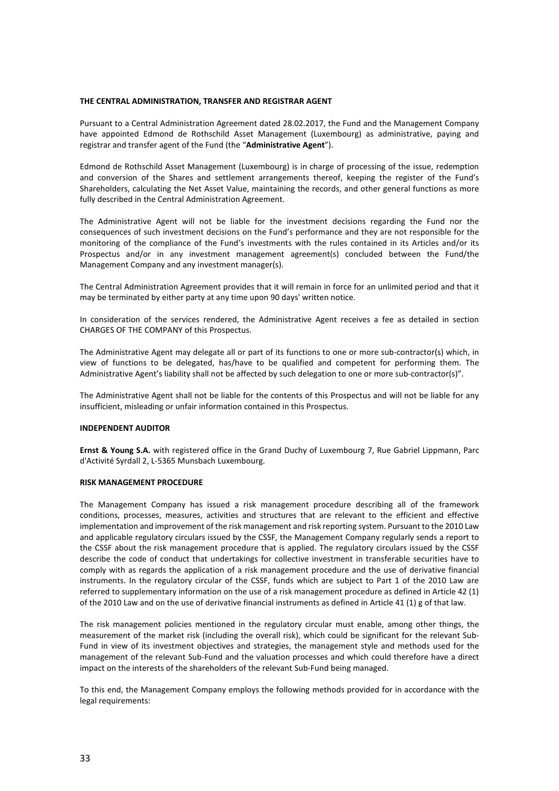#### **THE CENTRAL ADMINISTRATION, TRANSFER AND REGISTRAR AGENT**

Pursuant to a Central Administration Agreement dated 28.02.2017, the Fund and the Management Company have appointed Edmond de Rothschild Asset Management (Luxembourg) as administrative, paying and registrar and transfer agent of the Fund (the "**Administrative Agent**").

Edmond de Rothschild Asset Management (Luxembourg) is in charge of processing of the issue, redemption and conversion of the Shares and settlement arrangements thereof, keeping the register of the Fund's Shareholders, calculating the Net Asset Value, maintaining the records, and other general functions as more fully described in the Central Administration Agreement.

The Administrative Agent will not be liable for the investment decisions regarding the Fund nor the consequences of such investment decisions on the Fund's performance and they are not responsible for the monitoring of the compliance of the Fund's investments with the rules contained in its Articles and/or its Prospectus and/or in any investment management agreement(s) concluded between the Fund/the Management Company and any investment manager(s).

The Central Administration Agreement provides that it will remain in force for an unlimited period and that it may be terminated by either party at any time upon 90 days' written notice.

In consideration of the services rendered, the Administrative Agent receives a fee as detailed in section CHARGES OF THE COMPANY of this Prospectus.

The Administrative Agent may delegate all or part of its functions to one or more sub-contractor(s) which, in view of functions to be delegated, has/have to be qualified and competent for performing them. The Administrative Agent's liability shall not be affected by such delegation to one or more sub-contractor(s)".

The Administrative Agent shall not be liable for the contents of this Prospectus and will not be liable for any insufficient, misleading or unfair information contained in this Prospectus.

# **INDEPENDENT AUDITOR**

**Ernst & Young S.A.** with registered office in the Grand Duchy of Luxembourg 7, Rue Gabriel Lippmann, Parc d'Activité Syrdall 2, L-5365 Munsbach Luxembourg.

# **RISK MANAGEMENT PROCEDURE**

The Management Company has issued a risk management procedure describing all of the framework conditions, processes, measures, activities and structures that are relevant to the efficient and effective implementation and improvement of the risk management and risk reporting system. Pursuant to the 2010 Law and applicable regulatory circulars issued by the CSSF, the Management Company regularly sends a report to the CSSF about the risk management procedure that is applied. The regulatory circulars issued by the CSSF describe the code of conduct that undertakings for collective investment in transferable securities have to comply with as regards the application of a risk management procedure and the use of derivative financial instruments. In the regulatory circular of the CSSF, funds which are subject to Part 1 of the 2010 Law are referred to supplementary information on the use of a risk management procedure as defined in Article 42 (1) of the 2010 Law and on the use of derivative financial instruments as defined in Article 41 (1) g of that law.

The risk management policies mentioned in the regulatory circular must enable, among other things, the measurement of the market risk (including the overall risk), which could be significant for the relevant Sub-Fund in view of its investment objectives and strategies, the management style and methods used for the management of the relevant Sub-Fund and the valuation processes and which could therefore have a direct impact on the interests of the shareholders of the relevant Sub-Fund being managed.

To this end, the Management Company employs the following methods provided for in accordance with the legal requirements: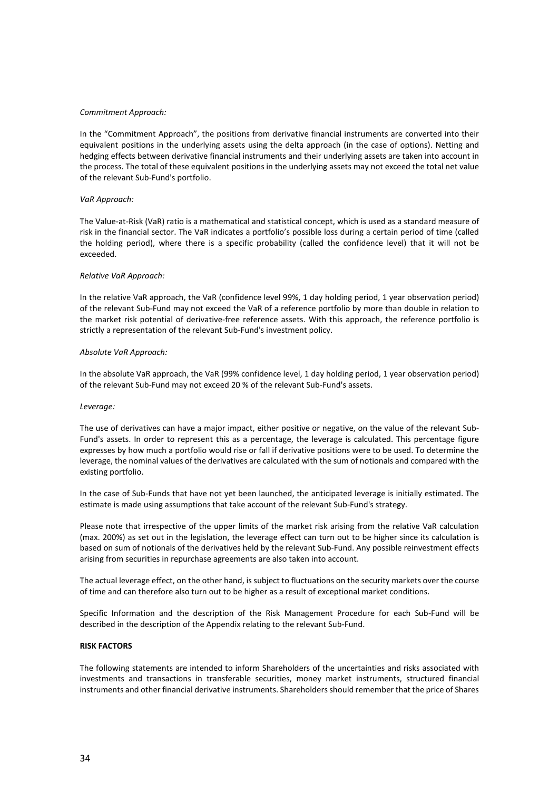#### *Commitment Approach:*

In the "Commitment Approach", the positions from derivative financial instruments are converted into their equivalent positions in the underlying assets using the delta approach (in the case of options). Netting and hedging effects between derivative financial instruments and their underlying assets are taken into account in the process. The total of these equivalent positions in the underlying assets may not exceed the total net value of the relevant Sub-Fund's portfolio.

#### *VaR Approach:*

The Value-at-Risk (VaR) ratio is a mathematical and statistical concept, which is used as a standard measure of risk in the financial sector. The VaR indicates a portfolio's possible loss during a certain period of time (called the holding period), where there is a specific probability (called the confidence level) that it will not be exceeded.

#### *Relative VaR Approach:*

In the relative VaR approach, the VaR (confidence level 99%, 1 day holding period, 1 year observation period) of the relevant Sub-Fund may not exceed the VaR of a reference portfolio by more than double in relation to the market risk potential of derivative-free reference assets. With this approach, the reference portfolio is strictly a representation of the relevant Sub-Fund's investment policy.

#### *Absolute VaR Approach:*

In the absolute VaR approach, the VaR (99% confidence level, 1 day holding period, 1 year observation period) of the relevant Sub-Fund may not exceed 20 % of the relevant Sub-Fund's assets.

#### *Leverage:*

The use of derivatives can have a major impact, either positive or negative, on the value of the relevant Sub-Fund's assets. In order to represent this as a percentage, the leverage is calculated. This percentage figure expresses by how much a portfolio would rise or fall if derivative positions were to be used. To determine the leverage, the nominal values of the derivatives are calculated with the sum of notionals and compared with the existing portfolio.

In the case of Sub-Funds that have not yet been launched, the anticipated leverage is initially estimated. The estimate is made using assumptions that take account of the relevant Sub-Fund's strategy.

Please note that irrespective of the upper limits of the market risk arising from the relative VaR calculation (max. 200%) as set out in the legislation, the leverage effect can turn out to be higher since its calculation is based on sum of notionals of the derivatives held by the relevant Sub-Fund. Any possible reinvestment effects arising from securities in repurchase agreements are also taken into account.

The actual leverage effect, on the other hand, is subject to fluctuations on the security markets over the course of time and can therefore also turn out to be higher as a result of exceptional market conditions.

Specific Information and the description of the Risk Management Procedure for each Sub-Fund will be described in the description of the Appendix relating to the relevant Sub-Fund.

#### **RISK FACTORS**

The following statements are intended to inform Shareholders of the uncertainties and risks associated with investments and transactions in transferable securities, money market instruments, structured financial instruments and other financial derivative instruments. Shareholders should remember that the price of Shares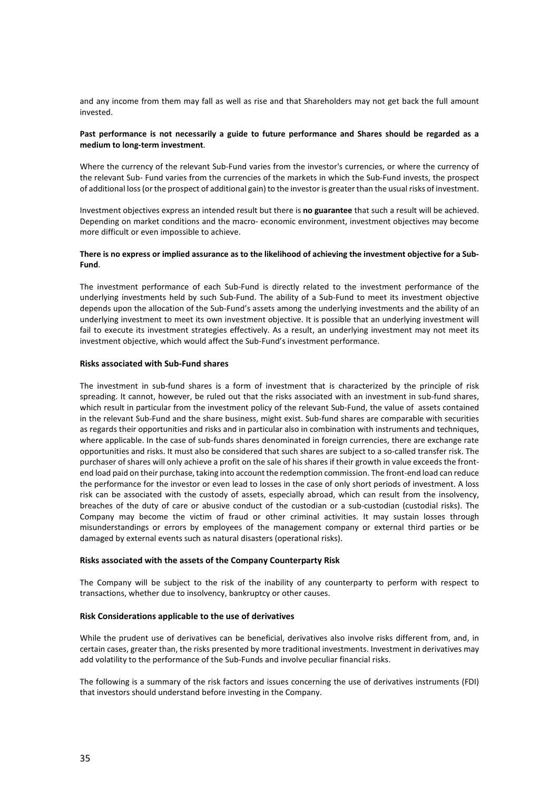and any income from them may fall as well as rise and that Shareholders may not get back the full amount invested.

# **Past performance is not necessarily a guide to future performance and Shares should be regarded as a medium to long-term investment**.

Where the currency of the relevant Sub-Fund varies from the investor's currencies, or where the currency of the relevant Sub- Fund varies from the currencies of the markets in which the Sub-Fund invests, the prospect of additional loss (or the prospect of additional gain) to the investor is greater than the usual risks of investment.

Investment objectives express an intended result but there is **no guarantee** that such a result will be achieved. Depending on market conditions and the macro- economic environment, investment objectives may become more difficult or even impossible to achieve.

# **There is no express or implied assurance as to the likelihood of achieving the investment objective for a Sub-Fund**.

The investment performance of each Sub-Fund is directly related to the investment performance of the underlying investments held by such Sub-Fund. The ability of a Sub-Fund to meet its investment objective depends upon the allocation of the Sub-Fund's assets among the underlying investments and the ability of an underlying investment to meet its own investment objective. It is possible that an underlying investment will fail to execute its investment strategies effectively. As a result, an underlying investment may not meet its investment objective, which would affect the Sub-Fund's investment performance.

# **Risks associated with Sub-Fund shares**

The investment in sub-fund shares is a form of investment that is characterized by the principle of risk spreading. It cannot, however, be ruled out that the risks associated with an investment in sub-fund shares, which result in particular from the investment policy of the relevant Sub-Fund, the value of assets contained in the relevant Sub-Fund and the share business, might exist. Sub-fund shares are comparable with securities as regards their opportunities and risks and in particular also in combination with instruments and techniques, where applicable. In the case of sub-funds shares denominated in foreign currencies, there are exchange rate opportunities and risks. It must also be considered that such shares are subject to a so-called transfer risk. The purchaser of shares will only achieve a profit on the sale of his shares if their growth in value exceeds the frontend load paid on their purchase, taking into account the redemption commission. The front-end load can reduce the performance for the investor or even lead to losses in the case of only short periods of investment. A loss risk can be associated with the custody of assets, especially abroad, which can result from the insolvency, breaches of the duty of care or abusive conduct of the custodian or a sub-custodian (custodial risks). The Company may become the victim of fraud or other criminal activities. It may sustain losses through misunderstandings or errors by employees of the management company or external third parties or be damaged by external events such as natural disasters (operational risks).

# **Risks associated with the assets of the Company Counterparty Risk**

The Company will be subject to the risk of the inability of any counterparty to perform with respect to transactions, whether due to insolvency, bankruptcy or other causes.

# **Risk Considerations applicable to the use of derivatives**

While the prudent use of derivatives can be beneficial, derivatives also involve risks different from, and, in certain cases, greater than, the risks presented by more traditional investments. Investment in derivatives may add volatility to the performance of the Sub-Funds and involve peculiar financial risks.

The following is a summary of the risk factors and issues concerning the use of derivatives instruments (FDI) that investors should understand before investing in the Company.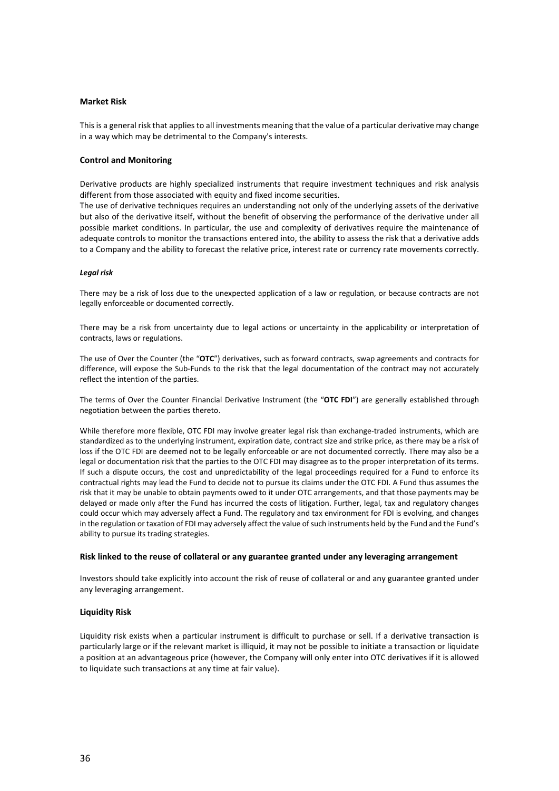# **Market Risk**

This is a general risk that applies to all investments meaning that the value of a particular derivative may change in a way which may be detrimental to the Company's interests.

# **Control and Monitoring**

Derivative products are highly specialized instruments that require investment techniques and risk analysis different from those associated with equity and fixed income securities.

The use of derivative techniques requires an understanding not only of the underlying assets of the derivative but also of the derivative itself, without the benefit of observing the performance of the derivative under all possible market conditions. In particular, the use and complexity of derivatives require the maintenance of adequate controls to monitor the transactions entered into, the ability to assess the risk that a derivative adds to a Company and the ability to forecast the relative price, interest rate or currency rate movements correctly.

# *Legal risk*

There may be a risk of loss due to the unexpected application of a law or regulation, or because contracts are not legally enforceable or documented correctly.

There may be a risk from uncertainty due to legal actions or uncertainty in the applicability or interpretation of contracts, laws or regulations.

The use of Over the Counter (the "**OTC**") derivatives, such as forward contracts, swap agreements and contracts for difference, will expose the Sub-Funds to the risk that the legal documentation of the contract may not accurately reflect the intention of the parties.

The terms of Over the Counter Financial Derivative Instrument (the "**OTC FDI**") are generally established through negotiation between the parties thereto.

While therefore more flexible, OTC FDI may involve greater legal risk than exchange-traded instruments, which are standardized as to the underlying instrument, expiration date, contract size and strike price, as there may be a risk of loss if the OTC FDI are deemed not to be legally enforceable or are not documented correctly. There may also be a legal or documentation risk that the parties to the OTC FDI may disagree as to the proper interpretation of its terms. If such a dispute occurs, the cost and unpredictability of the legal proceedings required for a Fund to enforce its contractual rights may lead the Fund to decide not to pursue its claims under the OTC FDI. A Fund thus assumes the risk that it may be unable to obtain payments owed to it under OTC arrangements, and that those payments may be delayed or made only after the Fund has incurred the costs of litigation. Further, legal, tax and regulatory changes could occur which may adversely affect a Fund. The regulatory and tax environment for FDI is evolving, and changes in the regulation or taxation of FDI may adversely affect the value of such instruments held by the Fund and the Fund's ability to pursue its trading strategies.

# **Risk linked to the reuse of collateral or any guarantee granted under any leveraging arrangement**

Investors should take explicitly into account the risk of reuse of collateral or and any guarantee granted under any leveraging arrangement.

# **Liquidity Risk**

Liquidity risk exists when a particular instrument is difficult to purchase or sell. If a derivative transaction is particularly large or if the relevant market is illiquid, it may not be possible to initiate a transaction or liquidate a position at an advantageous price (however, the Company will only enter into OTC derivatives if it is allowed to liquidate such transactions at any time at fair value).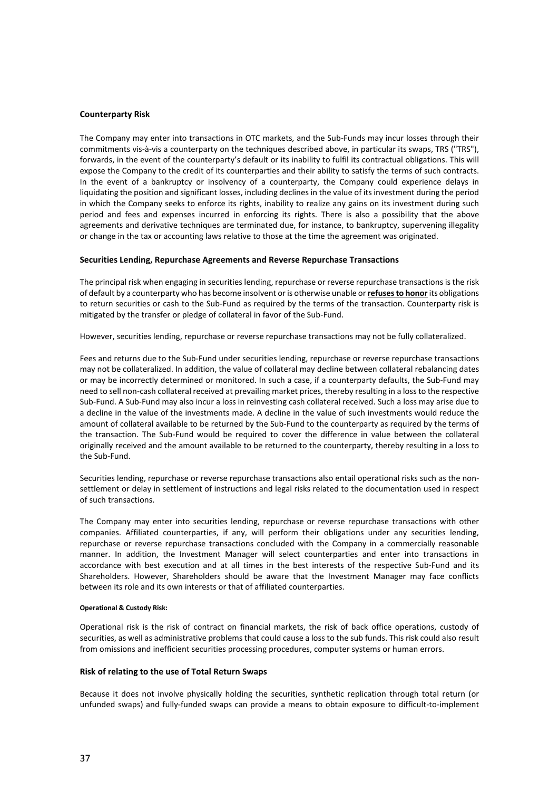### **Counterparty Risk**

The Company may enter into transactions in OTC markets, and the Sub-Funds may incur losses through their commitments vis-à-vis a counterparty on the techniques described above, in particular its swaps, TRS ("TRS"), forwards, in the event of the counterparty's default or its inability to fulfil its contractual obligations. This will expose the Company to the credit of its counterparties and their ability to satisfy the terms of such contracts. In the event of a bankruptcy or insolvency of a counterparty, the Company could experience delays in liquidating the position and significant losses, including declines in the value of its investment during the period in which the Company seeks to enforce its rights, inability to realize any gains on its investment during such period and fees and expenses incurred in enforcing its rights. There is also a possibility that the above agreements and derivative techniques are terminated due, for instance, to bankruptcy, supervening illegality or change in the tax or accounting laws relative to those at the time the agreement was originated.

#### **Securities Lending, Repurchase Agreements and Reverse Repurchase Transactions**

The principal risk when engaging in securities lending, repurchase or reverse repurchase transactions is the risk of default by a counterparty who has become insolvent or is otherwise unable or **refuses to honor**its obligations to return securities or cash to the Sub-Fund as required by the terms of the transaction. Counterparty risk is mitigated by the transfer or pledge of collateral in favor of the Sub-Fund.

However, securities lending, repurchase or reverse repurchase transactions may not be fully collateralized.

Fees and returns due to the Sub-Fund under securities lending, repurchase or reverse repurchase transactions may not be collateralized. In addition, the value of collateral may decline between collateral rebalancing dates or may be incorrectly determined or monitored. In such a case, if a counterparty defaults, the Sub-Fund may need to sell non-cash collateral received at prevailing market prices, thereby resulting in a loss to the respective Sub-Fund. A Sub-Fund may also incur a loss in reinvesting cash collateral received. Such a loss may arise due to a decline in the value of the investments made. A decline in the value of such investments would reduce the amount of collateral available to be returned by the Sub-Fund to the counterparty as required by the terms of the transaction. The Sub-Fund would be required to cover the difference in value between the collateral originally received and the amount available to be returned to the counterparty, thereby resulting in a loss to the Sub-Fund.

Securities lending, repurchase or reverse repurchase transactions also entail operational risks such as the nonsettlement or delay in settlement of instructions and legal risks related to the documentation used in respect of such transactions.

The Company may enter into securities lending, repurchase or reverse repurchase transactions with other companies. Affiliated counterparties, if any, will perform their obligations under any securities lending, repurchase or reverse repurchase transactions concluded with the Company in a commercially reasonable manner. In addition, the Investment Manager will select counterparties and enter into transactions in accordance with best execution and at all times in the best interests of the respective Sub-Fund and its Shareholders. However, Shareholders should be aware that the Investment Manager may face conflicts between its role and its own interests or that of affiliated counterparties.

#### **Operational & Custody Risk:**

Operational risk is the risk of contract on financial markets, the risk of back office operations, custody of securities, as well as administrative problems that could cause a loss to the sub funds. This risk could also result from omissions and inefficient securities processing procedures, computer systems or human errors.

#### **Risk of relating to the use of Total Return Swaps**

Because it does not involve physically holding the securities, synthetic replication through total return (or unfunded swaps) and fully-funded swaps can provide a means to obtain exposure to difficult-to-implement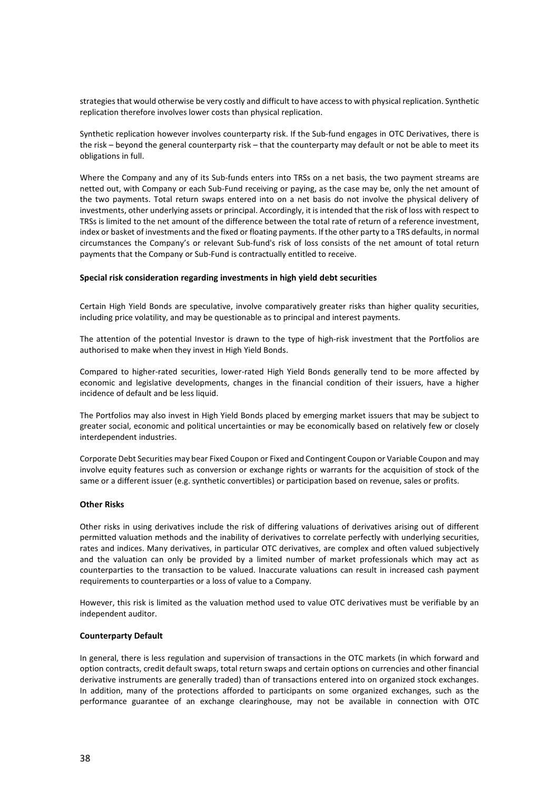strategies that would otherwise be very costly and difficult to have access to with physical replication. Synthetic replication therefore involves lower costs than physical replication.

Synthetic replication however involves counterparty risk. If the Sub-fund engages in OTC Derivatives, there is the risk – beyond the general counterparty risk – that the counterparty may default or not be able to meet its obligations in full.

Where the Company and any of its Sub-funds enters into TRSs on a net basis, the two payment streams are netted out, with Company or each Sub-Fund receiving or paying, as the case may be, only the net amount of the two payments. Total return swaps entered into on a net basis do not involve the physical delivery of investments, other underlying assets or principal. Accordingly, it is intended that the risk of loss with respect to TRSs is limited to the net amount of the difference between the total rate of return of a reference investment, index or basket of investments and the fixed or floating payments. If the other party to a TRS defaults, in normal circumstances the Company's or relevant Sub-fund's risk of loss consists of the net amount of total return payments that the Company or Sub-Fund is contractually entitled to receive.

# **Special risk consideration regarding investments in high yield debt securities**

Certain High Yield Bonds are speculative, involve comparatively greater risks than higher quality securities, including price volatility, and may be questionable as to principal and interest payments.

The attention of the potential Investor is drawn to the type of high-risk investment that the Portfolios are authorised to make when they invest in High Yield Bonds.

Compared to higher-rated securities, lower-rated High Yield Bonds generally tend to be more affected by economic and legislative developments, changes in the financial condition of their issuers, have a higher incidence of default and be less liquid.

The Portfolios may also invest in High Yield Bonds placed by emerging market issuers that may be subject to greater social, economic and political uncertainties or may be economically based on relatively few or closely interdependent industries.

Corporate Debt Securities may bear Fixed Coupon or Fixed and Contingent Coupon or Variable Coupon and may involve equity features such as conversion or exchange rights or warrants for the acquisition of stock of the same or a different issuer (e.g. synthetic convertibles) or participation based on revenue, sales or profits.

# **Other Risks**

Other risks in using derivatives include the risk of differing valuations of derivatives arising out of different permitted valuation methods and the inability of derivatives to correlate perfectly with underlying securities, rates and indices. Many derivatives, in particular OTC derivatives, are complex and often valued subjectively and the valuation can only be provided by a limited number of market professionals which may act as counterparties to the transaction to be valued. Inaccurate valuations can result in increased cash payment requirements to counterparties or a loss of value to a Company.

However, this risk is limited as the valuation method used to value OTC derivatives must be verifiable by an independent auditor.

# **Counterparty Default**

In general, there is less regulation and supervision of transactions in the OTC markets (in which forward and option contracts, credit default swaps, total return swaps and certain options on currencies and other financial derivative instruments are generally traded) than of transactions entered into on organized stock exchanges. In addition, many of the protections afforded to participants on some organized exchanges, such as the performance guarantee of an exchange clearinghouse, may not be available in connection with OTC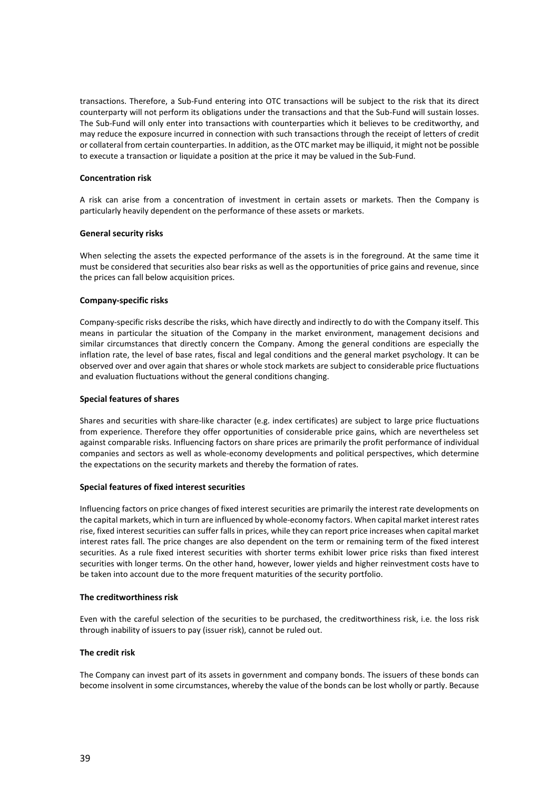transactions. Therefore, a Sub-Fund entering into OTC transactions will be subject to the risk that its direct counterparty will not perform its obligations under the transactions and that the Sub-Fund will sustain losses. The Sub-Fund will only enter into transactions with counterparties which it believes to be creditworthy, and may reduce the exposure incurred in connection with such transactions through the receipt of letters of credit or collateral from certain counterparties. In addition, as the OTC market may be illiquid, it might not be possible to execute a transaction or liquidate a position at the price it may be valued in the Sub-Fund.

# **Concentration risk**

A risk can arise from a concentration of investment in certain assets or markets. Then the Company is particularly heavily dependent on the performance of these assets or markets.

# **General security risks**

When selecting the assets the expected performance of the assets is in the foreground. At the same time it must be considered that securities also bear risks as well as the opportunities of price gains and revenue, since the prices can fall below acquisition prices.

# **Company-specific risks**

Company-specific risks describe the risks, which have directly and indirectly to do with the Company itself. This means in particular the situation of the Company in the market environment, management decisions and similar circumstances that directly concern the Company. Among the general conditions are especially the inflation rate, the level of base rates, fiscal and legal conditions and the general market psychology. It can be observed over and over again that shares or whole stock markets are subject to considerable price fluctuations and evaluation fluctuations without the general conditions changing.

# **Special features of shares**

Shares and securities with share-like character (e.g. index certificates) are subject to large price fluctuations from experience. Therefore they offer opportunities of considerable price gains, which are nevertheless set against comparable risks. Influencing factors on share prices are primarily the profit performance of individual companies and sectors as well as whole-economy developments and political perspectives, which determine the expectations on the security markets and thereby the formation of rates.

# **Special features of fixed interest securities**

Influencing factors on price changes of fixed interest securities are primarily the interest rate developments on the capital markets, which in turn are influenced by whole-economy factors. When capital market interest rates rise, fixed interest securities can suffer falls in prices, while they can report price increases when capital market interest rates fall. The price changes are also dependent on the term or remaining term of the fixed interest securities. As a rule fixed interest securities with shorter terms exhibit lower price risks than fixed interest securities with longer terms. On the other hand, however, lower yields and higher reinvestment costs have to be taken into account due to the more frequent maturities of the security portfolio.

# **The creditworthiness risk**

Even with the careful selection of the securities to be purchased, the creditworthiness risk, i.e. the loss risk through inability of issuers to pay (issuer risk), cannot be ruled out.

# **The credit risk**

The Company can invest part of its assets in government and company bonds. The issuers of these bonds can become insolvent in some circumstances, whereby the value of the bonds can be lost wholly or partly. Because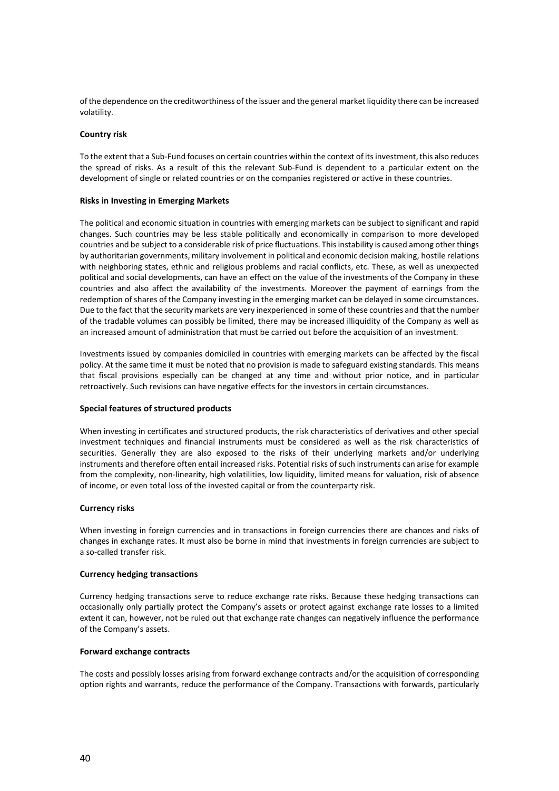of the dependence on the creditworthiness of the issuer and the general market liquidity there can be increased volatility.

# **Country risk**

To the extent that a Sub-Fund focuses on certain countries within the context of its investment, this also reduces the spread of risks. As a result of this the relevant Sub-Fund is dependent to a particular extent on the development of single or related countries or on the companies registered or active in these countries.

#### **Risks in Investing in Emerging Markets**

The political and economic situation in countries with emerging markets can be subject to significant and rapid changes. Such countries may be less stable politically and economically in comparison to more developed countries and be subject to a considerable risk of price fluctuations. This instability is caused among other things by authoritarian governments, military involvement in political and economic decision making, hostile relations with neighboring states, ethnic and religious problems and racial conflicts, etc. These, as well as unexpected political and social developments, can have an effect on the value of the investments of the Company in these countries and also affect the availability of the investments. Moreover the payment of earnings from the redemption of shares of the Company investing in the emerging market can be delayed in some circumstances. Due to the fact that the security markets are very inexperienced in some of these countries and that the number of the tradable volumes can possibly be limited, there may be increased illiquidity of the Company as well as an increased amount of administration that must be carried out before the acquisition of an investment.

Investments issued by companies domiciled in countries with emerging markets can be affected by the fiscal policy. At the same time it must be noted that no provision is made to safeguard existing standards. This means that fiscal provisions especially can be changed at any time and without prior notice, and in particular retroactively. Such revisions can have negative effects for the investors in certain circumstances.

#### **Special features of structured products**

When investing in certificates and structured products, the risk characteristics of derivatives and other special investment techniques and financial instruments must be considered as well as the risk characteristics of securities. Generally they are also exposed to the risks of their underlying markets and/or underlying instruments and therefore often entail increased risks. Potential risks of such instruments can arise for example from the complexity, non-linearity, high volatilities, low liquidity, limited means for valuation, risk of absence of income, or even total loss of the invested capital or from the counterparty risk.

# **Currency risks**

When investing in foreign currencies and in transactions in foreign currencies there are chances and risks of changes in exchange rates. It must also be borne in mind that investments in foreign currencies are subject to a so-called transfer risk.

# **Currency hedging transactions**

Currency hedging transactions serve to reduce exchange rate risks. Because these hedging transactions can occasionally only partially protect the Company's assets or protect against exchange rate losses to a limited extent it can, however, not be ruled out that exchange rate changes can negatively influence the performance of the Company's assets.

### **Forward exchange contracts**

The costs and possibly losses arising from forward exchange contracts and/or the acquisition of corresponding option rights and warrants, reduce the performance of the Company. Transactions with forwards, particularly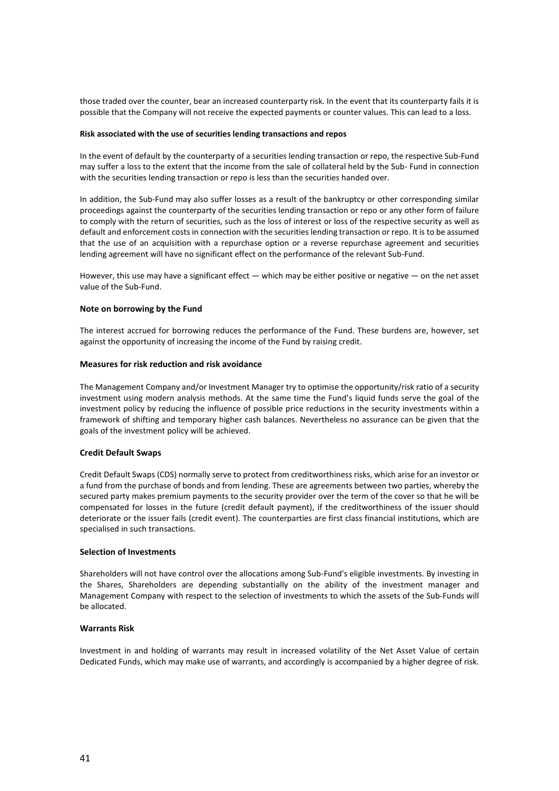those traded over the counter, bear an increased counterparty risk. In the event that its counterparty fails it is possible that the Company will not receive the expected payments or counter values. This can lead to a loss.

### **Risk associated with the use of securities lending transactions and repos**

In the event of default by the counterparty of a securities lending transaction or repo, the respective Sub-Fund may suffer a loss to the extent that the income from the sale of collateral held by the Sub- Fund in connection with the securities lending transaction or repo is less than the securities handed over.

In addition, the Sub-Fund may also suffer losses as a result of the bankruptcy or other corresponding similar proceedings against the counterparty of the securities lending transaction or repo or any other form of failure to comply with the return of securities, such as the loss of interest or loss of the respective security as well as default and enforcement costs in connection with the securities lending transaction or repo. It is to be assumed that the use of an acquisition with a repurchase option or a reverse repurchase agreement and securities lending agreement will have no significant effect on the performance of the relevant Sub-Fund.

However, this use may have a significant effect — which may be either positive or negative — on the net asset value of the Sub-Fund.

# **Note on borrowing by the Fund**

The interest accrued for borrowing reduces the performance of the Fund. These burdens are, however, set against the opportunity of increasing the income of the Fund by raising credit.

# **Measures for risk reduction and risk avoidance**

The Management Company and/or Investment Manager try to optimise the opportunity/risk ratio of a security investment using modern analysis methods. At the same time the Fund's liquid funds serve the goal of the investment policy by reducing the influence of possible price reductions in the security investments within a framework of shifting and temporary higher cash balances. Nevertheless no assurance can be given that the goals of the investment policy will be achieved.

# **Credit Default Swaps**

Credit Default Swaps (CDS) normally serve to protect from creditworthiness risks, which arise for an investor or a fund from the purchase of bonds and from lending. These are agreements between two parties, whereby the secured party makes premium payments to the security provider over the term of the cover so that he will be compensated for losses in the future (credit default payment), if the creditworthiness of the issuer should deteriorate or the issuer fails (credit event). The counterparties are first class financial institutions, which are specialised in such transactions.

# **Selection of Investments**

Shareholders will not have control over the allocations among Sub-Fund's eligible investments. By investing in the Shares, Shareholders are depending substantially on the ability of the investment manager and Management Company with respect to the selection of investments to which the assets of the Sub-Funds will be allocated.

# **Warrants Risk**

Investment in and holding of warrants may result in increased volatility of the Net Asset Value of certain Dedicated Funds, which may make use of warrants, and accordingly is accompanied by a higher degree of risk.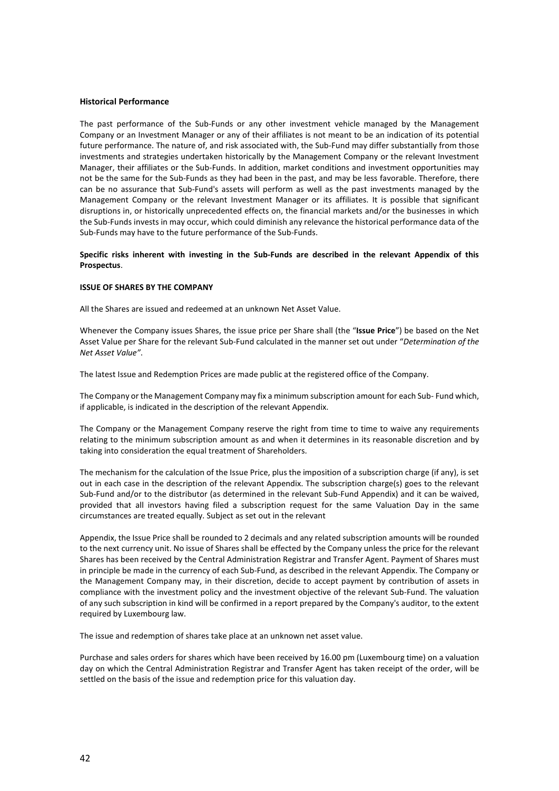# **Historical Performance**

The past performance of the Sub-Funds or any other investment vehicle managed by the Management Company or an Investment Manager or any of their affiliates is not meant to be an indication of its potential future performance. The nature of, and risk associated with, the Sub-Fund may differ substantially from those investments and strategies undertaken historically by the Management Company or the relevant Investment Manager, their affiliates or the Sub-Funds. In addition, market conditions and investment opportunities may not be the same for the Sub-Funds as they had been in the past, and may be less favorable. Therefore, there can be no assurance that Sub-Fund's assets will perform as well as the past investments managed by the Management Company or the relevant Investment Manager or its affiliates. It is possible that significant disruptions in, or historically unprecedented effects on, the financial markets and/or the businesses in which the Sub-Funds invests in may occur, which could diminish any relevance the historical performance data of the Sub-Funds may have to the future performance of the Sub-Funds.

# **Specific risks inherent with investing in the Sub-Funds are described in the relevant Appendix of this Prospectus**.

#### **ISSUE OF SHARES BY THE COMPANY**

All the Shares are issued and redeemed at an unknown Net Asset Value.

Whenever the Company issues Shares, the issue price per Share shall (the "**Issue Price**") be based on the Net Asset Value per Share for the relevant Sub-Fund calculated in the manner set out under "*Determination of the Net Asset Value"*.

The latest Issue and Redemption Prices are made public at the registered office of the Company.

The Company or the Management Company may fix a minimum subscription amount for each Sub- Fund which, if applicable, is indicated in the description of the relevant Appendix.

The Company or the Management Company reserve the right from time to time to waive any requirements relating to the minimum subscription amount as and when it determines in its reasonable discretion and by taking into consideration the equal treatment of Shareholders.

The mechanism for the calculation of the Issue Price, plus the imposition of a subscription charge (if any), is set out in each case in the description of the relevant Appendix. The subscription charge(s) goes to the relevant Sub-Fund and/or to the distributor (as determined in the relevant Sub-Fund Appendix) and it can be waived, provided that all investors having filed a subscription request for the same Valuation Day in the same circumstances are treated equally. Subject as set out in the relevant

Appendix, the Issue Price shall be rounded to 2 decimals and any related subscription amounts will be rounded to the next currency unit. No issue of Shares shall be effected by the Company unless the price for the relevant Shares has been received by the Central Administration Registrar and Transfer Agent. Payment of Shares must in principle be made in the currency of each Sub-Fund, as described in the relevant Appendix. The Company or the Management Company may, in their discretion, decide to accept payment by contribution of assets in compliance with the investment policy and the investment objective of the relevant Sub-Fund. The valuation of any such subscription in kind will be confirmed in a report prepared by the Company's auditor, to the extent required by Luxembourg law.

The issue and redemption of shares take place at an unknown net asset value.

Purchase and sales orders for shares which have been received by 16.00 pm (Luxembourg time) on a valuation day on which the Central Administration Registrar and Transfer Agent has taken receipt of the order, will be settled on the basis of the issue and redemption price for this valuation day.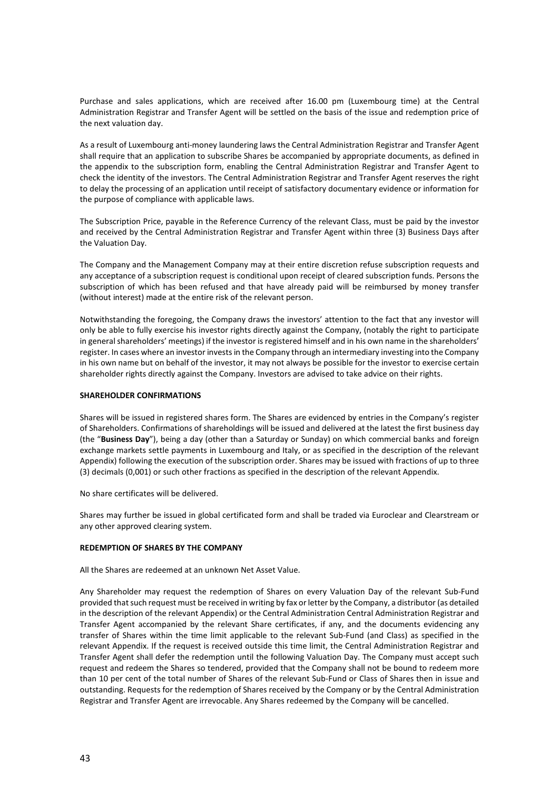Purchase and sales applications, which are received after 16.00 pm (Luxembourg time) at the Central Administration Registrar and Transfer Agent will be settled on the basis of the issue and redemption price of the next valuation day.

As a result of Luxembourg anti-money laundering laws the Central Administration Registrar and Transfer Agent shall require that an application to subscribe Shares be accompanied by appropriate documents, as defined in the appendix to the subscription form, enabling the Central Administration Registrar and Transfer Agent to check the identity of the investors. The Central Administration Registrar and Transfer Agent reserves the right to delay the processing of an application until receipt of satisfactory documentary evidence or information for the purpose of compliance with applicable laws.

The Subscription Price, payable in the Reference Currency of the relevant Class, must be paid by the investor and received by the Central Administration Registrar and Transfer Agent within three (3) Business Days after the Valuation Day.

The Company and the Management Company may at their entire discretion refuse subscription requests and any acceptance of a subscription request is conditional upon receipt of cleared subscription funds. Persons the subscription of which has been refused and that have already paid will be reimbursed by money transfer (without interest) made at the entire risk of the relevant person.

Notwithstanding the foregoing, the Company draws the investors' attention to the fact that any investor will only be able to fully exercise his investor rights directly against the Company, (notably the right to participate in general shareholders' meetings) if the investor is registered himself and in his own name in the shareholders' register. In cases where an investor invests in the Company through an intermediary investing into the Company in his own name but on behalf of the investor, it may not always be possible for the investor to exercise certain shareholder rights directly against the Company. Investors are advised to take advice on their rights.

# **SHAREHOLDER CONFIRMATIONS**

Shares will be issued in registered shares form. The Shares are evidenced by entries in the Company's register of Shareholders. Confirmations of shareholdings will be issued and delivered at the latest the first business day (the "**Business Day**"), being a day (other than a Saturday or Sunday) on which commercial banks and foreign exchange markets settle payments in Luxembourg and Italy, or as specified in the description of the relevant Appendix) following the execution of the subscription order. Shares may be issued with fractions of up to three (3) decimals (0,001) or such other fractions as specified in the description of the relevant Appendix.

No share certificates will be delivered.

Shares may further be issued in global certificated form and shall be traded via Euroclear and Clearstream or any other approved clearing system.

# **REDEMPTION OF SHARES BY THE COMPANY**

All the Shares are redeemed at an unknown Net Asset Value.

Any Shareholder may request the redemption of Shares on every Valuation Day of the relevant Sub-Fund provided that such request must be received in writing by fax or letter by the Company, a distributor (as detailed in the description of the relevant Appendix) or the Central Administration Central Administration Registrar and Transfer Agent accompanied by the relevant Share certificates, if any, and the documents evidencing any transfer of Shares within the time limit applicable to the relevant Sub-Fund (and Class) as specified in the relevant Appendix. If the request is received outside this time limit, the Central Administration Registrar and Transfer Agent shall defer the redemption until the following Valuation Day. The Company must accept such request and redeem the Shares so tendered, provided that the Company shall not be bound to redeem more than 10 per cent of the total number of Shares of the relevant Sub-Fund or Class of Shares then in issue and outstanding. Requests for the redemption of Shares received by the Company or by the Central Administration Registrar and Transfer Agent are irrevocable. Any Shares redeemed by the Company will be cancelled.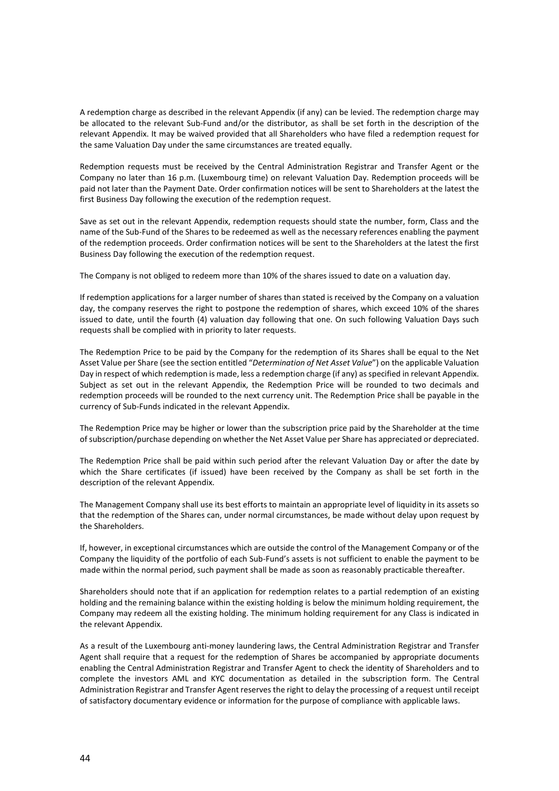A redemption charge as described in the relevant Appendix (if any) can be levied. The redemption charge may be allocated to the relevant Sub-Fund and/or the distributor, as shall be set forth in the description of the relevant Appendix. It may be waived provided that all Shareholders who have filed a redemption request for the same Valuation Day under the same circumstances are treated equally.

Redemption requests must be received by the Central Administration Registrar and Transfer Agent or the Company no later than 16 p.m. (Luxembourg time) on relevant Valuation Day. Redemption proceeds will be paid not later than the Payment Date. Order confirmation notices will be sent to Shareholders at the latest the first Business Day following the execution of the redemption request.

Save as set out in the relevant Appendix, redemption requests should state the number, form, Class and the name of the Sub-Fund of the Shares to be redeemed as well as the necessary references enabling the payment of the redemption proceeds. Order confirmation notices will be sent to the Shareholders at the latest the first Business Day following the execution of the redemption request.

The Company is not obliged to redeem more than 10% of the shares issued to date on a valuation day.

If redemption applications for a larger number of shares than stated is received by the Company on a valuation day, the company reserves the right to postpone the redemption of shares, which exceed 10% of the shares issued to date, until the fourth (4) valuation day following that one. On such following Valuation Days such requests shall be complied with in priority to later requests.

The Redemption Price to be paid by the Company for the redemption of its Shares shall be equal to the Net Asset Value per Share (see the section entitled "*Determination of Net Asset Value*") on the applicable Valuation Day in respect of which redemption is made, less a redemption charge (if any) as specified in relevant Appendix. Subject as set out in the relevant Appendix, the Redemption Price will be rounded to two decimals and redemption proceeds will be rounded to the next currency unit. The Redemption Price shall be payable in the currency of Sub-Funds indicated in the relevant Appendix.

The Redemption Price may be higher or lower than the subscription price paid by the Shareholder at the time of subscription/purchase depending on whether the Net Asset Value per Share has appreciated or depreciated.

The Redemption Price shall be paid within such period after the relevant Valuation Day or after the date by which the Share certificates (if issued) have been received by the Company as shall be set forth in the description of the relevant Appendix.

The Management Company shall use its best efforts to maintain an appropriate level of liquidity in its assets so that the redemption of the Shares can, under normal circumstances, be made without delay upon request by the Shareholders.

If, however, in exceptional circumstances which are outside the control of the Management Company or of the Company the liquidity of the portfolio of each Sub-Fund's assets is not sufficient to enable the payment to be made within the normal period, such payment shall be made as soon as reasonably practicable thereafter.

Shareholders should note that if an application for redemption relates to a partial redemption of an existing holding and the remaining balance within the existing holding is below the minimum holding requirement, the Company may redeem all the existing holding. The minimum holding requirement for any Class is indicated in the relevant Appendix.

As a result of the Luxembourg anti-money laundering laws, the Central Administration Registrar and Transfer Agent shall require that a request for the redemption of Shares be accompanied by appropriate documents enabling the Central Administration Registrar and Transfer Agent to check the identity of Shareholders and to complete the investors AML and KYC documentation as detailed in the subscription form. The Central Administration Registrar and Transfer Agent reserves the right to delay the processing of a request until receipt of satisfactory documentary evidence or information for the purpose of compliance with applicable laws.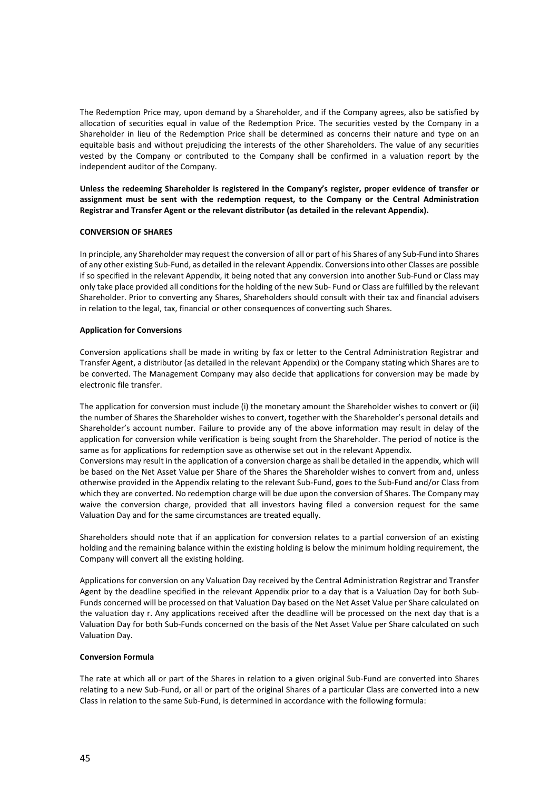The Redemption Price may, upon demand by a Shareholder, and if the Company agrees, also be satisfied by allocation of securities equal in value of the Redemption Price. The securities vested by the Company in a Shareholder in lieu of the Redemption Price shall be determined as concerns their nature and type on an equitable basis and without prejudicing the interests of the other Shareholders. The value of any securities vested by the Company or contributed to the Company shall be confirmed in a valuation report by the independent auditor of the Company.

**Unless the redeeming Shareholder is registered in the Company's register, proper evidence of transfer or assignment must be sent with the redemption request, to the Company or the Central Administration Registrar and Transfer Agent or the relevant distributor (as detailed in the relevant Appendix).**

# **CONVERSION OF SHARES**

In principle, any Shareholder may request the conversion of all or part of his Shares of any Sub-Fund into Shares of any other existing Sub-Fund, as detailed in the relevant Appendix. Conversions into other Classes are possible if so specified in the relevant Appendix, it being noted that any conversion into another Sub-Fund or Class may only take place provided all conditions for the holding of the new Sub- Fund or Class are fulfilled by the relevant Shareholder. Prior to converting any Shares, Shareholders should consult with their tax and financial advisers in relation to the legal, tax, financial or other consequences of converting such Shares.

# **Application for Conversions**

Conversion applications shall be made in writing by fax or letter to the Central Administration Registrar and Transfer Agent, a distributor (as detailed in the relevant Appendix) or the Company stating which Shares are to be converted. The Management Company may also decide that applications for conversion may be made by electronic file transfer.

The application for conversion must include (i) the monetary amount the Shareholder wishes to convert or (ii) the number of Shares the Shareholder wishes to convert, together with the Shareholder's personal details and Shareholder's account number. Failure to provide any of the above information may result in delay of the application for conversion while verification is being sought from the Shareholder. The period of notice is the same as for applications for redemption save as otherwise set out in the relevant Appendix.

Conversions may result in the application of a conversion charge as shall be detailed in the appendix, which will be based on the Net Asset Value per Share of the Shares the Shareholder wishes to convert from and, unless otherwise provided in the Appendix relating to the relevant Sub-Fund, goes to the Sub-Fund and/or Class from which they are converted. No redemption charge will be due upon the conversion of Shares. The Company may waive the conversion charge, provided that all investors having filed a conversion request for the same Valuation Day and for the same circumstances are treated equally.

Shareholders should note that if an application for conversion relates to a partial conversion of an existing holding and the remaining balance within the existing holding is below the minimum holding requirement, the Company will convert all the existing holding.

Applications for conversion on any Valuation Day received by the Central Administration Registrar and Transfer Agent by the deadline specified in the relevant Appendix prior to a day that is a Valuation Day for both Sub-Funds concerned will be processed on that Valuation Day based on the Net Asset Value per Share calculated on the valuation day r. Any applications received after the deadline will be processed on the next day that is a Valuation Day for both Sub-Funds concerned on the basis of the Net Asset Value per Share calculated on such Valuation Day.

# **Conversion Formula**

The rate at which all or part of the Shares in relation to a given original Sub-Fund are converted into Shares relating to a new Sub-Fund, or all or part of the original Shares of a particular Class are converted into a new Class in relation to the same Sub-Fund, is determined in accordance with the following formula: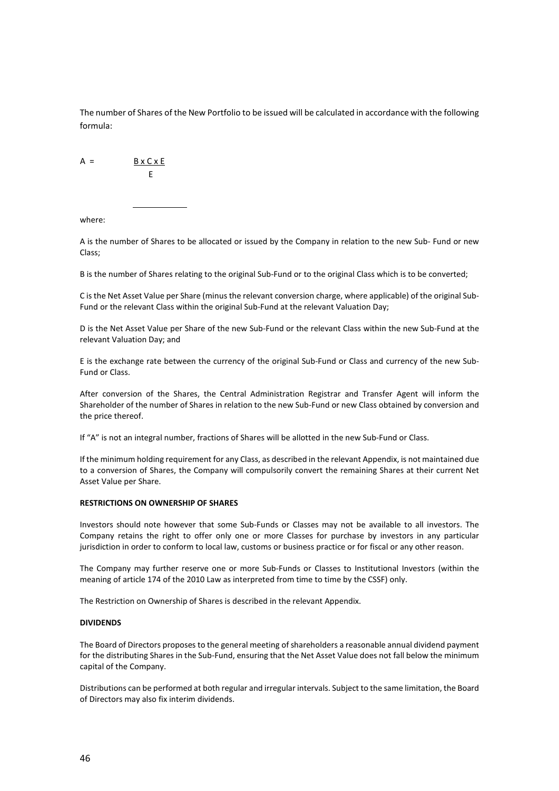The number of Shares of the New Portfolio to be issued will be calculated in accordance with the following formula:

 $A = B \times C \times E$ E

where:

A is the number of Shares to be allocated or issued by the Company in relation to the new Sub- Fund or new Class;

B is the number of Shares relating to the original Sub-Fund or to the original Class which is to be converted;

C is the Net Asset Value per Share (minus the relevant conversion charge, where applicable) of the original Sub-Fund or the relevant Class within the original Sub-Fund at the relevant Valuation Day;

D is the Net Asset Value per Share of the new Sub-Fund or the relevant Class within the new Sub-Fund at the relevant Valuation Day; and

E is the exchange rate between the currency of the original Sub-Fund or Class and currency of the new Sub-Fund or Class.

After conversion of the Shares, the Central Administration Registrar and Transfer Agent will inform the Shareholder of the number of Shares in relation to the new Sub-Fund or new Class obtained by conversion and the price thereof.

If "A" is not an integral number, fractions of Shares will be allotted in the new Sub-Fund or Class.

If the minimum holding requirement for any Class, as described in the relevant Appendix, is not maintained due to a conversion of Shares, the Company will compulsorily convert the remaining Shares at their current Net Asset Value per Share.

# **RESTRICTIONS ON OWNERSHIP OF SHARES**

Investors should note however that some Sub-Funds or Classes may not be available to all investors. The Company retains the right to offer only one or more Classes for purchase by investors in any particular jurisdiction in order to conform to local law, customs or business practice or for fiscal or any other reason.

The Company may further reserve one or more Sub-Funds or Classes to Institutional Investors (within the meaning of article 174 of the 2010 Law as interpreted from time to time by the CSSF) only.

The Restriction on Ownership of Shares is described in the relevant Appendix.

# **DIVIDENDS**

The Board of Directors proposes to the general meeting of shareholders a reasonable annual dividend payment for the distributing Shares in the Sub-Fund, ensuring that the Net Asset Value does not fall below the minimum capital of the Company.

Distributions can be performed at both regular and irregular intervals. Subject to the same limitation, the Board of Directors may also fix interim dividends.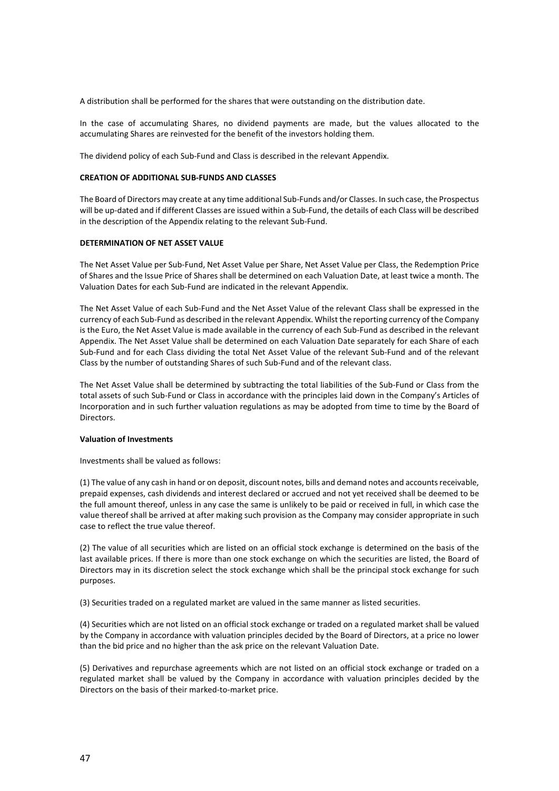A distribution shall be performed for the shares that were outstanding on the distribution date.

In the case of accumulating Shares, no dividend payments are made, but the values allocated to the accumulating Shares are reinvested for the benefit of the investors holding them.

The dividend policy of each Sub-Fund and Class is described in the relevant Appendix.

### **CREATION OF ADDITIONAL SUB-FUNDS AND CLASSES**

The Board of Directors may create at any time additional Sub-Funds and/or Classes. In such case, the Prospectus will be up-dated and if different Classes are issued within a Sub-Fund, the details of each Class will be described in the description of the Appendix relating to the relevant Sub-Fund.

# **DETERMINATION OF NET ASSET VALUE**

The Net Asset Value per Sub-Fund, Net Asset Value per Share, Net Asset Value per Class, the Redemption Price of Shares and the Issue Price of Shares shall be determined on each Valuation Date, at least twice a month. The Valuation Dates for each Sub-Fund are indicated in the relevant Appendix.

The Net Asset Value of each Sub-Fund and the Net Asset Value of the relevant Class shall be expressed in the currency of each Sub-Fund as described in the relevant Appendix. Whilst the reporting currency of the Company is the Euro, the Net Asset Value is made available in the currency of each Sub-Fund as described in the relevant Appendix. The Net Asset Value shall be determined on each Valuation Date separately for each Share of each Sub-Fund and for each Class dividing the total Net Asset Value of the relevant Sub-Fund and of the relevant Class by the number of outstanding Shares of such Sub-Fund and of the relevant class.

The Net Asset Value shall be determined by subtracting the total liabilities of the Sub-Fund or Class from the total assets of such Sub-Fund or Class in accordance with the principles laid down in the Company's Articles of Incorporation and in such further valuation regulations as may be adopted from time to time by the Board of Directors.

#### **Valuation of Investments**

Investments shall be valued as follows:

(1) The value of any cash in hand or on deposit, discount notes, bills and demand notes and accounts receivable, prepaid expenses, cash dividends and interest declared or accrued and not yet received shall be deemed to be the full amount thereof, unless in any case the same is unlikely to be paid or received in full, in which case the value thereof shall be arrived at after making such provision as the Company may consider appropriate in such case to reflect the true value thereof.

(2) The value of all securities which are listed on an official stock exchange is determined on the basis of the last available prices. If there is more than one stock exchange on which the securities are listed, the Board of Directors may in its discretion select the stock exchange which shall be the principal stock exchange for such purposes.

(3) Securities traded on a regulated market are valued in the same manner as listed securities.

(4) Securities which are not listed on an official stock exchange or traded on a regulated market shall be valued by the Company in accordance with valuation principles decided by the Board of Directors, at a price no lower than the bid price and no higher than the ask price on the relevant Valuation Date.

(5) Derivatives and repurchase agreements which are not listed on an official stock exchange or traded on a regulated market shall be valued by the Company in accordance with valuation principles decided by the Directors on the basis of their marked-to-market price.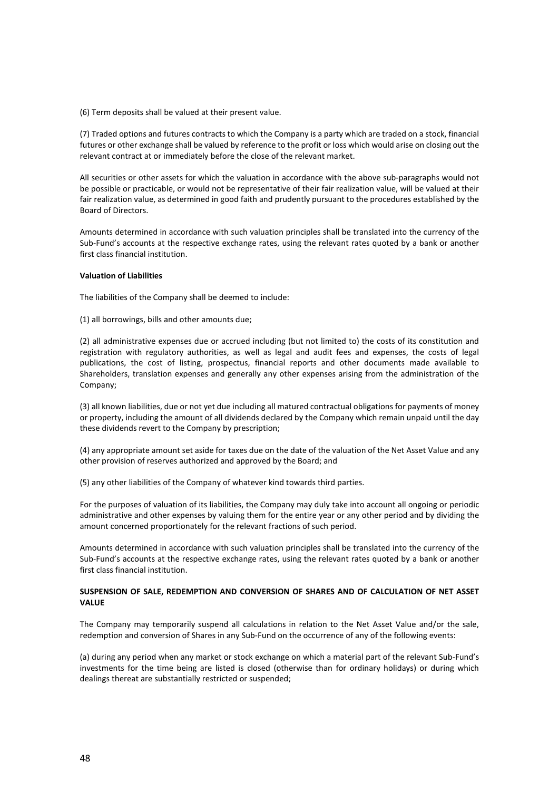(6) Term deposits shall be valued at their present value.

(7) Traded options and futures contracts to which the Company is a party which are traded on a stock, financial futures or other exchange shall be valued by reference to the profit or loss which would arise on closing out the relevant contract at or immediately before the close of the relevant market.

All securities or other assets for which the valuation in accordance with the above sub-paragraphs would not be possible or practicable, or would not be representative of their fair realization value, will be valued at their fair realization value, as determined in good faith and prudently pursuant to the procedures established by the Board of Directors.

Amounts determined in accordance with such valuation principles shall be translated into the currency of the Sub-Fund's accounts at the respective exchange rates, using the relevant rates quoted by a bank or another first class financial institution.

#### **Valuation of Liabilities**

The liabilities of the Company shall be deemed to include:

(1) all borrowings, bills and other amounts due;

(2) all administrative expenses due or accrued including (but not limited to) the costs of its constitution and registration with regulatory authorities, as well as legal and audit fees and expenses, the costs of legal publications, the cost of listing, prospectus, financial reports and other documents made available to Shareholders, translation expenses and generally any other expenses arising from the administration of the Company;

(3) all known liabilities, due or not yet due including all matured contractual obligations for payments of money or property, including the amount of all dividends declared by the Company which remain unpaid until the day these dividends revert to the Company by prescription;

(4) any appropriate amount set aside for taxes due on the date of the valuation of the Net Asset Value and any other provision of reserves authorized and approved by the Board; and

(5) any other liabilities of the Company of whatever kind towards third parties.

For the purposes of valuation of its liabilities, the Company may duly take into account all ongoing or periodic administrative and other expenses by valuing them for the entire year or any other period and by dividing the amount concerned proportionately for the relevant fractions of such period.

Amounts determined in accordance with such valuation principles shall be translated into the currency of the Sub-Fund's accounts at the respective exchange rates, using the relevant rates quoted by a bank or another first class financial institution.

# **SUSPENSION OF SALE, REDEMPTION AND CONVERSION OF SHARES AND OF CALCULATION OF NET ASSET VALUE**

The Company may temporarily suspend all calculations in relation to the Net Asset Value and/or the sale, redemption and conversion of Shares in any Sub-Fund on the occurrence of any of the following events:

(a) during any period when any market or stock exchange on which a material part of the relevant Sub-Fund's investments for the time being are listed is closed (otherwise than for ordinary holidays) or during which dealings thereat are substantially restricted or suspended;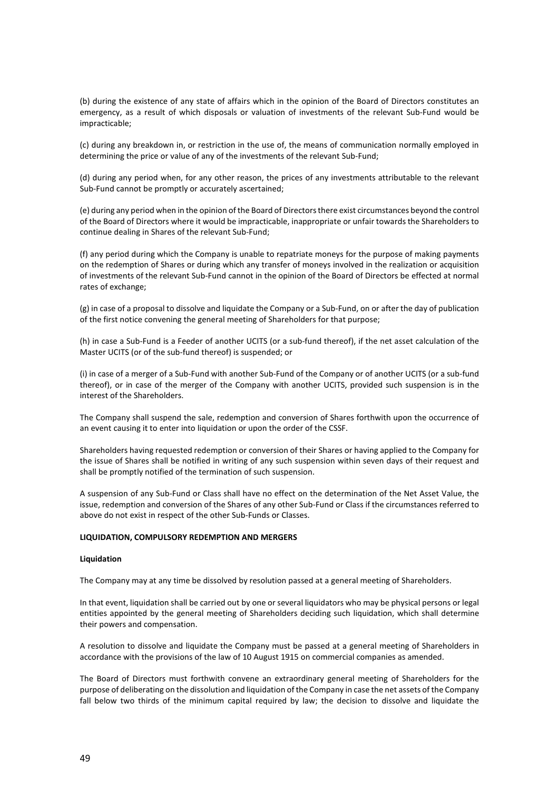(b) during the existence of any state of affairs which in the opinion of the Board of Directors constitutes an emergency, as a result of which disposals or valuation of investments of the relevant Sub-Fund would be impracticable;

(c) during any breakdown in, or restriction in the use of, the means of communication normally employed in determining the price or value of any of the investments of the relevant Sub-Fund;

(d) during any period when, for any other reason, the prices of any investments attributable to the relevant Sub-Fund cannot be promptly or accurately ascertained;

(e) during any period when in the opinion of the Board of Directors there exist circumstances beyond the control of the Board of Directors where it would be impracticable, inappropriate or unfair towards the Shareholders to continue dealing in Shares of the relevant Sub-Fund;

(f) any period during which the Company is unable to repatriate moneys for the purpose of making payments on the redemption of Shares or during which any transfer of moneys involved in the realization or acquisition of investments of the relevant Sub-Fund cannot in the opinion of the Board of Directors be effected at normal rates of exchange;

(g) in case of a proposal to dissolve and liquidate the Company or a Sub-Fund, on or after the day of publication of the first notice convening the general meeting of Shareholders for that purpose;

(h) in case a Sub-Fund is a Feeder of another UCITS (or a sub-fund thereof), if the net asset calculation of the Master UCITS (or of the sub-fund thereof) is suspended; or

(i) in case of a merger of a Sub-Fund with another Sub-Fund of the Company or of another UCITS (or a sub-fund thereof), or in case of the merger of the Company with another UCITS, provided such suspension is in the interest of the Shareholders.

The Company shall suspend the sale, redemption and conversion of Shares forthwith upon the occurrence of an event causing it to enter into liquidation or upon the order of the CSSF.

Shareholders having requested redemption or conversion of their Shares or having applied to the Company for the issue of Shares shall be notified in writing of any such suspension within seven days of their request and shall be promptly notified of the termination of such suspension.

A suspension of any Sub-Fund or Class shall have no effect on the determination of the Net Asset Value, the issue, redemption and conversion of the Shares of any other Sub-Fund or Class if the circumstances referred to above do not exist in respect of the other Sub-Funds or Classes.

# **LIQUIDATION, COMPULSORY REDEMPTION AND MERGERS**

#### **Liquidation**

The Company may at any time be dissolved by resolution passed at a general meeting of Shareholders.

In that event, liquidation shall be carried out by one or several liquidators who may be physical persons or legal entities appointed by the general meeting of Shareholders deciding such liquidation, which shall determine their powers and compensation.

A resolution to dissolve and liquidate the Company must be passed at a general meeting of Shareholders in accordance with the provisions of the law of 10 August 1915 on commercial companies as amended.

The Board of Directors must forthwith convene an extraordinary general meeting of Shareholders for the purpose of deliberating on the dissolution and liquidation of the Company in case the net assets of the Company fall below two thirds of the minimum capital required by law; the decision to dissolve and liquidate the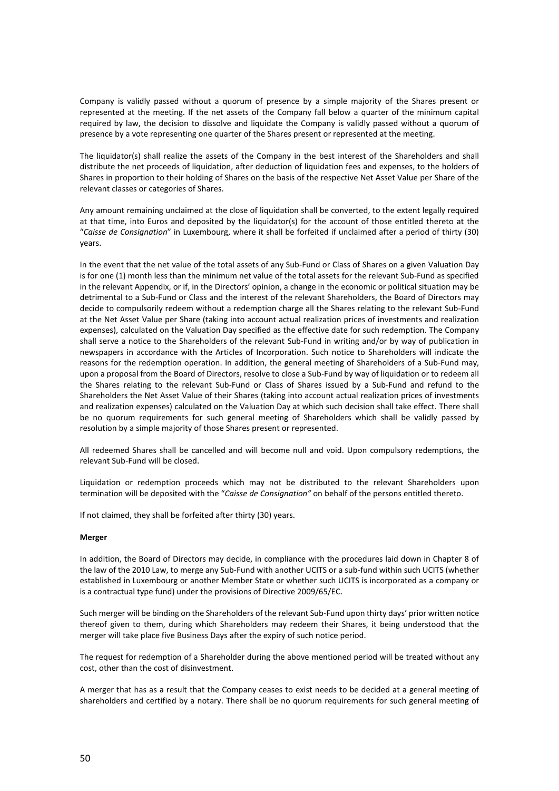Company is validly passed without a quorum of presence by a simple majority of the Shares present or represented at the meeting. If the net assets of the Company fall below a quarter of the minimum capital required by law, the decision to dissolve and liquidate the Company is validly passed without a quorum of presence by a vote representing one quarter of the Shares present or represented at the meeting.

The liquidator(s) shall realize the assets of the Company in the best interest of the Shareholders and shall distribute the net proceeds of liquidation, after deduction of liquidation fees and expenses, to the holders of Shares in proportion to their holding of Shares on the basis of the respective Net Asset Value per Share of the relevant classes or categories of Shares.

Any amount remaining unclaimed at the close of liquidation shall be converted, to the extent legally required at that time, into Euros and deposited by the liquidator(s) for the account of those entitled thereto at the "*Caisse de Consignation*" in Luxembourg, where it shall be forfeited if unclaimed after a period of thirty (30) years.

In the event that the net value of the total assets of any Sub-Fund or Class of Shares on a given Valuation Day is for one (1) month less than the minimum net value of the total assets for the relevant Sub-Fund as specified in the relevant Appendix, or if, in the Directors' opinion, a change in the economic or political situation may be detrimental to a Sub-Fund or Class and the interest of the relevant Shareholders, the Board of Directors may decide to compulsorily redeem without a redemption charge all the Shares relating to the relevant Sub-Fund at the Net Asset Value per Share (taking into account actual realization prices of investments and realization expenses), calculated on the Valuation Day specified as the effective date for such redemption. The Company shall serve a notice to the Shareholders of the relevant Sub-Fund in writing and/or by way of publication in newspapers in accordance with the Articles of Incorporation. Such notice to Shareholders will indicate the reasons for the redemption operation. In addition, the general meeting of Shareholders of a Sub-Fund may, upon a proposal from the Board of Directors, resolve to close a Sub-Fund by way of liquidation or to redeem all the Shares relating to the relevant Sub-Fund or Class of Shares issued by a Sub-Fund and refund to the Shareholders the Net Asset Value of their Shares (taking into account actual realization prices of investments and realization expenses) calculated on the Valuation Day at which such decision shall take effect. There shall be no quorum requirements for such general meeting of Shareholders which shall be validly passed by resolution by a simple majority of those Shares present or represented.

All redeemed Shares shall be cancelled and will become null and void. Upon compulsory redemptions, the relevant Sub-Fund will be closed.

Liquidation or redemption proceeds which may not be distributed to the relevant Shareholders upon termination will be deposited with the "*Caisse de Consignation"* on behalf of the persons entitled thereto.

If not claimed, they shall be forfeited after thirty (30) years.

# **Merger**

In addition, the Board of Directors may decide, in compliance with the procedures laid down in Chapter 8 of the law of the 2010 Law, to merge any Sub-Fund with another UCITS or a sub-fund within such UCITS (whether established in Luxembourg or another Member State or whether such UCITS is incorporated as a company or is a contractual type fund) under the provisions of Directive 2009/65/EC.

Such merger will be binding on the Shareholders of the relevant Sub-Fund upon thirty days' prior written notice thereof given to them, during which Shareholders may redeem their Shares, it being understood that the merger will take place five Business Days after the expiry of such notice period.

The request for redemption of a Shareholder during the above mentioned period will be treated without any cost, other than the cost of disinvestment.

A merger that has as a result that the Company ceases to exist needs to be decided at a general meeting of shareholders and certified by a notary. There shall be no quorum requirements for such general meeting of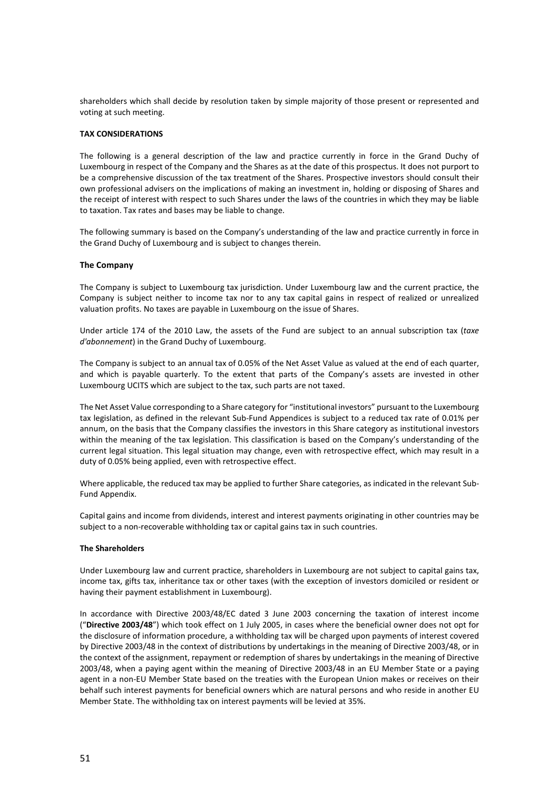shareholders which shall decide by resolution taken by simple majority of those present or represented and voting at such meeting.

# **TAX CONSIDERATIONS**

The following is a general description of the law and practice currently in force in the Grand Duchy of Luxembourg in respect of the Company and the Shares as at the date of this prospectus. It does not purport to be a comprehensive discussion of the tax treatment of the Shares. Prospective investors should consult their own professional advisers on the implications of making an investment in, holding or disposing of Shares and the receipt of interest with respect to such Shares under the laws of the countries in which they may be liable to taxation. Tax rates and bases may be liable to change.

The following summary is based on the Company's understanding of the law and practice currently in force in the Grand Duchy of Luxembourg and is subject to changes therein.

# **The Company**

The Company is subject to Luxembourg tax jurisdiction. Under Luxembourg law and the current practice, the Company is subject neither to income tax nor to any tax capital gains in respect of realized or unrealized valuation profits. No taxes are payable in Luxembourg on the issue of Shares.

Under article 174 of the 2010 Law, the assets of the Fund are subject to an annual subscription tax (*taxe d'abonnement*) in the Grand Duchy of Luxembourg.

The Company is subject to an annual tax of 0.05% of the Net Asset Value as valued at the end of each quarter, and which is payable quarterly. To the extent that parts of the Company's assets are invested in other Luxembourg UCITS which are subject to the tax, such parts are not taxed.

The Net Asset Value corresponding to a Share category for "institutional investors" pursuant to the Luxembourg tax legislation, as defined in the relevant Sub-Fund Appendices is subject to a reduced tax rate of 0.01% per annum, on the basis that the Company classifies the investors in this Share category as institutional investors within the meaning of the tax legislation. This classification is based on the Company's understanding of the current legal situation. This legal situation may change, even with retrospective effect, which may result in a duty of 0.05% being applied, even with retrospective effect.

Where applicable, the reduced tax may be applied to further Share categories, as indicated in the relevant Sub-Fund Appendix.

Capital gains and income from dividends, interest and interest payments originating in other countries may be subject to a non-recoverable withholding tax or capital gains tax in such countries.

# **The Shareholders**

Under Luxembourg law and current practice, shareholders in Luxembourg are not subject to capital gains tax, income tax, gifts tax, inheritance tax or other taxes (with the exception of investors domiciled or resident or having their payment establishment in Luxembourg).

In accordance with Directive 2003/48/EC dated 3 June 2003 concerning the taxation of interest income ("**Directive 2003/48**") which took effect on 1 July 2005, in cases where the beneficial owner does not opt for the disclosure of information procedure, a withholding tax will be charged upon payments of interest covered by Directive 2003/48 in the context of distributions by undertakings in the meaning of Directive 2003/48, or in the context of the assignment, repayment or redemption of shares by undertakings in the meaning of Directive 2003/48, when a paying agent within the meaning of Directive 2003/48 in an EU Member State or a paying agent in a non-EU Member State based on the treaties with the European Union makes or receives on their behalf such interest payments for beneficial owners which are natural persons and who reside in another EU Member State. The withholding tax on interest payments will be levied at 35%.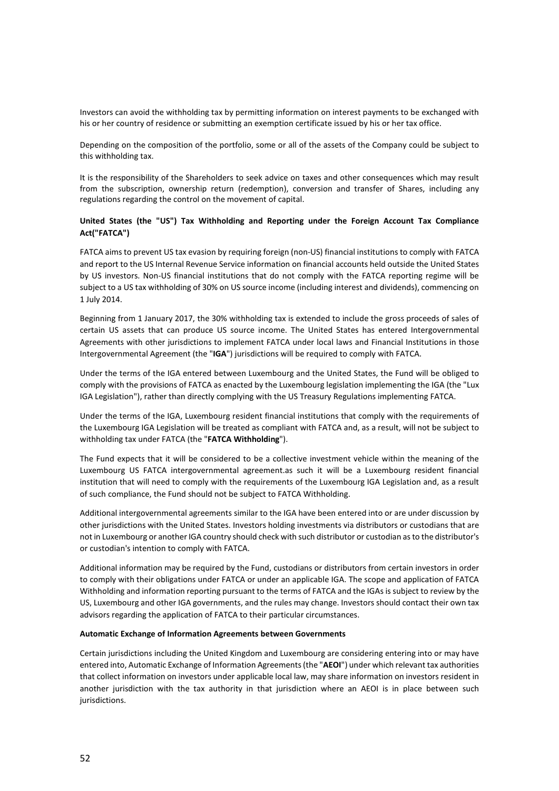Investors can avoid the withholding tax by permitting information on interest payments to be exchanged with his or her country of residence or submitting an exemption certificate issued by his or her tax office.

Depending on the composition of the portfolio, some or all of the assets of the Company could be subject to this withholding tax.

It is the responsibility of the Shareholders to seek advice on taxes and other consequences which may result from the subscription, ownership return (redemption), conversion and transfer of Shares, including any regulations regarding the control on the movement of capital.

# **United States (the "US") Tax Withholding and Reporting under the Foreign Account Tax Compliance Act("FATCA")**

FATCA aims to prevent US tax evasion by requiring foreign (non-US) financial institutions to comply with FATCA and report to the US Internal Revenue Service information on financial accounts held outside the United States by US investors. Non-US financial institutions that do not comply with the FATCA reporting regime will be subject to a US tax withholding of 30% on US source income (including interest and dividends), commencing on 1 July 2014.

Beginning from 1 January 2017, the 30% withholding tax is extended to include the gross proceeds of sales of certain US assets that can produce US source income. The United States has entered Intergovernmental Agreements with other jurisdictions to implement FATCA under local laws and Financial Institutions in those Intergovernmental Agreement (the "**IGA**") jurisdictions will be required to comply with FATCA.

Under the terms of the IGA entered between Luxembourg and the United States, the Fund will be obliged to comply with the provisions of FATCA as enacted by the Luxembourg legislation implementing the IGA (the "Lux IGA Legislation"), rather than directly complying with the US Treasury Regulations implementing FATCA.

Under the terms of the IGA, Luxembourg resident financial institutions that comply with the requirements of the Luxembourg IGA Legislation will be treated as compliant with FATCA and, as a result, will not be subject to withholding tax under FATCA (the "**FATCA Withholding**").

The Fund expects that it will be considered to be a collective investment vehicle within the meaning of the Luxembourg US FATCA intergovernmental agreement.as such it will be a Luxembourg resident financial institution that will need to comply with the requirements of the Luxembourg IGA Legislation and, as a result of such compliance, the Fund should not be subject to FATCA Withholding.

Additional intergovernmental agreements similar to the IGA have been entered into or are under discussion by other jurisdictions with the United States. Investors holding investments via distributors or custodians that are not in Luxembourg or another IGA country should check with such distributor or custodian as to the distributor's or custodian's intention to comply with FATCA.

Additional information may be required by the Fund, custodians or distributors from certain investors in order to comply with their obligations under FATCA or under an applicable IGA. The scope and application of FATCA Withholding and information reporting pursuant to the terms of FATCA and the IGAs is subject to review by the US, Luxembourg and other IGA governments, and the rules may change. Investors should contact their own tax advisors regarding the application of FATCA to their particular circumstances.

#### **Automatic Exchange of Information Agreements between Governments**

Certain jurisdictions including the United Kingdom and Luxembourg are considering entering into or may have entered into, Automatic Exchange of Information Agreements (the "**AEOI**") under which relevant tax authorities that collect information on investors under applicable local law, may share information on investors resident in another jurisdiction with the tax authority in that jurisdiction where an AEOI is in place between such jurisdictions.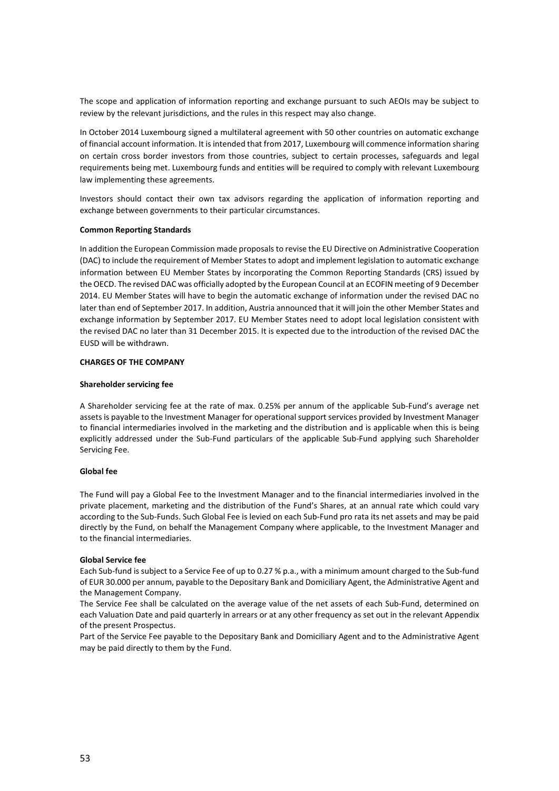The scope and application of information reporting and exchange pursuant to such AEOIs may be subject to review by the relevant jurisdictions, and the rules in this respect may also change.

In October 2014 Luxembourg signed a multilateral agreement with 50 other countries on automatic exchange of financial account information. It is intended that from 2017, Luxembourg will commence information sharing on certain cross border investors from those countries, subject to certain processes, safeguards and legal requirements being met. Luxembourg funds and entities will be required to comply with relevant Luxembourg law implementing these agreements.

Investors should contact their own tax advisors regarding the application of information reporting and exchange between governments to their particular circumstances.

# **Common Reporting Standards**

In addition the European Commission made proposals to revise the EU Directive on Administrative Cooperation (DAC) to include the requirement of Member States to adopt and implement legislation to automatic exchange information between EU Member States by incorporating the Common Reporting Standards (CRS) issued by the OECD. The revised DAC was officially adopted by the European Council at an ECOFIN meeting of 9 December 2014. EU Member States will have to begin the automatic exchange of information under the revised DAC no later than end of September 2017. In addition, Austria announced that it will join the other Member States and exchange information by September 2017. EU Member States need to adopt local legislation consistent with the revised DAC no later than 31 December 2015. It is expected due to the introduction of the revised DAC the EUSD will be withdrawn.

# **CHARGES OF THE COMPANY**

# **Shareholder servicing fee**

A Shareholder servicing fee at the rate of max. 0.25% per annum of the applicable Sub-Fund's average net assets is payable to the Investment Manager for operational support services provided by Investment Manager to financial intermediaries involved in the marketing and the distribution and is applicable when this is being explicitly addressed under the Sub-Fund particulars of the applicable Sub-Fund applying such Shareholder Servicing Fee.

# **Global fee**

The Fund will pay a Global Fee to the Investment Manager and to the financial intermediaries involved in the private placement, marketing and the distribution of the Fund's Shares, at an annual rate which could vary according to the Sub-Funds. Such Global Fee is levied on each Sub-Fund pro rata its net assets and may be paid directly by the Fund, on behalf the Management Company where applicable, to the Investment Manager and to the financial intermediaries.

# **Global Service fee**

Each Sub-fund is subject to a Service Fee of up to 0.27 % p.a., with a minimum amount charged to the Sub-fund of EUR 30.000 per annum, payable to the Depositary Bank and Domiciliary Agent, the Administrative Agent and the Management Company.

The Service Fee shall be calculated on the average value of the net assets of each Sub-Fund, determined on each Valuation Date and paid quarterly in arrears or at any other frequency as set out in the relevant Appendix of the present Prospectus.

Part of the Service Fee payable to the Depositary Bank and Domiciliary Agent and to the Administrative Agent may be paid directly to them by the Fund.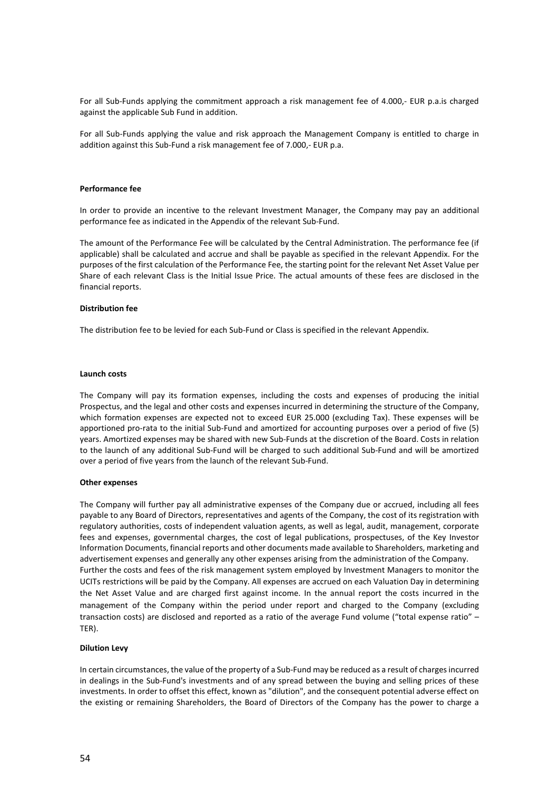For all Sub-Funds applying the commitment approach a risk management fee of 4.000,- EUR p.a.is charged against the applicable Sub Fund in addition.

For all Sub-Funds applying the value and risk approach the Management Company is entitled to charge in addition against this Sub-Fund a risk management fee of 7.000,- EUR p.a.

#### **Performance fee**

In order to provide an incentive to the relevant Investment Manager, the Company may pay an additional performance fee as indicated in the Appendix of the relevant Sub-Fund.

The amount of the Performance Fee will be calculated by the Central Administration. The performance fee (if applicable) shall be calculated and accrue and shall be payable as specified in the relevant Appendix. For the purposes of the first calculation of the Performance Fee, the starting point for the relevant Net Asset Value per Share of each relevant Class is the Initial Issue Price. The actual amounts of these fees are disclosed in the financial reports.

#### **Distribution fee**

The distribution fee to be levied for each Sub-Fund or Class is specified in the relevant Appendix.

#### **Launch costs**

The Company will pay its formation expenses, including the costs and expenses of producing the initial Prospectus, and the legal and other costs and expenses incurred in determining the structure of the Company, which formation expenses are expected not to exceed EUR 25.000 (excluding Tax). These expenses will be apportioned pro-rata to the initial Sub-Fund and amortized for accounting purposes over a period of five (5) years. Amortized expenses may be shared with new Sub-Funds at the discretion of the Board. Costs in relation to the launch of any additional Sub-Fund will be charged to such additional Sub-Fund and will be amortized over a period of five years from the launch of the relevant Sub-Fund.

#### **Other expenses**

The Company will further pay all administrative expenses of the Company due or accrued, including all fees payable to any Board of Directors, representatives and agents of the Company, the cost of its registration with regulatory authorities, costs of independent valuation agents, as well as legal, audit, management, corporate fees and expenses, governmental charges, the cost of legal publications, prospectuses, of the Key Investor Information Documents, financial reports and other documents made available to Shareholders, marketing and advertisement expenses and generally any other expenses arising from the administration of the Company. Further the costs and fees of the risk management system employed by Investment Managers to monitor the UCITs restrictions will be paid by the Company. All expenses are accrued on each Valuation Day in determining the Net Asset Value and are charged first against income. In the annual report the costs incurred in the management of the Company within the period under report and charged to the Company (excluding transaction costs) are disclosed and reported as a ratio of the average Fund volume ("total expense ratio" – TER).

#### **Dilution Levy**

In certain circumstances, the value of the property of a Sub-Fund may be reduced as a result of charges incurred in dealings in the Sub-Fund's investments and of any spread between the buying and selling prices of these investments. In order to offset this effect, known as "dilution", and the consequent potential adverse effect on the existing or remaining Shareholders, the Board of Directors of the Company has the power to charge a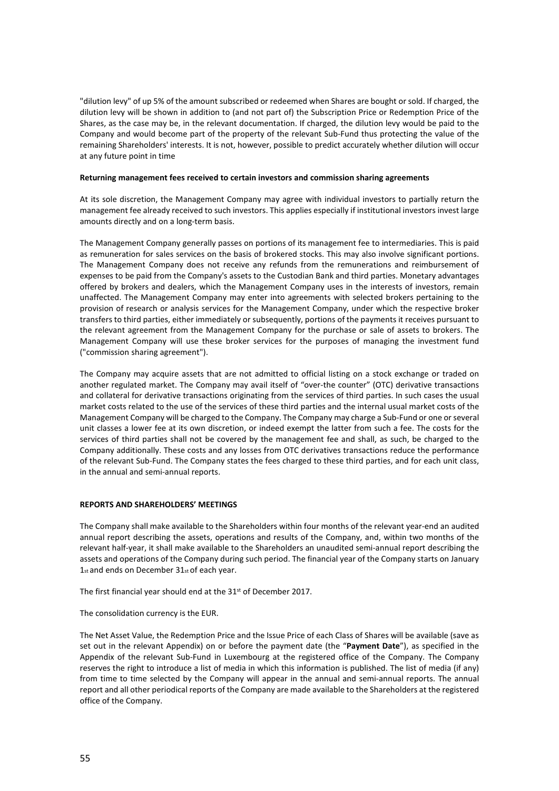"dilution levy" of up 5% of the amount subscribed or redeemed when Shares are bought or sold. If charged, the dilution levy will be shown in addition to (and not part of) the Subscription Price or Redemption Price of the Shares, as the case may be, in the relevant documentation. If charged, the dilution levy would be paid to the Company and would become part of the property of the relevant Sub-Fund thus protecting the value of the remaining Shareholders' interests. It is not, however, possible to predict accurately whether dilution will occur at any future point in time

# **Returning management fees received to certain investors and commission sharing agreements**

At its sole discretion, the Management Company may agree with individual investors to partially return the management fee already received to such investors. This applies especially if institutional investors invest large amounts directly and on a long-term basis.

The Management Company generally passes on portions of its management fee to intermediaries. This is paid as remuneration for sales services on the basis of brokered stocks. This may also involve significant portions. The Management Company does not receive any refunds from the remunerations and reimbursement of expenses to be paid from the Company's assets to the Custodian Bank and third parties. Monetary advantages offered by brokers and dealers, which the Management Company uses in the interests of investors, remain unaffected. The Management Company may enter into agreements with selected brokers pertaining to the provision of research or analysis services for the Management Company, under which the respective broker transfers to third parties, either immediately or subsequently, portions of the payments it receives pursuant to the relevant agreement from the Management Company for the purchase or sale of assets to brokers. The Management Company will use these broker services for the purposes of managing the investment fund ("commission sharing agreement").

The Company may acquire assets that are not admitted to official listing on a stock exchange or traded on another regulated market. The Company may avail itself of "over-the counter" (OTC) derivative transactions and collateral for derivative transactions originating from the services of third parties. In such cases the usual market costs related to the use of the services of these third parties and the internal usual market costs of the Management Company will be charged to the Company. The Company may charge a Sub-Fund or one or several unit classes a lower fee at its own discretion, or indeed exempt the latter from such a fee. The costs for the services of third parties shall not be covered by the management fee and shall, as such, be charged to the Company additionally. These costs and any losses from OTC derivatives transactions reduce the performance of the relevant Sub-Fund. The Company states the fees charged to these third parties, and for each unit class, in the annual and semi-annual reports.

# **REPORTS AND SHAREHOLDERS' MEETINGS**

The Company shall make available to the Shareholders within four months of the relevant year-end an audited annual report describing the assets, operations and results of the Company, and, within two months of the relevant half-year, it shall make available to the Shareholders an unaudited semi-annual report describing the assets and operations of the Company during such period. The financial year of the Company starts on January 1st and ends on December 31st of each year.

The first financial year should end at the 31<sup>st</sup> of December 2017.

The consolidation currency is the EUR.

The Net Asset Value, the Redemption Price and the Issue Price of each Class of Shares will be available (save as set out in the relevant Appendix) on or before the payment date (the "**Payment Date**"), as specified in the Appendix of the relevant Sub-Fund in Luxembourg at the registered office of the Company. The Company reserves the right to introduce a list of media in which this information is published. The list of media (if any) from time to time selected by the Company will appear in the annual and semi-annual reports. The annual report and all other periodical reports of the Company are made available to the Shareholders at the registered office of the Company.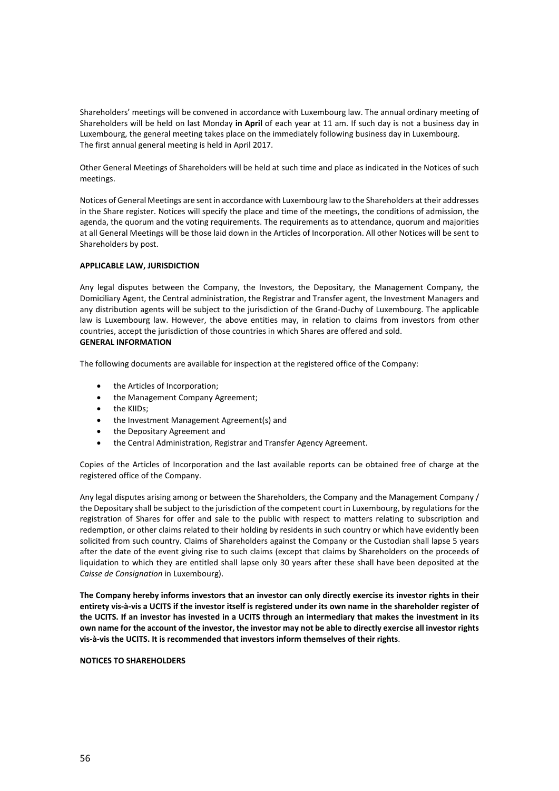Shareholders' meetings will be convened in accordance with Luxembourg law. The annual ordinary meeting of Shareholders will be held on last Monday **in April** of each year at 11 am. If such day is not a business day in Luxembourg, the general meeting takes place on the immediately following business day in Luxembourg. The first annual general meeting is held in April 2017.

Other General Meetings of Shareholders will be held at such time and place as indicated in the Notices of such meetings.

Notices of General Meetings are sent in accordance with Luxembourg law to the Shareholders at their addresses in the Share register. Notices will specify the place and time of the meetings, the conditions of admission, the agenda, the quorum and the voting requirements. The requirements as to attendance, quorum and majorities at all General Meetings will be those laid down in the Articles of Incorporation. All other Notices will be sent to Shareholders by post.

# **APPLICABLE LAW, JURISDICTION**

Any legal disputes between the Company, the Investors, the Depositary, the Management Company, the Domiciliary Agent, the Central administration, the Registrar and Transfer agent, the Investment Managers and any distribution agents will be subject to the jurisdiction of the Grand-Duchy of Luxembourg. The applicable law is Luxembourg law. However, the above entities may, in relation to claims from investors from other countries, accept the jurisdiction of those countries in which Shares are offered and sold. **GENERAL INFORMATION**

The following documents are available for inspection at the registered office of the Company:

- the Articles of Incorporation;
- the Management Company Agreement;
- the KIIDs;
- the Investment Management Agreement(s) and
- the Depositary Agreement and
- the Central Administration, Registrar and Transfer Agency Agreement.

Copies of the Articles of Incorporation and the last available reports can be obtained free of charge at the registered office of the Company.

Any legal disputes arising among or between the Shareholders, the Company and the Management Company / the Depositary shall be subject to the jurisdiction of the competent court in Luxembourg, by regulations for the registration of Shares for offer and sale to the public with respect to matters relating to subscription and redemption, or other claims related to their holding by residents in such country or which have evidently been solicited from such country. Claims of Shareholders against the Company or the Custodian shall lapse 5 years after the date of the event giving rise to such claims (except that claims by Shareholders on the proceeds of liquidation to which they are entitled shall lapse only 30 years after these shall have been deposited at the *Caisse de Consignation* in Luxembourg).

**The Company hereby informs investors that an investor can only directly exercise its investor rights in their entirety vis-à-vis a UCITS if the investor itself is registered under its own name in the shareholder register of the UCITS. If an investor has invested in a UCITS through an intermediary that makes the investment in its own name for the account of the investor, the investor may not be able to directly exercise all investor rights vis-à-vis the UCITS. It is recommended that investors inform themselves of their rights**.

#### **NOTICES TO SHAREHOLDERS**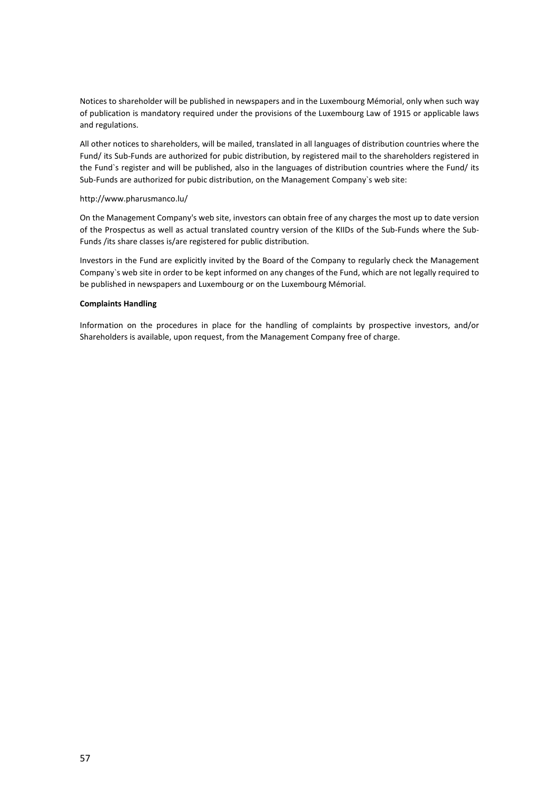Notices to shareholder will be published in newspapers and in the Luxembourg Mémorial, only when such way of publication is mandatory required under the provisions of the Luxembourg Law of 1915 or applicable laws and regulations.

All other notices to shareholders, will be mailed, translated in all languages of distribution countries where the Fund/ its Sub-Funds are authorized for pubic distribution, by registered mail to the shareholders registered in the Fund`s register and will be published, also in the languages of distribution countries where the Fund/ its Sub-Funds are authorized for pubic distribution, on the Management Company`s web site:

# <http://www.pharusmanco.lu/>

On the Management Company's web site, investors can obtain free of any charges the most up to date version of the Prospectus as well as actual translated country version of the KIIDs of the Sub-Funds where the Sub-Funds /its share classes is/are registered for public distribution.

Investors in the Fund are explicitly invited by the Board of the Company to regularly check the Management Company`s web site in order to be kept informed on any changes of the Fund, which are not legally required to be published in newspapers and Luxembourg or on the Luxembourg Mémorial.

# **Complaints Handling**

Information on the procedures in place for the handling of complaints by prospective investors, and/or Shareholders is available, upon request, from the Management Company free of charge.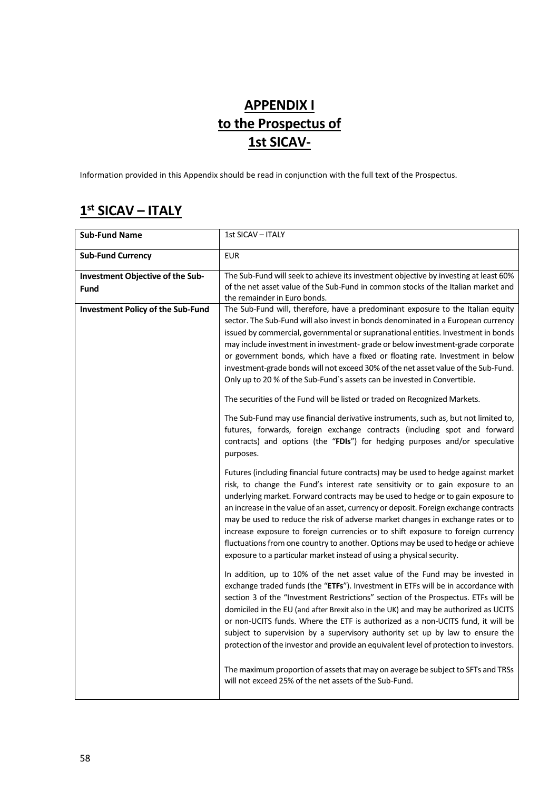# **APPENDIX I to the Prospectus of 1st SICAV-**

Information provided in this Appendix should be read in conjunction with the full text of the Prospectus.

# **1st SICAV – ITALY**

| <b>Sub-Fund Name</b>                            | 1st SICAV - ITALY                                                                                                                                                                                                                                                                                                                                                                                                                                                                                                                                                                                                                                                                       |
|-------------------------------------------------|-----------------------------------------------------------------------------------------------------------------------------------------------------------------------------------------------------------------------------------------------------------------------------------------------------------------------------------------------------------------------------------------------------------------------------------------------------------------------------------------------------------------------------------------------------------------------------------------------------------------------------------------------------------------------------------------|
| <b>Sub-Fund Currency</b>                        | <b>EUR</b>                                                                                                                                                                                                                                                                                                                                                                                                                                                                                                                                                                                                                                                                              |
| Investment Objective of the Sub-<br><b>Fund</b> | The Sub-Fund will seek to achieve its investment objective by investing at least 60%<br>of the net asset value of the Sub-Fund in common stocks of the Italian market and<br>the remainder in Euro bonds.                                                                                                                                                                                                                                                                                                                                                                                                                                                                               |
| <b>Investment Policy of the Sub-Fund</b>        | The Sub-Fund will, therefore, have a predominant exposure to the Italian equity<br>sector. The Sub-Fund will also invest in bonds denominated in a European currency<br>issued by commercial, governmental or supranational entities. Investment in bonds<br>may include investment in investment-grade or below investment-grade corporate<br>or government bonds, which have a fixed or floating rate. Investment in below<br>investment-grade bonds will not exceed 30% of the net asset value of the Sub-Fund.<br>Only up to 20 % of the Sub-Fund's assets can be invested in Convertible.                                                                                          |
|                                                 | The securities of the Fund will be listed or traded on Recognized Markets.<br>The Sub-Fund may use financial derivative instruments, such as, but not limited to,<br>futures, forwards, foreign exchange contracts (including spot and forward<br>contracts) and options (the "FDIs") for hedging purposes and/or speculative<br>purposes.                                                                                                                                                                                                                                                                                                                                              |
|                                                 | Futures (including financial future contracts) may be used to hedge against market<br>risk, to change the Fund's interest rate sensitivity or to gain exposure to an<br>underlying market. Forward contracts may be used to hedge or to gain exposure to<br>an increase in the value of an asset, currency or deposit. Foreign exchange contracts<br>may be used to reduce the risk of adverse market changes in exchange rates or to<br>increase exposure to foreign currencies or to shift exposure to foreign currency<br>fluctuations from one country to another. Options may be used to hedge or achieve<br>exposure to a particular market instead of using a physical security. |
|                                                 | In addition, up to 10% of the net asset value of the Fund may be invested in<br>exchange traded funds (the "ETFs"). Investment in ETFs will be in accordance with<br>section 3 of the "Investment Restrictions" section of the Prospectus. ETFs will be<br>domiciled in the EU (and after Brexit also in the UK) and may be authorized as UCITS<br>or non-UCITS funds. Where the ETF is authorized as a non-UCITS fund, it will be<br>subject to supervision by a supervisory authority set up by law to ensure the<br>protection of the investor and provide an equivalent level of protection to investors.                                                                           |
|                                                 | The maximum proportion of assets that may on average be subject to SFTs and TRSs<br>will not exceed 25% of the net assets of the Sub-Fund.                                                                                                                                                                                                                                                                                                                                                                                                                                                                                                                                              |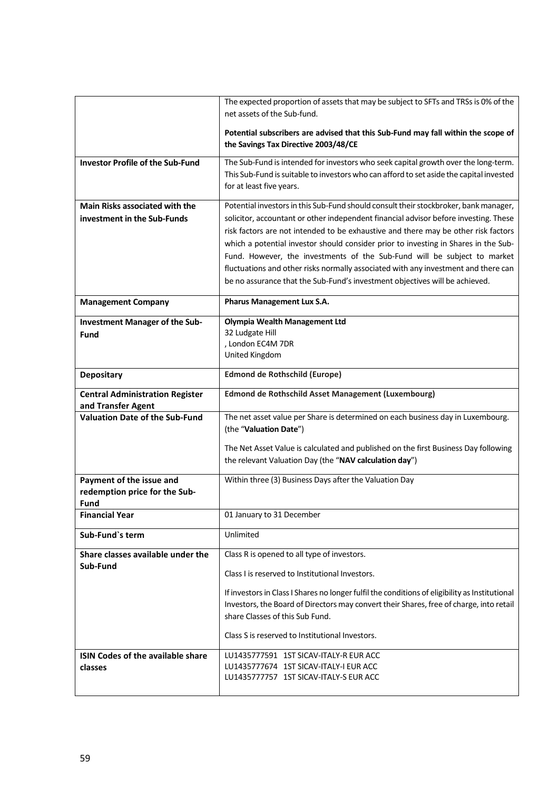|                                                              | The expected proportion of assets that may be subject to SFTs and TRSs is 0% of the<br>net assets of the Sub-fund.                                                |
|--------------------------------------------------------------|-------------------------------------------------------------------------------------------------------------------------------------------------------------------|
|                                                              |                                                                                                                                                                   |
|                                                              | Potential subscribers are advised that this Sub-Fund may fall within the scope of<br>the Savings Tax Directive 2003/48/CE                                         |
| <b>Investor Profile of the Sub-Fund</b>                      | The Sub-Fund is intended for investors who seek capital growth over the long-term.                                                                                |
|                                                              | This Sub-Fund is suitable to investors who can afford to set aside the capital invested                                                                           |
|                                                              | for at least five years.                                                                                                                                          |
| Main Risks associated with the                               | Potential investors in this Sub-Fund should consult their stockbroker, bank manager,                                                                              |
| investment in the Sub-Funds                                  | solicitor, accountant or other independent financial advisor before investing. These                                                                              |
|                                                              | risk factors are not intended to be exhaustive and there may be other risk factors                                                                                |
|                                                              | which a potential investor should consider prior to investing in Shares in the Sub-                                                                               |
|                                                              | Fund. However, the investments of the Sub-Fund will be subject to market                                                                                          |
|                                                              | fluctuations and other risks normally associated with any investment and there can<br>be no assurance that the Sub-Fund's investment objectives will be achieved. |
|                                                              |                                                                                                                                                                   |
| <b>Management Company</b>                                    | <b>Pharus Management Lux S.A.</b>                                                                                                                                 |
| <b>Investment Manager of the Sub-</b>                        | <b>Olympia Wealth Management Ltd</b>                                                                                                                              |
| <b>Fund</b>                                                  | 32 Ludgate Hill                                                                                                                                                   |
|                                                              | , London EC4M 7DR<br>United Kingdom                                                                                                                               |
|                                                              |                                                                                                                                                                   |
| <b>Depositary</b>                                            | <b>Edmond de Rothschild (Europe)</b>                                                                                                                              |
| <b>Central Administration Register</b><br>and Transfer Agent | Edmond de Rothschild Asset Management (Luxembourg)                                                                                                                |
| <b>Valuation Date of the Sub-Fund</b>                        | The net asset value per Share is determined on each business day in Luxembourg.                                                                                   |
|                                                              | (the "Valuation Date")                                                                                                                                            |
|                                                              | The Net Asset Value is calculated and published on the first Business Day following                                                                               |
|                                                              | the relevant Valuation Day (the "NAV calculation day")                                                                                                            |
| Payment of the issue and                                     | Within three (3) Business Days after the Valuation Day                                                                                                            |
| redemption price for the Sub-                                |                                                                                                                                                                   |
| Fund<br><b>Financial Year</b>                                | 01 January to 31 December                                                                                                                                         |
|                                                              |                                                                                                                                                                   |
| Sub-Fund's term                                              | Unlimited                                                                                                                                                         |
| Share classes available under the                            | Class R is opened to all type of investors.                                                                                                                       |
| Sub-Fund                                                     | Class I is reserved to Institutional Investors.                                                                                                                   |
|                                                              | If investors in Class I Shares no longer fulfil the conditions of eligibility as Institutional                                                                    |
|                                                              | Investors, the Board of Directors may convert their Shares, free of charge, into retail                                                                           |
|                                                              | share Classes of this Sub Fund.                                                                                                                                   |
|                                                              |                                                                                                                                                                   |
|                                                              | Class S is reserved to Institutional Investors.                                                                                                                   |
| <b>ISIN Codes of the available share</b>                     | LU1435777591 1ST SICAV-ITALY-R EUR ACC                                                                                                                            |
| <b>classes</b>                                               | LU1435777674 1ST SICAV-ITALY-I EUR ACC<br>LU1435777757 1ST SICAV-ITALY-S EUR ACC                                                                                  |
|                                                              |                                                                                                                                                                   |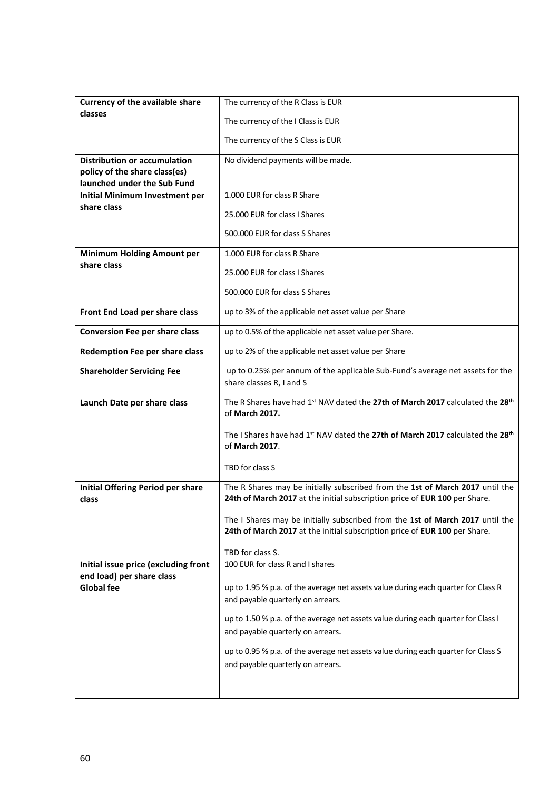| <b>Currency of the available share</b>                       | The currency of the R Class is EUR                                                                                                                          |
|--------------------------------------------------------------|-------------------------------------------------------------------------------------------------------------------------------------------------------------|
| classes                                                      | The currency of the I Class is EUR                                                                                                                          |
|                                                              | The currency of the S Class is EUR                                                                                                                          |
| <b>Distribution or accumulation</b>                          | No dividend payments will be made.                                                                                                                          |
| policy of the share class(es)<br>launched under the Sub Fund |                                                                                                                                                             |
| <b>Initial Minimum Investment per</b>                        | 1.000 EUR for class R Share                                                                                                                                 |
| share class                                                  | 25.000 EUR for class I Shares                                                                                                                               |
|                                                              | 500,000 EUR for class S Shares                                                                                                                              |
| <b>Minimum Holding Amount per</b>                            | 1.000 EUR for class R Share                                                                                                                                 |
| share class                                                  | 25.000 EUR for class I Shares                                                                                                                               |
|                                                              | 500,000 EUR for class S Shares                                                                                                                              |
| Front End Load per share class                               | up to 3% of the applicable net asset value per Share                                                                                                        |
| <b>Conversion Fee per share class</b>                        | up to 0.5% of the applicable net asset value per Share.                                                                                                     |
|                                                              |                                                                                                                                                             |
| Redemption Fee per share class                               | up to 2% of the applicable net asset value per Share                                                                                                        |
| <b>Shareholder Servicing Fee</b>                             | up to 0.25% per annum of the applicable Sub-Fund's average net assets for the<br>share classes R, I and S                                                   |
|                                                              |                                                                                                                                                             |
|                                                              |                                                                                                                                                             |
| Launch Date per share class                                  | The R Shares have had 1st NAV dated the 27th of March 2017 calculated the 28th<br>of March 2017.                                                            |
|                                                              | The I Shares have had 1 <sup>st</sup> NAV dated the 27th of March 2017 calculated the 28 <sup>th</sup><br>of March 2017.                                    |
|                                                              | TBD for class S                                                                                                                                             |
| <b>Initial Offering Period per share</b><br>class            | The R Shares may be initially subscribed from the 1st of March 2017 until the<br>24th of March 2017 at the initial subscription price of EUR 100 per Share. |
|                                                              | The I Shares may be initially subscribed from the 1st of March 2017 until the<br>24th of March 2017 at the initial subscription price of EUR 100 per Share. |
|                                                              | TBD for class S.                                                                                                                                            |
| Initial issue price (excluding front                         | 100 EUR for class R and L shares                                                                                                                            |
| end load) per share class<br><b>Global fee</b>               | up to 1.95 % p.a. of the average net assets value during each quarter for Class R                                                                           |
|                                                              | and payable quarterly on arrears.                                                                                                                           |
|                                                              | up to 1.50 % p.a. of the average net assets value during each quarter for Class I                                                                           |
|                                                              | and payable quarterly on arrears.                                                                                                                           |
|                                                              | up to 0.95 % p.a. of the average net assets value during each quarter for Class S                                                                           |
|                                                              | and payable quarterly on arrears.                                                                                                                           |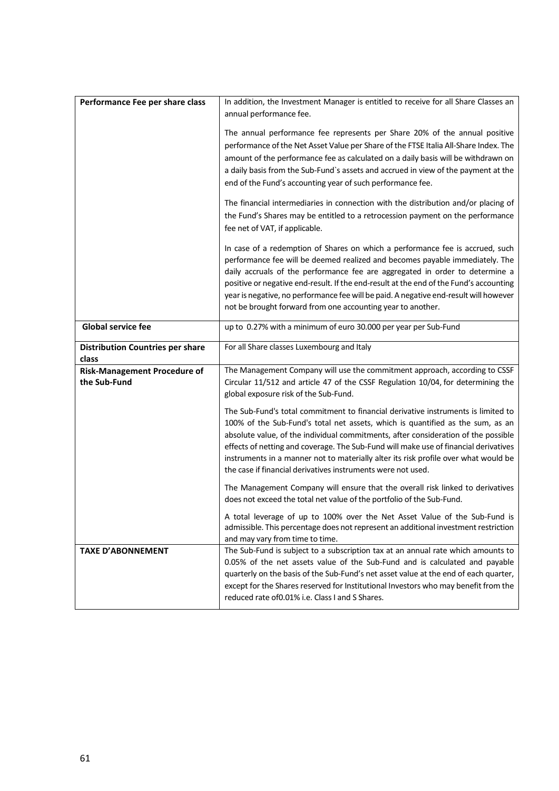| Performance Fee per share class                     | In addition, the Investment Manager is entitled to receive for all Share Classes an<br>annual performance fee.                                                                                                                                                                                                                                                                                                                                                                                           |
|-----------------------------------------------------|----------------------------------------------------------------------------------------------------------------------------------------------------------------------------------------------------------------------------------------------------------------------------------------------------------------------------------------------------------------------------------------------------------------------------------------------------------------------------------------------------------|
|                                                     | The annual performance fee represents per Share 20% of the annual positive<br>performance of the Net Asset Value per Share of the FTSE Italia All-Share Index. The<br>amount of the performance fee as calculated on a daily basis will be withdrawn on<br>a daily basis from the Sub-Fund's assets and accrued in view of the payment at the<br>end of the Fund's accounting year of such performance fee.                                                                                              |
|                                                     | The financial intermediaries in connection with the distribution and/or placing of<br>the Fund's Shares may be entitled to a retrocession payment on the performance<br>fee net of VAT, if applicable.                                                                                                                                                                                                                                                                                                   |
|                                                     | In case of a redemption of Shares on which a performance fee is accrued, such<br>performance fee will be deemed realized and becomes payable immediately. The<br>daily accruals of the performance fee are aggregated in order to determine a<br>positive or negative end-result. If the end-result at the end of the Fund's accounting<br>year is negative, no performance fee will be paid. A negative end-result will however<br>not be brought forward from one accounting year to another.          |
| <b>Global service fee</b>                           | up to 0.27% with a minimum of euro 30.000 per year per Sub-Fund                                                                                                                                                                                                                                                                                                                                                                                                                                          |
| <b>Distribution Countries per share</b><br>class    | For all Share classes Luxembourg and Italy                                                                                                                                                                                                                                                                                                                                                                                                                                                               |
| <b>Risk-Management Procedure of</b><br>the Sub-Fund | The Management Company will use the commitment approach, according to CSSF<br>Circular 11/512 and article 47 of the CSSF Regulation 10/04, for determining the<br>global exposure risk of the Sub-Fund.                                                                                                                                                                                                                                                                                                  |
|                                                     | The Sub-Fund's total commitment to financial derivative instruments is limited to<br>100% of the Sub-Fund's total net assets, which is quantified as the sum, as an<br>absolute value, of the individual commitments, after consideration of the possible<br>effects of netting and coverage. The Sub-Fund will make use of financial derivatives<br>instruments in a manner not to materially alter its risk profile over what would be<br>the case if financial derivatives instruments were not used. |
|                                                     | The Management Company will ensure that the overall risk linked to derivatives<br>does not exceed the total net value of the portfolio of the Sub-Fund.                                                                                                                                                                                                                                                                                                                                                  |
|                                                     | A total leverage of up to 100% over the Net Asset Value of the Sub-Fund is<br>admissible. This percentage does not represent an additional investment restriction<br>and may vary from time to time.                                                                                                                                                                                                                                                                                                     |
| <b>TAXE D'ABONNEMENT</b>                            | The Sub-Fund is subject to a subscription tax at an annual rate which amounts to<br>0.05% of the net assets value of the Sub-Fund and is calculated and payable<br>quarterly on the basis of the Sub-Fund's net asset value at the end of each quarter,<br>except for the Shares reserved for Institutional Investors who may benefit from the<br>reduced rate of 0.01% i.e. Class I and S Shares.                                                                                                       |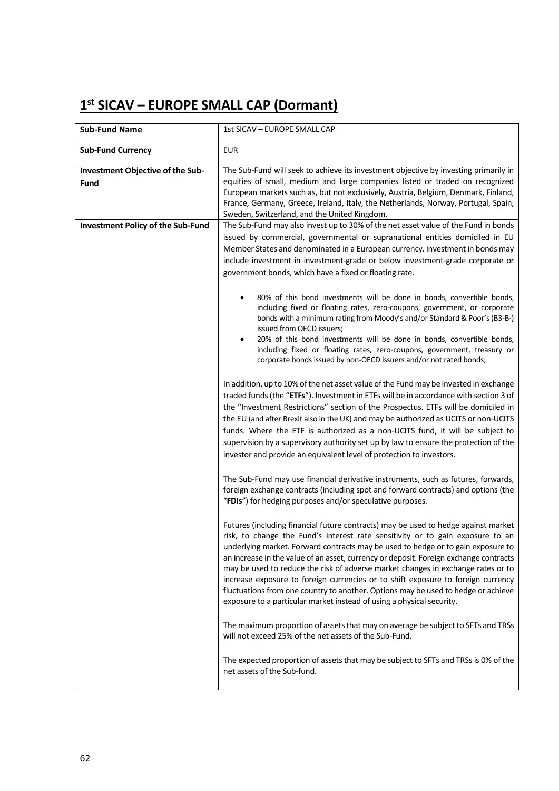# **1st SICAV – EUROPE SMALL CAP (Dormant)**

| <b>Sub-Fund Name</b>                            | 1st SICAV - EUROPE SMALL CAP                                                                                                                                                                                                                                                                                                                                                                                                                                                                                                                                                                                                                                                            |
|-------------------------------------------------|-----------------------------------------------------------------------------------------------------------------------------------------------------------------------------------------------------------------------------------------------------------------------------------------------------------------------------------------------------------------------------------------------------------------------------------------------------------------------------------------------------------------------------------------------------------------------------------------------------------------------------------------------------------------------------------------|
| <b>Sub-Fund Currency</b>                        | <b>EUR</b>                                                                                                                                                                                                                                                                                                                                                                                                                                                                                                                                                                                                                                                                              |
| Investment Objective of the Sub-<br><b>Fund</b> | The Sub-Fund will seek to achieve its investment objective by investing primarily in<br>equities of small, medium and large companies listed or traded on recognized<br>European markets such as, but not exclusively, Austria, Belgium, Denmark, Finland,<br>France, Germany, Greece, Ireland, Italy, the Netherlands, Norway, Portugal, Spain,<br>Sweden, Switzerland, and the United Kingdom.                                                                                                                                                                                                                                                                                        |
| <b>Investment Policy of the Sub-Fund</b>        | The Sub-Fund may also invest up to 30% of the net asset value of the Fund in bonds<br>issued by commercial, governmental or supranational entities domiciled in EU<br>Member States and denominated in a European currency. Investment in bonds may<br>include investment in investment-grade or below investment-grade corporate or<br>government bonds, which have a fixed or floating rate.                                                                                                                                                                                                                                                                                          |
|                                                 | 80% of this bond investments will be done in bonds, convertible bonds,<br>including fixed or floating rates, zero-coupons, government, or corporate<br>bonds with a minimum rating from Moody's and/or Standard & Poor's (B3-B-)<br>issued from OECD issuers;<br>20% of this bond investments will be done in bonds, convertible bonds,<br>$\bullet$<br>including fixed or floating rates, zero-coupons, government, treasury or<br>corporate bonds issued by non-OECD issuers and/or not rated bonds;                                                                                                                                                                                  |
|                                                 | In addition, up to 10% of the net asset value of the Fund may be invested in exchange<br>traded funds (the "ETFs"). Investment in ETFs will be in accordance with section 3 of<br>the "Investment Restrictions" section of the Prospectus. ETFs will be domiciled in<br>the EU (and after Brexit also in the UK) and may be authorized as UCITS or non-UCITS<br>funds. Where the ETF is authorized as a non-UCITS fund, it will be subject to<br>supervision by a supervisory authority set up by law to ensure the protection of the<br>investor and provide an equivalent level of protection to investors.                                                                           |
|                                                 | The Sub-Fund may use financial derivative instruments, such as futures, forwards,<br>foreign exchange contracts (including spot and forward contracts) and options (the<br>"FDIs") for hedging purposes and/or speculative purposes.                                                                                                                                                                                                                                                                                                                                                                                                                                                    |
|                                                 | Futures (including financial future contracts) may be used to hedge against market<br>risk, to change the Fund's interest rate sensitivity or to gain exposure to an<br>underlying market. Forward contracts may be used to hedge or to gain exposure to<br>an increase in the value of an asset, currency or deposit. Foreign exchange contracts<br>may be used to reduce the risk of adverse market changes in exchange rates or to<br>increase exposure to foreign currencies or to shift exposure to foreign currency<br>fluctuations from one country to another. Options may be used to hedge or achieve<br>exposure to a particular market instead of using a physical security. |
|                                                 | The maximum proportion of assets that may on average be subject to SFTs and TRSs<br>will not exceed 25% of the net assets of the Sub-Fund.                                                                                                                                                                                                                                                                                                                                                                                                                                                                                                                                              |
|                                                 | The expected proportion of assets that may be subject to SFTs and TRSs is 0% of the<br>net assets of the Sub-fund.                                                                                                                                                                                                                                                                                                                                                                                                                                                                                                                                                                      |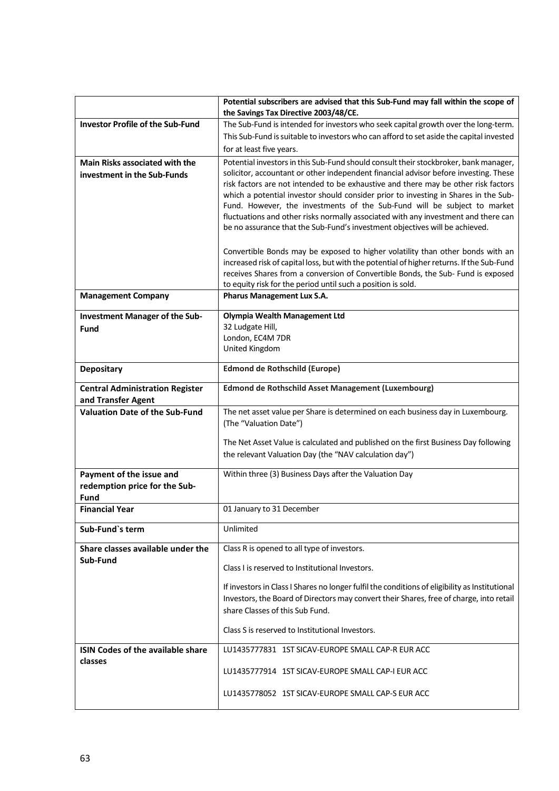|                                                                      | Potential subscribers are advised that this Sub-Fund may fall within the scope of<br>the Savings Tax Directive 2003/48/CE.                                                                                                                                                                                                                                                                                                            |
|----------------------------------------------------------------------|---------------------------------------------------------------------------------------------------------------------------------------------------------------------------------------------------------------------------------------------------------------------------------------------------------------------------------------------------------------------------------------------------------------------------------------|
| <b>Investor Profile of the Sub-Fund</b>                              | The Sub-Fund is intended for investors who seek capital growth over the long-term.                                                                                                                                                                                                                                                                                                                                                    |
|                                                                      | This Sub-Fund is suitable to investors who can afford to set aside the capital invested                                                                                                                                                                                                                                                                                                                                               |
|                                                                      | for at least five years.                                                                                                                                                                                                                                                                                                                                                                                                              |
| <b>Main Risks associated with the</b><br>investment in the Sub-Funds | Potential investors in this Sub-Fund should consult their stockbroker, bank manager,<br>solicitor, accountant or other independent financial advisor before investing. These<br>risk factors are not intended to be exhaustive and there may be other risk factors<br>which a potential investor should consider prior to investing in Shares in the Sub-<br>Fund. However, the investments of the Sub-Fund will be subject to market |
|                                                                      | fluctuations and other risks normally associated with any investment and there can<br>be no assurance that the Sub-Fund's investment objectives will be achieved.                                                                                                                                                                                                                                                                     |
|                                                                      | Convertible Bonds may be exposed to higher volatility than other bonds with an<br>increased risk of capital loss, but with the potential of higher returns. If the Sub-Fund<br>receives Shares from a conversion of Convertible Bonds, the Sub- Fund is exposed<br>to equity risk for the period until such a position is sold.                                                                                                       |
| <b>Management Company</b>                                            | Pharus Management Lux S.A.                                                                                                                                                                                                                                                                                                                                                                                                            |
| <b>Investment Manager of the Sub-</b>                                | <b>Olympia Wealth Management Ltd</b>                                                                                                                                                                                                                                                                                                                                                                                                  |
| <b>Fund</b>                                                          | 32 Ludgate Hill,<br>London, EC4M 7DR                                                                                                                                                                                                                                                                                                                                                                                                  |
|                                                                      | United Kingdom                                                                                                                                                                                                                                                                                                                                                                                                                        |
| <b>Depositary</b>                                                    | <b>Edmond de Rothschild (Europe)</b>                                                                                                                                                                                                                                                                                                                                                                                                  |
| <b>Central Administration Register</b>                               | <b>Edmond de Rothschild Asset Management (Luxembourg)</b>                                                                                                                                                                                                                                                                                                                                                                             |
| and Transfer Agent<br><b>Valuation Date of the Sub-Fund</b>          | The net asset value per Share is determined on each business day in Luxembourg.                                                                                                                                                                                                                                                                                                                                                       |
|                                                                      | (The "Valuation Date")                                                                                                                                                                                                                                                                                                                                                                                                                |
|                                                                      |                                                                                                                                                                                                                                                                                                                                                                                                                                       |
|                                                                      | The Net Asset Value is calculated and published on the first Business Day following                                                                                                                                                                                                                                                                                                                                                   |
|                                                                      | the relevant Valuation Day (the "NAV calculation day")                                                                                                                                                                                                                                                                                                                                                                                |
| Payment of the issue and                                             | Within three (3) Business Days after the Valuation Day                                                                                                                                                                                                                                                                                                                                                                                |
| redemption price for the Sub-                                        |                                                                                                                                                                                                                                                                                                                                                                                                                                       |
| Fund<br><b>Financial Year</b>                                        | 01 January to 31 December                                                                                                                                                                                                                                                                                                                                                                                                             |
|                                                                      |                                                                                                                                                                                                                                                                                                                                                                                                                                       |
| Sub-Fund's term                                                      | Unlimited                                                                                                                                                                                                                                                                                                                                                                                                                             |
| Share classes available under the                                    | Class R is opened to all type of investors.                                                                                                                                                                                                                                                                                                                                                                                           |
| Sub-Fund                                                             | Class I is reserved to Institutional Investors.                                                                                                                                                                                                                                                                                                                                                                                       |
|                                                                      | If investors in Class I Shares no longer fulfil the conditions of eligibility as Institutional<br>Investors, the Board of Directors may convert their Shares, free of charge, into retail<br>share Classes of this Sub Fund.                                                                                                                                                                                                          |
|                                                                      | Class S is reserved to Institutional Investors.                                                                                                                                                                                                                                                                                                                                                                                       |
| <b>ISIN Codes of the available share</b><br>classes                  | LU1435777831 1ST SICAV-EUROPE SMALL CAP-R EUR ACC                                                                                                                                                                                                                                                                                                                                                                                     |
|                                                                      | LU1435777914 1ST SICAV-EUROPE SMALL CAP-I EUR ACC                                                                                                                                                                                                                                                                                                                                                                                     |
|                                                                      | LU1435778052 1ST SICAV-EUROPE SMALL CAP-S EUR ACC                                                                                                                                                                                                                                                                                                                                                                                     |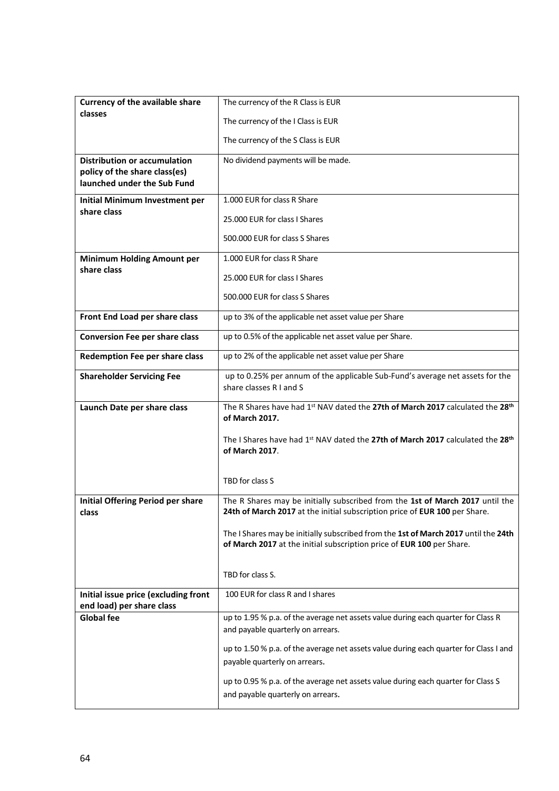| <b>Currency of the available share</b>                            | The currency of the R Class is EUR                                                                                                                          |
|-------------------------------------------------------------------|-------------------------------------------------------------------------------------------------------------------------------------------------------------|
| classes                                                           | The currency of the I Class is EUR                                                                                                                          |
|                                                                   | The currency of the S Class is EUR                                                                                                                          |
| <b>Distribution or accumulation</b>                               | No dividend payments will be made.                                                                                                                          |
| policy of the share class(es)<br>launched under the Sub Fund      |                                                                                                                                                             |
| <b>Initial Minimum Investment per</b>                             | 1.000 EUR for class R Share                                                                                                                                 |
| share class                                                       | 25,000 EUR for class I Shares                                                                                                                               |
|                                                                   | 500.000 EUR for class S Shares                                                                                                                              |
| <b>Minimum Holding Amount per</b>                                 | 1.000 EUR for class R Share                                                                                                                                 |
| share class                                                       | 25.000 EUR for class I Shares                                                                                                                               |
|                                                                   |                                                                                                                                                             |
|                                                                   | 500,000 EUR for class S Shares                                                                                                                              |
| Front End Load per share class                                    | up to 3% of the applicable net asset value per Share                                                                                                        |
| <b>Conversion Fee per share class</b>                             | up to 0.5% of the applicable net asset value per Share.                                                                                                     |
| Redemption Fee per share class                                    | up to 2% of the applicable net asset value per Share                                                                                                        |
| <b>Shareholder Servicing Fee</b>                                  | up to 0.25% per annum of the applicable Sub-Fund's average net assets for the                                                                               |
|                                                                   | share classes R I and S                                                                                                                                     |
|                                                                   |                                                                                                                                                             |
| Launch Date per share class                                       | The R Shares have had 1st NAV dated the 27th of March 2017 calculated the 28th<br>of March 2017.                                                            |
|                                                                   | The I Shares have had 1 <sup>st</sup> NAV dated the 27th of March 2017 calculated the 28 <sup>th</sup><br>of March 2017.                                    |
|                                                                   | TBD for class S                                                                                                                                             |
| <b>Initial Offering Period per share</b><br>class                 | The R Shares may be initially subscribed from the 1st of March 2017 until the<br>24th of March 2017 at the initial subscription price of EUR 100 per Share. |
|                                                                   | The I Shares may be initially subscribed from the 1st of March 2017 until the 24th<br>of March 2017 at the initial subscription price of EUR 100 per Share. |
|                                                                   | TBD for class S.                                                                                                                                            |
| Initial issue price (excluding front<br>end load) per share class | 100 EUR for class R and I shares                                                                                                                            |
| <b>Global fee</b>                                                 | up to 1.95 % p.a. of the average net assets value during each quarter for Class R                                                                           |
|                                                                   | and payable quarterly on arrears.                                                                                                                           |
|                                                                   | up to 1.50 % p.a. of the average net assets value during each quarter for Class I and<br>payable quarterly on arrears.                                      |
|                                                                   | up to 0.95 % p.a. of the average net assets value during each quarter for Class S<br>and payable quarterly on arrears.                                      |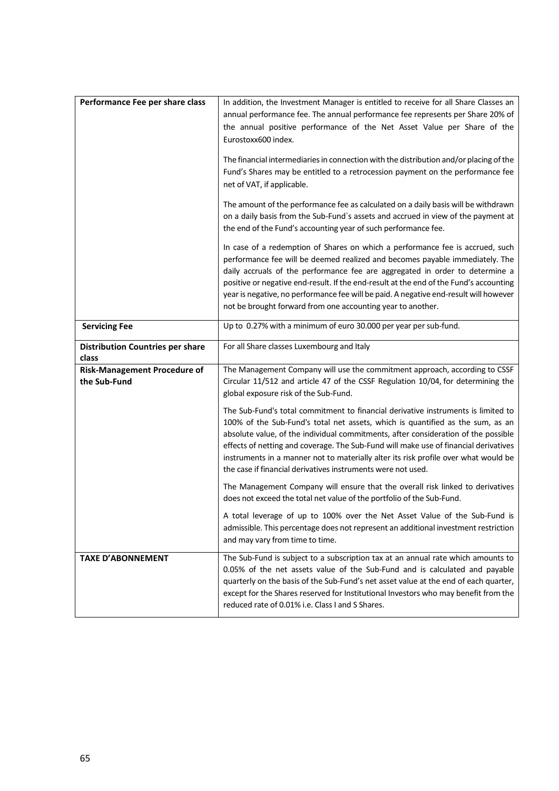| Performance Fee per share class              | In addition, the Investment Manager is entitled to receive for all Share Classes an                                                                                         |
|----------------------------------------------|-----------------------------------------------------------------------------------------------------------------------------------------------------------------------------|
|                                              | annual performance fee. The annual performance fee represents per Share 20% of<br>the annual positive performance of the Net Asset Value per Share of the                   |
|                                              | Eurostoxx600 index.                                                                                                                                                         |
|                                              |                                                                                                                                                                             |
|                                              | The financial intermediaries in connection with the distribution and/or placing of the<br>Fund's Shares may be entitled to a retrocession payment on the performance fee    |
|                                              | net of VAT, if applicable.                                                                                                                                                  |
|                                              | The amount of the performance fee as calculated on a daily basis will be withdrawn                                                                                          |
|                                              | on a daily basis from the Sub-Fund's assets and accrued in view of the payment at                                                                                           |
|                                              | the end of the Fund's accounting year of such performance fee.                                                                                                              |
|                                              | In case of a redemption of Shares on which a performance fee is accrued, such                                                                                               |
|                                              | performance fee will be deemed realized and becomes payable immediately. The<br>daily accruals of the performance fee are aggregated in order to determine a                |
|                                              | positive or negative end-result. If the end-result at the end of the Fund's accounting                                                                                      |
|                                              | year is negative, no performance fee will be paid. A negative end-result will however                                                                                       |
|                                              | not be brought forward from one accounting year to another.                                                                                                                 |
| <b>Servicing Fee</b>                         | Up to 0.27% with a minimum of euro 30.000 per year per sub-fund.                                                                                                            |
| <b>Distribution Countries per share</b>      | For all Share classes Luxembourg and Italy                                                                                                                                  |
| class<br><b>Risk-Management Procedure of</b> | The Management Company will use the commitment approach, according to CSSF                                                                                                  |
| the Sub-Fund                                 | Circular 11/512 and article 47 of the CSSF Regulation 10/04, for determining the                                                                                            |
|                                              | global exposure risk of the Sub-Fund.                                                                                                                                       |
|                                              | The Sub-Fund's total commitment to financial derivative instruments is limited to                                                                                           |
|                                              | 100% of the Sub-Fund's total net assets, which is quantified as the sum, as an<br>absolute value, of the individual commitments, after consideration of the possible        |
|                                              | effects of netting and coverage. The Sub-Fund will make use of financial derivatives                                                                                        |
|                                              | instruments in a manner not to materially alter its risk profile over what would be                                                                                         |
|                                              | the case if financial derivatives instruments were not used.                                                                                                                |
|                                              | The Management Company will ensure that the overall risk linked to derivatives                                                                                              |
|                                              | does not exceed the total net value of the portfolio of the Sub-Fund.                                                                                                       |
|                                              | A total leverage of up to 100% over the Net Asset Value of the Sub-Fund is<br>admissible. This percentage does not represent an additional investment restriction           |
|                                              | and may vary from time to time.                                                                                                                                             |
| <b>TAXE D'ABONNEMENT</b>                     | The Sub-Fund is subject to a subscription tax at an annual rate which amounts to                                                                                            |
|                                              | 0.05% of the net assets value of the Sub-Fund and is calculated and payable                                                                                                 |
|                                              | quarterly on the basis of the Sub-Fund's net asset value at the end of each quarter,<br>except for the Shares reserved for Institutional Investors who may benefit from the |
|                                              | reduced rate of 0.01% i.e. Class I and S Shares.                                                                                                                            |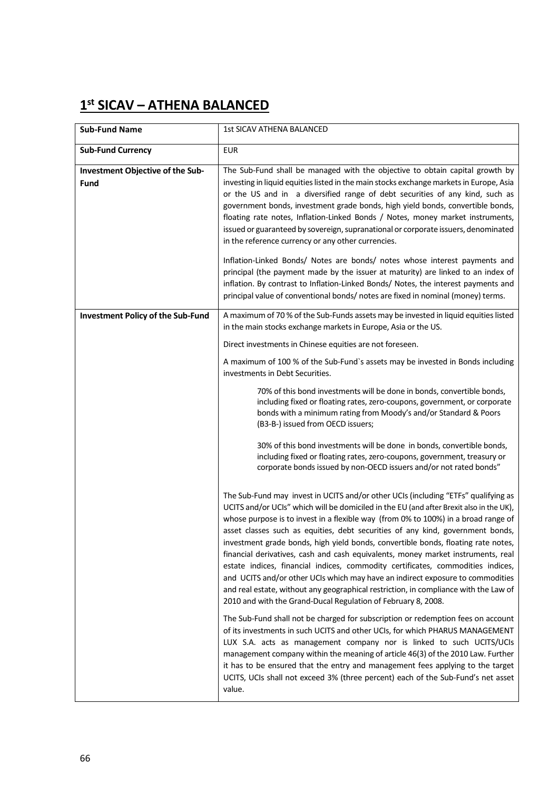# **1st SICAV – ATHENA BALANCED**

| <b>Sub-Fund Name</b>                            | <b>1st SICAV ATHENA BALANCED</b>                                                                                                                                                                                                                                                                                                                                                                                                                                                                                                                                                                                                                                                                                                                                                                                                                             |
|-------------------------------------------------|--------------------------------------------------------------------------------------------------------------------------------------------------------------------------------------------------------------------------------------------------------------------------------------------------------------------------------------------------------------------------------------------------------------------------------------------------------------------------------------------------------------------------------------------------------------------------------------------------------------------------------------------------------------------------------------------------------------------------------------------------------------------------------------------------------------------------------------------------------------|
| <b>Sub-Fund Currency</b>                        | <b>EUR</b>                                                                                                                                                                                                                                                                                                                                                                                                                                                                                                                                                                                                                                                                                                                                                                                                                                                   |
| Investment Objective of the Sub-<br><b>Fund</b> | The Sub-Fund shall be managed with the objective to obtain capital growth by<br>investing in liquid equities listed in the main stocks exchange markets in Europe, Asia<br>or the US and in a diversified range of debt securities of any kind, such as<br>government bonds, investment grade bonds, high yield bonds, convertible bonds,<br>floating rate notes, Inflation-Linked Bonds / Notes, money market instruments,<br>issued or guaranteed by sovereign, supranational or corporate issuers, denominated<br>in the reference currency or any other currencies.                                                                                                                                                                                                                                                                                      |
|                                                 | Inflation-Linked Bonds/ Notes are bonds/ notes whose interest payments and<br>principal (the payment made by the issuer at maturity) are linked to an index of<br>inflation. By contrast to Inflation-Linked Bonds/ Notes, the interest payments and<br>principal value of conventional bonds/ notes are fixed in nominal (money) terms.                                                                                                                                                                                                                                                                                                                                                                                                                                                                                                                     |
| <b>Investment Policy of the Sub-Fund</b>        | A maximum of 70 % of the Sub-Funds assets may be invested in liquid equities listed<br>in the main stocks exchange markets in Europe, Asia or the US.                                                                                                                                                                                                                                                                                                                                                                                                                                                                                                                                                                                                                                                                                                        |
|                                                 | Direct investments in Chinese equities are not foreseen.                                                                                                                                                                                                                                                                                                                                                                                                                                                                                                                                                                                                                                                                                                                                                                                                     |
|                                                 | A maximum of 100 % of the Sub-Fund's assets may be invested in Bonds including<br>investments in Debt Securities.                                                                                                                                                                                                                                                                                                                                                                                                                                                                                                                                                                                                                                                                                                                                            |
|                                                 | 70% of this bond investments will be done in bonds, convertible bonds,<br>including fixed or floating rates, zero-coupons, government, or corporate<br>bonds with a minimum rating from Moody's and/or Standard & Poors<br>(B3-B-) issued from OECD issuers;                                                                                                                                                                                                                                                                                                                                                                                                                                                                                                                                                                                                 |
|                                                 | 30% of this bond investments will be done in bonds, convertible bonds,<br>including fixed or floating rates, zero-coupons, government, treasury or<br>corporate bonds issued by non-OECD issuers and/or not rated bonds"                                                                                                                                                                                                                                                                                                                                                                                                                                                                                                                                                                                                                                     |
|                                                 | The Sub-Fund may invest in UCITS and/or other UCIs (including "ETFs" qualifying as<br>UCITS and/or UCIs" which will be domiciled in the EU (and after Brexit also in the UK),<br>whose purpose is to invest in a flexible way (from 0% to 100%) in a broad range of<br>asset classes such as equities, debt securities of any kind, government bonds,<br>investment grade bonds, high yield bonds, convertible bonds, floating rate notes,<br>financial derivatives, cash and cash equivalents, money market instruments, real<br>estate indices, financial indices, commodity certificates, commodities indices,<br>and UCITS and/or other UCIs which may have an indirect exposure to commodities<br>and real estate, without any geographical restriction, in compliance with the Law of<br>2010 and with the Grand-Ducal Regulation of February 8, 2008. |
|                                                 | The Sub-Fund shall not be charged for subscription or redemption fees on account<br>of its investments in such UCITS and other UCIs, for which PHARUS MANAGEMENT<br>LUX S.A. acts as management company nor is linked to such UCITS/UCIs<br>management company within the meaning of article 46(3) of the 2010 Law. Further<br>it has to be ensured that the entry and management fees applying to the target<br>UCITS, UCIs shall not exceed 3% (three percent) each of the Sub-Fund's net asset<br>value.                                                                                                                                                                                                                                                                                                                                                  |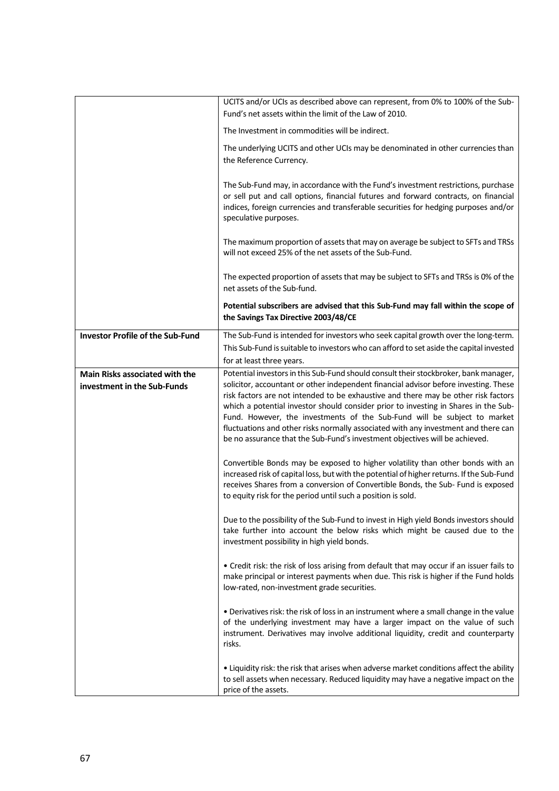|                                                                      | UCITS and/or UCIs as described above can represent, from 0% to 100% of the Sub-<br>Fund's net assets within the limit of the Law of 2010.                                                                                                                                                                                                                                                                                                                                                                                                                                                                  |
|----------------------------------------------------------------------|------------------------------------------------------------------------------------------------------------------------------------------------------------------------------------------------------------------------------------------------------------------------------------------------------------------------------------------------------------------------------------------------------------------------------------------------------------------------------------------------------------------------------------------------------------------------------------------------------------|
|                                                                      | The Investment in commodities will be indirect.                                                                                                                                                                                                                                                                                                                                                                                                                                                                                                                                                            |
|                                                                      | The underlying UCITS and other UCIs may be denominated in other currencies than<br>the Reference Currency.                                                                                                                                                                                                                                                                                                                                                                                                                                                                                                 |
|                                                                      | The Sub-Fund may, in accordance with the Fund's investment restrictions, purchase<br>or sell put and call options, financial futures and forward contracts, on financial<br>indices, foreign currencies and transferable securities for hedging purposes and/or<br>speculative purposes.                                                                                                                                                                                                                                                                                                                   |
|                                                                      | The maximum proportion of assets that may on average be subject to SFTs and TRSs<br>will not exceed 25% of the net assets of the Sub-Fund.                                                                                                                                                                                                                                                                                                                                                                                                                                                                 |
|                                                                      | The expected proportion of assets that may be subject to SFTs and TRSs is 0% of the<br>net assets of the Sub-fund.                                                                                                                                                                                                                                                                                                                                                                                                                                                                                         |
|                                                                      | Potential subscribers are advised that this Sub-Fund may fall within the scope of<br>the Savings Tax Directive 2003/48/CE                                                                                                                                                                                                                                                                                                                                                                                                                                                                                  |
| <b>Investor Profile of the Sub-Fund</b>                              | The Sub-Fund is intended for investors who seek capital growth over the long-term.<br>This Sub-Fund is suitable to investors who can afford to set aside the capital invested<br>for at least three years.                                                                                                                                                                                                                                                                                                                                                                                                 |
| <b>Main Risks associated with the</b><br>investment in the Sub-Funds | Potential investors in this Sub-Fund should consult their stockbroker, bank manager,<br>solicitor, accountant or other independent financial advisor before investing. These<br>risk factors are not intended to be exhaustive and there may be other risk factors<br>which a potential investor should consider prior to investing in Shares in the Sub-<br>Fund. However, the investments of the Sub-Fund will be subject to market<br>fluctuations and other risks normally associated with any investment and there can<br>be no assurance that the Sub-Fund's investment objectives will be achieved. |
|                                                                      | Convertible Bonds may be exposed to higher volatility than other bonds with an<br>increased risk of capital loss, but with the potential of higher returns. If the Sub-Fund<br>receives Shares from a conversion of Convertible Bonds, the Sub- Fund is exposed<br>to equity risk for the period until such a position is sold.                                                                                                                                                                                                                                                                            |
|                                                                      | Due to the possibility of the Sub-Fund to invest in High yield Bonds investors should<br>take further into account the below risks which might be caused due to the<br>investment possibility in high yield bonds.                                                                                                                                                                                                                                                                                                                                                                                         |
|                                                                      | • Credit risk: the risk of loss arising from default that may occur if an issuer fails to<br>make principal or interest payments when due. This risk is higher if the Fund holds<br>low-rated, non-investment grade securities.                                                                                                                                                                                                                                                                                                                                                                            |
|                                                                      | • Derivatives risk: the risk of loss in an instrument where a small change in the value<br>of the underlying investment may have a larger impact on the value of such<br>instrument. Derivatives may involve additional liquidity, credit and counterparty<br>risks.                                                                                                                                                                                                                                                                                                                                       |
|                                                                      | • Liquidity risk: the risk that arises when adverse market conditions affect the ability<br>to sell assets when necessary. Reduced liquidity may have a negative impact on the<br>price of the assets.                                                                                                                                                                                                                                                                                                                                                                                                     |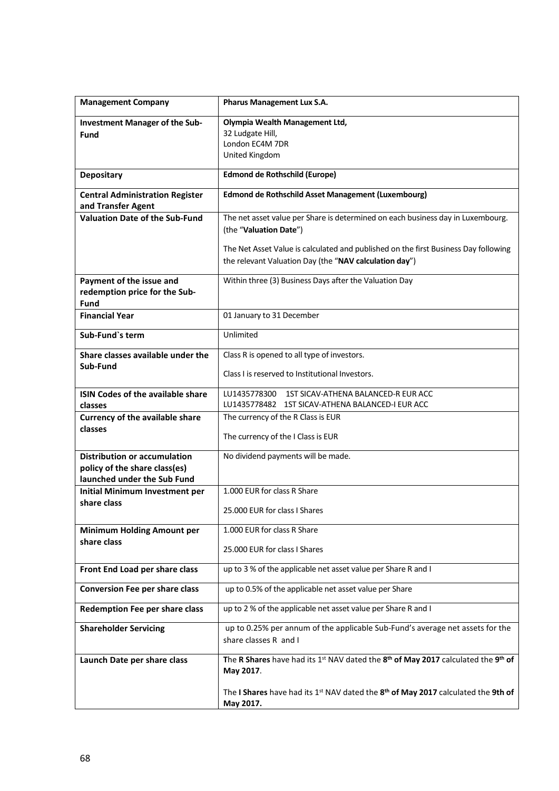| <b>Management Company</b>                         | Pharus Management Lux S.A.                                                                              |
|---------------------------------------------------|---------------------------------------------------------------------------------------------------------|
| <b>Investment Manager of the Sub-</b>             | Olympia Wealth Management Ltd,                                                                          |
| <b>Fund</b>                                       | 32 Ludgate Hill,                                                                                        |
|                                                   | London EC4M 7DR                                                                                         |
|                                                   | United Kingdom                                                                                          |
| <b>Depositary</b>                                 | <b>Edmond de Rothschild (Europe)</b>                                                                    |
| <b>Central Administration Register</b>            | <b>Edmond de Rothschild Asset Management (Luxembourg)</b>                                               |
| and Transfer Agent                                |                                                                                                         |
| <b>Valuation Date of the Sub-Fund</b>             | The net asset value per Share is determined on each business day in Luxembourg.                         |
|                                                   | (the "Valuation Date")                                                                                  |
|                                                   | The Net Asset Value is calculated and published on the first Business Day following                     |
|                                                   | the relevant Valuation Day (the "NAV calculation day")                                                  |
|                                                   |                                                                                                         |
| Payment of the issue and                          | Within three (3) Business Days after the Valuation Day                                                  |
| redemption price for the Sub-                     |                                                                                                         |
| Fund<br><b>Financial Year</b>                     |                                                                                                         |
|                                                   | 01 January to 31 December                                                                               |
| Sub-Fund's term                                   | Unlimited                                                                                               |
| Share classes available under the                 | Class R is opened to all type of investors.                                                             |
| Sub-Fund                                          | Class I is reserved to Institutional Investors.                                                         |
|                                                   |                                                                                                         |
| <b>ISIN Codes of the available share</b>          | LU1435778300<br>1ST SICAV-ATHENA BALANCED-R EUR ACC<br>LU1435778482 1ST SICAV-ATHENA BALANCED-I EUR ACC |
| classes<br><b>Currency of the available share</b> | The currency of the R Class is EUR                                                                      |
| classes                                           |                                                                                                         |
|                                                   | The currency of the I Class is EUR                                                                      |
| <b>Distribution or accumulation</b>               | No dividend payments will be made.                                                                      |
| policy of the share class(es)                     |                                                                                                         |
| launched under the Sub Fund                       |                                                                                                         |
| Initial Minimum Investment per                    | 1.000 EUR for class R Share                                                                             |
| share class                                       | 25,000 EUR for class I Shares                                                                           |
|                                                   |                                                                                                         |
| <b>Minimum Holding Amount per</b>                 | 1.000 EUR for class R Share                                                                             |
| share class                                       | 25.000 EUR for class I Shares                                                                           |
|                                                   |                                                                                                         |
| Front End Load per share class                    | up to 3 % of the applicable net asset value per Share R and I                                           |
| <b>Conversion Fee per share class</b>             | up to 0.5% of the applicable net asset value per Share                                                  |
| <b>Redemption Fee per share class</b>             | up to 2 % of the applicable net asset value per Share R and I                                           |
| <b>Shareholder Servicing</b>                      | up to 0.25% per annum of the applicable Sub-Fund's average net assets for the                           |
|                                                   | share classes R and I                                                                                   |
| Launch Date per share class                       | The R Shares have had its 1st NAV dated the 8th of May 2017 calculated the 9th of                       |
|                                                   | May 2017.                                                                                               |
|                                                   |                                                                                                         |
|                                                   | The I Shares have had its 1st NAV dated the 8th of May 2017 calculated the 9th of<br>May 2017.          |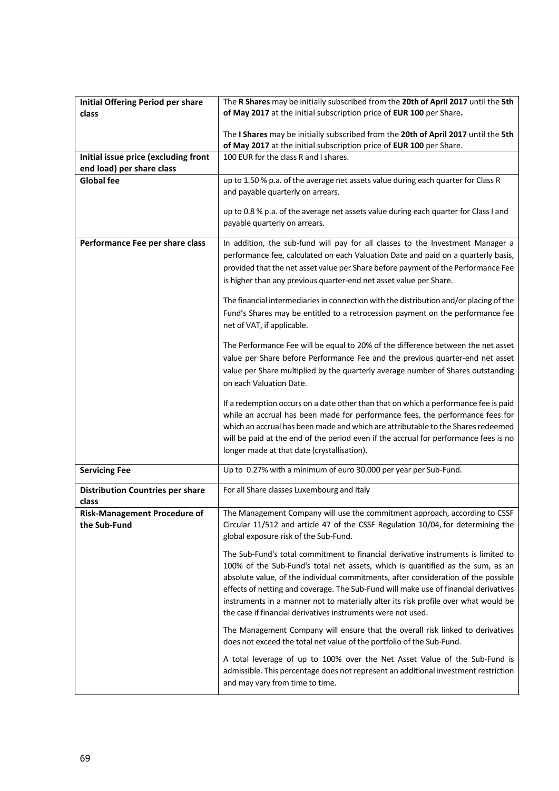| <b>Initial Offering Period per share</b>     | The R Shares may be initially subscribed from the 20th of April 2017 until the 5th                                                                                   |
|----------------------------------------------|----------------------------------------------------------------------------------------------------------------------------------------------------------------------|
| class                                        | of May 2017 at the initial subscription price of EUR 100 per Share.                                                                                                  |
|                                              |                                                                                                                                                                      |
|                                              | The I Shares may be initially subscribed from the 20th of April 2017 until the 5th<br>of May 2017 at the initial subscription price of EUR 100 per Share.            |
| Initial issue price (excluding front         | 100 EUR for the class R and I shares.                                                                                                                                |
| end load) per share class                    |                                                                                                                                                                      |
| <b>Global fee</b>                            | up to 1.50 % p.a. of the average net assets value during each quarter for Class R                                                                                    |
|                                              | and payable quarterly on arrears.                                                                                                                                    |
|                                              |                                                                                                                                                                      |
|                                              | up to 0.8 % p.a. of the average net assets value during each quarter for Class I and                                                                                 |
|                                              | payable quarterly on arrears.                                                                                                                                        |
| Performance Fee per share class              | In addition, the sub-fund will pay for all classes to the Investment Manager a                                                                                       |
|                                              | performance fee, calculated on each Valuation Date and paid on a quarterly basis,                                                                                    |
|                                              | provided that the net asset value per Share before payment of the Performance Fee                                                                                    |
|                                              | is higher than any previous quarter-end net asset value per Share.                                                                                                   |
|                                              | The financial intermediaries in connection with the distribution and/or placing of the                                                                               |
|                                              | Fund's Shares may be entitled to a retrocession payment on the performance fee                                                                                       |
|                                              | net of VAT, if applicable.                                                                                                                                           |
|                                              |                                                                                                                                                                      |
|                                              | The Performance Fee will be equal to 20% of the difference between the net asset                                                                                     |
|                                              | value per Share before Performance Fee and the previous quarter-end net asset                                                                                        |
|                                              | value per Share multiplied by the quarterly average number of Shares outstanding                                                                                     |
|                                              | on each Valuation Date.                                                                                                                                              |
|                                              | If a redemption occurs on a date other than that on which a performance fee is paid                                                                                  |
|                                              | while an accrual has been made for performance fees, the performance fees for                                                                                        |
|                                              | which an accrual has been made and which are attributable to the Shares redeemed                                                                                     |
|                                              | will be paid at the end of the period even if the accrual for performance fees is no                                                                                 |
|                                              | longer made at that date (crystallisation).                                                                                                                          |
| <b>Servicing Fee</b>                         | Up to 0.27% with a minimum of euro 30.000 per year per Sub-Fund.                                                                                                     |
|                                              |                                                                                                                                                                      |
| <b>Distribution Countries per share</b>      | For all Share classes Luxembourg and Italy                                                                                                                           |
| class<br><b>Risk-Management Procedure of</b> | The Management Company will use the commitment approach, according to CSSF                                                                                           |
| the Sub-Fund                                 | Circular 11/512 and article 47 of the CSSF Regulation 10/04, for determining the                                                                                     |
|                                              | global exposure risk of the Sub-Fund.                                                                                                                                |
|                                              |                                                                                                                                                                      |
|                                              | The Sub-Fund's total commitment to financial derivative instruments is limited to                                                                                    |
|                                              | 100% of the Sub-Fund's total net assets, which is quantified as the sum, as an<br>absolute value, of the individual commitments, after consideration of the possible |
|                                              | effects of netting and coverage. The Sub-Fund will make use of financial derivatives                                                                                 |
|                                              | instruments in a manner not to materially alter its risk profile over what would be                                                                                  |
|                                              | the case if financial derivatives instruments were not used.                                                                                                         |
|                                              | The Management Company will ensure that the overall risk linked to derivatives                                                                                       |
|                                              | does not exceed the total net value of the portfolio of the Sub-Fund.                                                                                                |
|                                              |                                                                                                                                                                      |
|                                              | A total leverage of up to 100% over the Net Asset Value of the Sub-Fund is                                                                                           |
|                                              | admissible. This percentage does not represent an additional investment restriction                                                                                  |
|                                              | and may vary from time to time.                                                                                                                                      |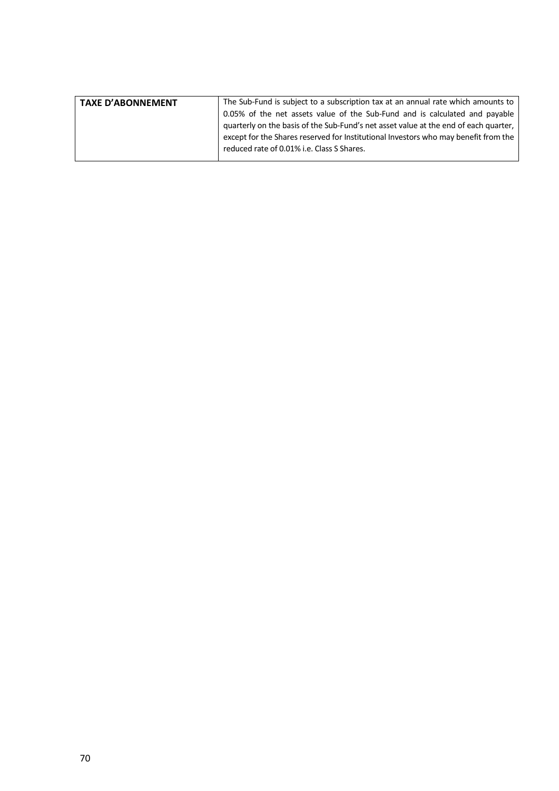| <b>TAXE D'ABONNEMENT</b> | The Sub-Fund is subject to a subscription tax at an annual rate which amounts to     |
|--------------------------|--------------------------------------------------------------------------------------|
|                          | 0.05% of the net assets value of the Sub-Fund and is calculated and payable          |
|                          | quarterly on the basis of the Sub-Fund's net asset value at the end of each quarter, |
|                          | except for the Shares reserved for Institutional Investors who may benefit from the  |
|                          | reduced rate of 0.01% i.e. Class S Shares.                                           |
|                          |                                                                                      |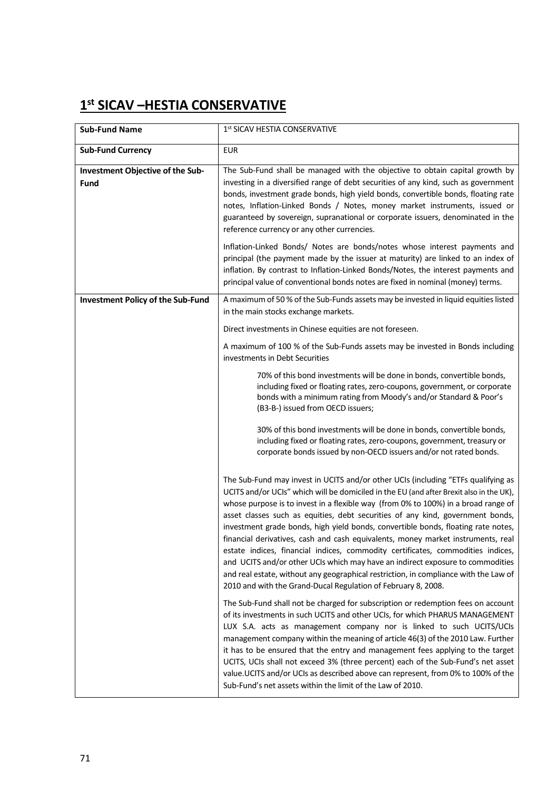# **1st SICAV –HESTIA CONSERVATIVE**

| <b>Sub-Fund Name</b>                            | 1st SICAV HESTIA CONSERVATIVE                                                                                                                                                                                                                                                                                                                                                                                                                                                                                                                                                                                                                                                                                                                                                                                                                               |
|-------------------------------------------------|-------------------------------------------------------------------------------------------------------------------------------------------------------------------------------------------------------------------------------------------------------------------------------------------------------------------------------------------------------------------------------------------------------------------------------------------------------------------------------------------------------------------------------------------------------------------------------------------------------------------------------------------------------------------------------------------------------------------------------------------------------------------------------------------------------------------------------------------------------------|
| <b>Sub-Fund Currency</b>                        | <b>EUR</b>                                                                                                                                                                                                                                                                                                                                                                                                                                                                                                                                                                                                                                                                                                                                                                                                                                                  |
| Investment Objective of the Sub-<br><b>Fund</b> | The Sub-Fund shall be managed with the objective to obtain capital growth by<br>investing in a diversified range of debt securities of any kind, such as government<br>bonds, investment grade bonds, high yield bonds, convertible bonds, floating rate<br>notes, Inflation-Linked Bonds / Notes, money market instruments, issued or<br>guaranteed by sovereign, supranational or corporate issuers, denominated in the<br>reference currency or any other currencies.                                                                                                                                                                                                                                                                                                                                                                                    |
|                                                 | Inflation-Linked Bonds/ Notes are bonds/notes whose interest payments and<br>principal (the payment made by the issuer at maturity) are linked to an index of<br>inflation. By contrast to Inflation-Linked Bonds/Notes, the interest payments and<br>principal value of conventional bonds notes are fixed in nominal (money) terms.                                                                                                                                                                                                                                                                                                                                                                                                                                                                                                                       |
| <b>Investment Policy of the Sub-Fund</b>        | A maximum of 50 % of the Sub-Funds assets may be invested in liquid equities listed<br>in the main stocks exchange markets.                                                                                                                                                                                                                                                                                                                                                                                                                                                                                                                                                                                                                                                                                                                                 |
|                                                 | Direct investments in Chinese equities are not foreseen.                                                                                                                                                                                                                                                                                                                                                                                                                                                                                                                                                                                                                                                                                                                                                                                                    |
|                                                 | A maximum of 100 % of the Sub-Funds assets may be invested in Bonds including<br>investments in Debt Securities                                                                                                                                                                                                                                                                                                                                                                                                                                                                                                                                                                                                                                                                                                                                             |
|                                                 | 70% of this bond investments will be done in bonds, convertible bonds,<br>including fixed or floating rates, zero-coupons, government, or corporate<br>bonds with a minimum rating from Moody's and/or Standard & Poor's<br>(B3-B-) issued from OECD issuers;                                                                                                                                                                                                                                                                                                                                                                                                                                                                                                                                                                                               |
|                                                 | 30% of this bond investments will be done in bonds, convertible bonds,<br>including fixed or floating rates, zero-coupons, government, treasury or<br>corporate bonds issued by non-OECD issuers and/or not rated bonds.                                                                                                                                                                                                                                                                                                                                                                                                                                                                                                                                                                                                                                    |
|                                                 | The Sub-Fund may invest in UCITS and/or other UCIs (including "ETFs qualifying as<br>UCITS and/or UCIs" which will be domiciled in the EU (and after Brexit also in the UK),<br>whose purpose is to invest in a flexible way (from 0% to 100%) in a broad range of<br>asset classes such as equities, debt securities of any kind, government bonds,<br>investment grade bonds, high yield bonds, convertible bonds, floating rate notes,<br>financial derivatives, cash and cash equivalents, money market instruments, real<br>estate indices, financial indices, commodity certificates, commodities indices,<br>and UCITS and/or other UCIs which may have an indirect exposure to commodities<br>and real estate, without any geographical restriction, in compliance with the Law of<br>2010 and with the Grand-Ducal Regulation of February 8, 2008. |
|                                                 | The Sub-Fund shall not be charged for subscription or redemption fees on account<br>of its investments in such UCITS and other UCIs, for which PHARUS MANAGEMENT<br>LUX S.A. acts as management company nor is linked to such UCITS/UCIs<br>management company within the meaning of article 46(3) of the 2010 Law. Further<br>it has to be ensured that the entry and management fees applying to the target<br>UCITS, UCIs shall not exceed 3% (three percent) each of the Sub-Fund's net asset<br>value. UCITS and/or UCIs as described above can represent, from 0% to 100% of the<br>Sub-Fund's net assets within the limit of the Law of 2010.                                                                                                                                                                                                        |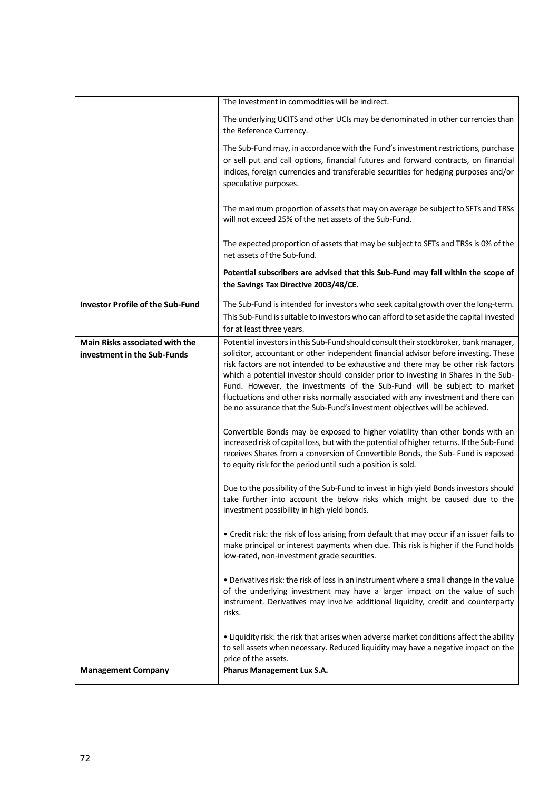|                                                                      | The Investment in commodities will be indirect.                                                                                                                                                                                                                                                                                                                                                                                                                                                                                                                                                            |
|----------------------------------------------------------------------|------------------------------------------------------------------------------------------------------------------------------------------------------------------------------------------------------------------------------------------------------------------------------------------------------------------------------------------------------------------------------------------------------------------------------------------------------------------------------------------------------------------------------------------------------------------------------------------------------------|
|                                                                      | The underlying UCITS and other UCIs may be denominated in other currencies than<br>the Reference Currency.                                                                                                                                                                                                                                                                                                                                                                                                                                                                                                 |
|                                                                      | The Sub-Fund may, in accordance with the Fund's investment restrictions, purchase<br>or sell put and call options, financial futures and forward contracts, on financial<br>indices, foreign currencies and transferable securities for hedging purposes and/or<br>speculative purposes.                                                                                                                                                                                                                                                                                                                   |
|                                                                      | The maximum proportion of assets that may on average be subject to SFTs and TRSs<br>will not exceed 25% of the net assets of the Sub-Fund.                                                                                                                                                                                                                                                                                                                                                                                                                                                                 |
|                                                                      | The expected proportion of assets that may be subject to SFTs and TRSs is 0% of the<br>net assets of the Sub-fund.                                                                                                                                                                                                                                                                                                                                                                                                                                                                                         |
|                                                                      | Potential subscribers are advised that this Sub-Fund may fall within the scope of<br>the Savings Tax Directive 2003/48/CE.                                                                                                                                                                                                                                                                                                                                                                                                                                                                                 |
| <b>Investor Profile of the Sub-Fund</b>                              | The Sub-Fund is intended for investors who seek capital growth over the long-term.<br>This Sub-Fund is suitable to investors who can afford to set aside the capital invested<br>for at least three years.                                                                                                                                                                                                                                                                                                                                                                                                 |
| <b>Main Risks associated with the</b><br>investment in the Sub-Funds | Potential investors in this Sub-Fund should consult their stockbroker, bank manager,<br>solicitor, accountant or other independent financial advisor before investing. These<br>risk factors are not intended to be exhaustive and there may be other risk factors<br>which a potential investor should consider prior to investing in Shares in the Sub-<br>Fund. However, the investments of the Sub-Fund will be subject to market<br>fluctuations and other risks normally associated with any investment and there can<br>be no assurance that the Sub-Fund's investment objectives will be achieved. |
|                                                                      | Convertible Bonds may be exposed to higher volatility than other bonds with an<br>increased risk of capital loss, but with the potential of higher returns. If the Sub-Fund<br>receives Shares from a conversion of Convertible Bonds, the Sub- Fund is exposed<br>to equity risk for the period until such a position is sold.                                                                                                                                                                                                                                                                            |
|                                                                      | Due to the possibility of the Sub-Fund to invest in high yield Bonds investors should<br>take further into account the below risks which might be caused due to the<br>investment possibility in high yield bonds.                                                                                                                                                                                                                                                                                                                                                                                         |
|                                                                      | • Credit risk: the risk of loss arising from default that may occur if an issuer fails to<br>make principal or interest payments when due. This risk is higher if the Fund holds<br>low-rated, non-investment grade securities.                                                                                                                                                                                                                                                                                                                                                                            |
|                                                                      | . Derivatives risk: the risk of loss in an instrument where a small change in the value<br>of the underlying investment may have a larger impact on the value of such<br>instrument. Derivatives may involve additional liquidity, credit and counterparty<br>risks.                                                                                                                                                                                                                                                                                                                                       |
|                                                                      | . Liquidity risk: the risk that arises when adverse market conditions affect the ability<br>to sell assets when necessary. Reduced liquidity may have a negative impact on the<br>price of the assets.                                                                                                                                                                                                                                                                                                                                                                                                     |
| <b>Management Company</b>                                            | Pharus Management Lux S.A.                                                                                                                                                                                                                                                                                                                                                                                                                                                                                                                                                                                 |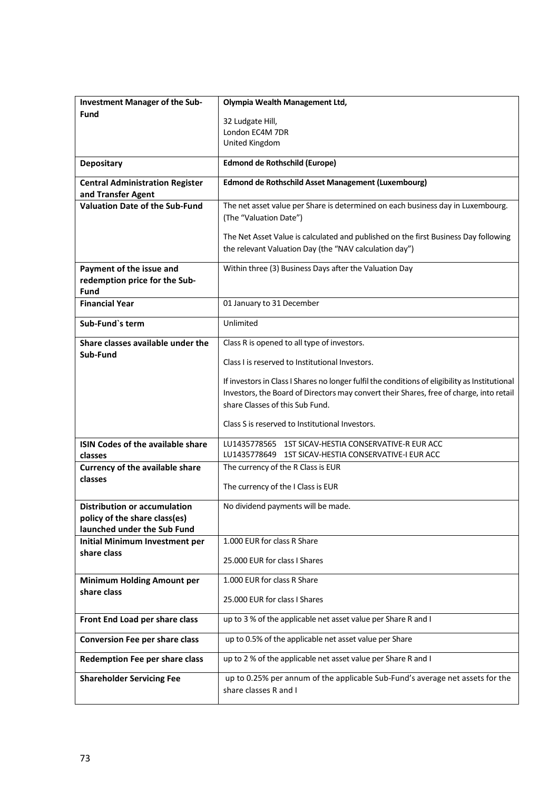| <b>Investment Manager of the Sub-</b>    | Olympia Wealth Management Ltd,                                                                            |
|------------------------------------------|-----------------------------------------------------------------------------------------------------------|
| <b>Fund</b>                              |                                                                                                           |
|                                          | 32 Ludgate Hill,<br>London EC4M 7DR                                                                       |
|                                          | United Kingdom                                                                                            |
|                                          |                                                                                                           |
| <b>Depositary</b>                        | <b>Edmond de Rothschild (Europe)</b>                                                                      |
| <b>Central Administration Register</b>   | Edmond de Rothschild Asset Management (Luxembourg)                                                        |
| and Transfer Agent                       |                                                                                                           |
| <b>Valuation Date of the Sub-Fund</b>    | The net asset value per Share is determined on each business day in Luxembourg.<br>(The "Valuation Date") |
|                                          |                                                                                                           |
|                                          | The Net Asset Value is calculated and published on the first Business Day following                       |
|                                          | the relevant Valuation Day (the "NAV calculation day")                                                    |
| Payment of the issue and                 | Within three (3) Business Days after the Valuation Day                                                    |
| redemption price for the Sub-            |                                                                                                           |
| Fund                                     |                                                                                                           |
| <b>Financial Year</b>                    | 01 January to 31 December                                                                                 |
| Sub-Fund's term                          | Unlimited                                                                                                 |
| Share classes available under the        | Class R is opened to all type of investors.                                                               |
| Sub-Fund                                 |                                                                                                           |
|                                          | Class I is reserved to Institutional Investors.                                                           |
|                                          | If investors in Class I Shares no longer fulfil the conditions of eligibility as Institutional            |
|                                          | Investors, the Board of Directors may convert their Shares, free of charge, into retail                   |
|                                          | share Classes of this Sub Fund.                                                                           |
|                                          |                                                                                                           |
|                                          | Class S is reserved to Institutional Investors.                                                           |
| <b>ISIN Codes of the available share</b> | LU1435778565 1ST SICAV-HESTIA CONSERVATIVE-R EUR ACC                                                      |
| classes                                  | LU1435778649 1ST SICAV-HESTIA CONSERVATIVE-I EUR ACC                                                      |
| <b>Currency of the available share</b>   | The currency of the R Class is EUR                                                                        |
| classes                                  | The currency of the I Class is EUR                                                                        |
|                                          |                                                                                                           |
| <b>Distribution or accumulation</b>      | No dividend payments will be made.                                                                        |
| policy of the share class(es)            |                                                                                                           |
| launched under the Sub Fund              |                                                                                                           |
| <b>Initial Minimum Investment per</b>    | 1.000 EUR for class R Share                                                                               |
| share class                              | 25.000 EUR for class I Shares                                                                             |
| <b>Minimum Holding Amount per</b>        | 1.000 EUR for class R Share                                                                               |
| share class                              |                                                                                                           |
|                                          | 25,000 EUR for class I Shares                                                                             |
| Front End Load per share class           | up to 3 % of the applicable net asset value per Share R and I                                             |
| <b>Conversion Fee per share class</b>    | up to 0.5% of the applicable net asset value per Share                                                    |
| Redemption Fee per share class           | up to 2 % of the applicable net asset value per Share R and I                                             |
| <b>Shareholder Servicing Fee</b>         | up to 0.25% per annum of the applicable Sub-Fund's average net assets for the                             |
|                                          | share classes R and I                                                                                     |
|                                          |                                                                                                           |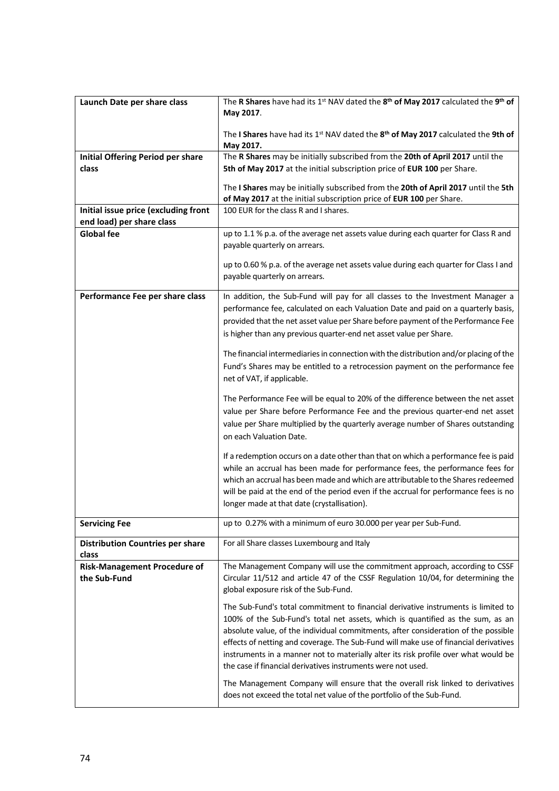| Launch Date per share class                         | The R Shares have had its 1st NAV dated the 8 <sup>th</sup> of May 2017 calculated the 9 <sup>th</sup> of<br>May 2017.                                                                                                                                                                                                                                                                                                                                                                                                                                                                     |
|-----------------------------------------------------|--------------------------------------------------------------------------------------------------------------------------------------------------------------------------------------------------------------------------------------------------------------------------------------------------------------------------------------------------------------------------------------------------------------------------------------------------------------------------------------------------------------------------------------------------------------------------------------------|
|                                                     | The I Shares have had its 1st NAV dated the 8 <sup>th</sup> of May 2017 calculated the 9th of<br>May 2017.                                                                                                                                                                                                                                                                                                                                                                                                                                                                                 |
| <b>Initial Offering Period per share</b>            | The R Shares may be initially subscribed from the 20th of April 2017 until the                                                                                                                                                                                                                                                                                                                                                                                                                                                                                                             |
| class                                               | 5th of May 2017 at the initial subscription price of EUR 100 per Share.                                                                                                                                                                                                                                                                                                                                                                                                                                                                                                                    |
|                                                     | The I Shares may be initially subscribed from the 20th of April 2017 until the 5th<br>of May 2017 at the initial subscription price of EUR 100 per Share.                                                                                                                                                                                                                                                                                                                                                                                                                                  |
| Initial issue price (excluding front                | 100 EUR for the class R and I shares.                                                                                                                                                                                                                                                                                                                                                                                                                                                                                                                                                      |
| end load) per share class                           |                                                                                                                                                                                                                                                                                                                                                                                                                                                                                                                                                                                            |
| <b>Global fee</b>                                   | up to 1.1 % p.a. of the average net assets value during each quarter for Class R and                                                                                                                                                                                                                                                                                                                                                                                                                                                                                                       |
|                                                     | payable quarterly on arrears.                                                                                                                                                                                                                                                                                                                                                                                                                                                                                                                                                              |
|                                                     | up to 0.60 % p.a. of the average net assets value during each quarter for Class I and<br>payable quarterly on arrears.                                                                                                                                                                                                                                                                                                                                                                                                                                                                     |
| Performance Fee per share class                     | In addition, the Sub-Fund will pay for all classes to the Investment Manager a<br>performance fee, calculated on each Valuation Date and paid on a quarterly basis,<br>provided that the net asset value per Share before payment of the Performance Fee<br>is higher than any previous quarter-end net asset value per Share.                                                                                                                                                                                                                                                             |
|                                                     | The financial intermediaries in connection with the distribution and/or placing of the<br>Fund's Shares may be entitled to a retrocession payment on the performance fee<br>net of VAT, if applicable.                                                                                                                                                                                                                                                                                                                                                                                     |
|                                                     | The Performance Fee will be equal to 20% of the difference between the net asset<br>value per Share before Performance Fee and the previous quarter-end net asset<br>value per Share multiplied by the quarterly average number of Shares outstanding<br>on each Valuation Date.                                                                                                                                                                                                                                                                                                           |
|                                                     | If a redemption occurs on a date other than that on which a performance fee is paid<br>while an accrual has been made for performance fees, the performance fees for<br>which an accrual has been made and which are attributable to the Shares redeemed<br>will be paid at the end of the period even if the accrual for performance fees is no<br>longer made at that date (crystallisation).                                                                                                                                                                                            |
| <b>Servicing Fee</b>                                | up to 0.27% with a minimum of euro 30.000 per year per Sub-Fund.                                                                                                                                                                                                                                                                                                                                                                                                                                                                                                                           |
| <b>Distribution Countries per share</b><br>class    | For all Share classes Luxembourg and Italy                                                                                                                                                                                                                                                                                                                                                                                                                                                                                                                                                 |
| <b>Risk-Management Procedure of</b><br>the Sub-Fund | The Management Company will use the commitment approach, according to CSSF<br>Circular 11/512 and article 47 of the CSSF Regulation 10/04, for determining the<br>global exposure risk of the Sub-Fund.                                                                                                                                                                                                                                                                                                                                                                                    |
|                                                     | The Sub-Fund's total commitment to financial derivative instruments is limited to<br>100% of the Sub-Fund's total net assets, which is quantified as the sum, as an<br>absolute value, of the individual commitments, after consideration of the possible<br>effects of netting and coverage. The Sub-Fund will make use of financial derivatives<br>instruments in a manner not to materially alter its risk profile over what would be<br>the case if financial derivatives instruments were not used.<br>The Management Company will ensure that the overall risk linked to derivatives |
|                                                     | does not exceed the total net value of the portfolio of the Sub-Fund.                                                                                                                                                                                                                                                                                                                                                                                                                                                                                                                      |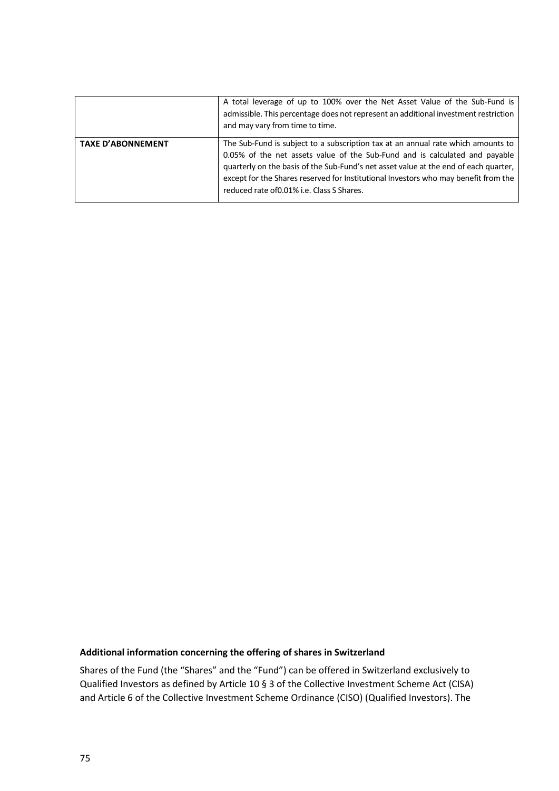|                          | A total leverage of up to 100% over the Net Asset Value of the Sub-Fund is<br>admissible. This percentage does not represent an additional investment restriction<br>and may vary from time to time.                                                                                                                                                                                         |
|--------------------------|----------------------------------------------------------------------------------------------------------------------------------------------------------------------------------------------------------------------------------------------------------------------------------------------------------------------------------------------------------------------------------------------|
| <b>TAXE D'ABONNEMENT</b> | The Sub-Fund is subject to a subscription tax at an annual rate which amounts to<br>0.05% of the net assets value of the Sub-Fund and is calculated and payable<br>quarterly on the basis of the Sub-Fund's net asset value at the end of each quarter,<br>except for the Shares reserved for Institutional Investors who may benefit from the<br>reduced rate of 0.01% i.e. Class S Shares. |

## **Additional information concerning the offering of shares in Switzerland**

Shares of the Fund (the "Shares" and the "Fund") can be offered in Switzerland exclusively to Qualified Investors as defined by Article 10 § 3 of the Collective Investment Scheme Act (CISA) and Article 6 of the Collective Investment Scheme Ordinance (CISO) (Qualified Investors). The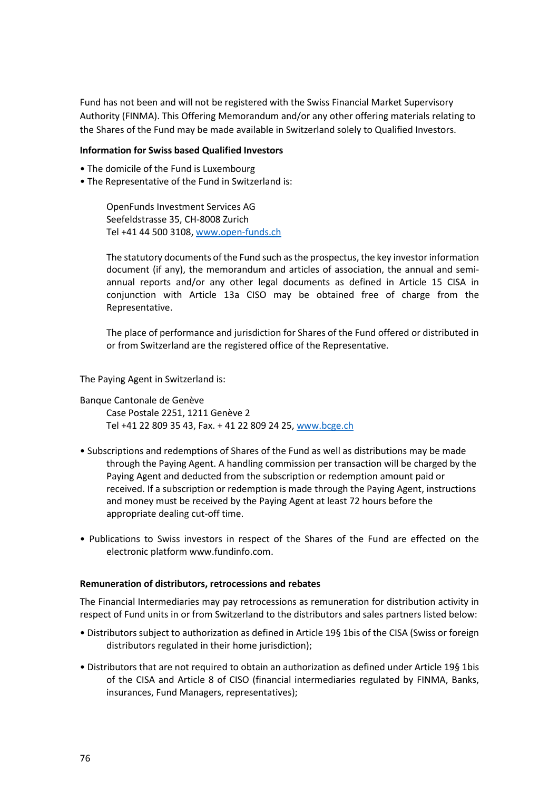Fund has not been and will not be registered with the Swiss Financial Market Supervisory Authority (FINMA). This Offering Memorandum and/or any other offering materials relating to the Shares of the Fund may be made available in Switzerland solely to Qualified Investors.

## **Information for Swiss based Qualified Investors**

- The domicile of the Fund is Luxembourg
- The Representative of the Fund in Switzerland is:

OpenFunds Investment Services AG Seefeldstrasse 35, CH-8008 Zurich Tel +41 44 500 3108[, www.open-funds.ch](http://www.open-funds.ch/)

The statutory documents of the Fund such as the prospectus, the key investor information document (if any), the memorandum and articles of association, the annual and semiannual reports and/or any other legal documents as defined in Article 15 CISA in conjunction with Article 13a CISO may be obtained free of charge from the Representative.

The place of performance and jurisdiction for Shares of the Fund offered or distributed in or from Switzerland are the registered office of the Representative.

The Paying Agent in Switzerland is:

Banque Cantonale de Genève

Case Postale 2251, 1211 Genève 2 Tel +41 22 809 35 43, Fax. + 41 22 809 24 25, [www.bcge.ch](http://www.bcge.ch/)

- Subscriptions and redemptions of Shares of the Fund as well as distributions may be made through the Paying Agent. A handling commission per transaction will be charged by the Paying Agent and deducted from the subscription or redemption amount paid or received. If a subscription or redemption is made through the Paying Agent, instructions and money must be received by the Paying Agent at least 72 hours before the appropriate dealing cut-off time.
- Publications to Swiss investors in respect of the Shares of the Fund are effected on the electronic platform www.fundinfo.com.

## **Remuneration of distributors, retrocessions and rebates**

The Financial Intermediaries may pay retrocessions as remuneration for distribution activity in respect of Fund units in or from Switzerland to the distributors and sales partners listed below:

- Distributors subject to authorization as defined in Article 19§ 1bis of the CISA (Swiss or foreign distributors regulated in their home jurisdiction);
- Distributors that are not required to obtain an authorization as defined under Article 19§ 1bis of the CISA and Article 8 of CISO (financial intermediaries regulated by FINMA, Banks, insurances, Fund Managers, representatives);